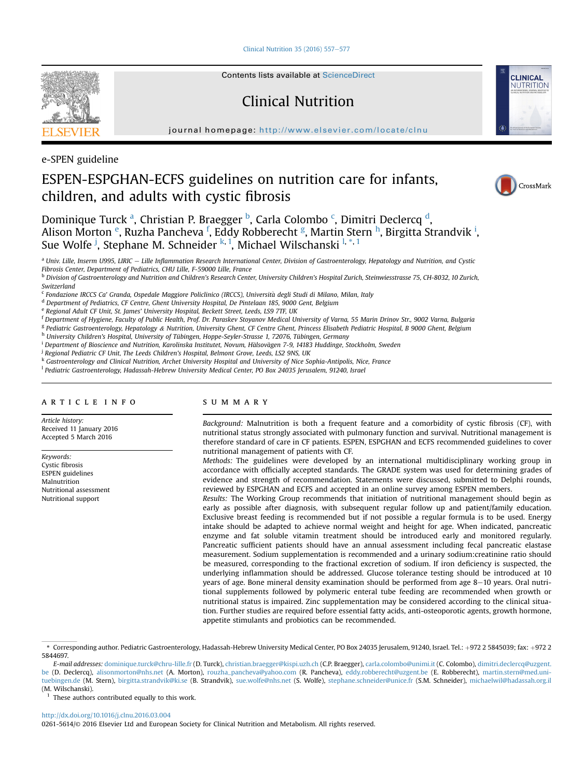[Clinical Nutrition 35 \(2016\) 557](http://dx.doi.org/10.1016/j.clnu.2016.03.004)-[577](http://dx.doi.org/10.1016/j.clnu.2016.03.004)



Contents lists available at ScienceDirect

# Clinical Nutrition

journal homepage: <http://www.elsevier.com/locate/clnu>



e-SPEN guideline

# ESPEN-ESPGHAN-ECFS guidelines on nutrition care for infants, children, and adults with cystic fibrosis



Dominique Turck <sup>a</sup>, Christian P. Braegger <sup>b</sup>, Carla Colombo <sup>c</sup>, Dimitri Declercq <sup>d</sup>, Alison Morton <sup>e</sup>, Ruzha Pancheva <sup>f</sup>, Eddy Robberecht <sup>g</sup>, Martin Stern <sup>h</sup>, Birgitta Strandvik <sup>i</sup>, Sue Wolfe <sup>j</sup>, Stephane M. Schneider <sup>k, 1</sup>, Michael Wilschanski <sup>l, \*, 1</sup>

<sup>a</sup> Univ. Lille, Inserm U995, LIRIC - Lille Inflammation Research International Center, Division of Gastroenterology, Hepatology and Nutrition, and Cystic Fibrosis Center, Department of Pediatrics, CHU Lille, F-59000 Lille, France

<sup>b</sup> Division of Gastroenterology and Nutrition and Children's Research Center, University Children's Hospital Zurich, Steinwiesstrasse 75, CH-8032, 10 Zurich, Switzerland

<sup>c</sup> Fondazione IRCCS Ca' Granda, Ospedale Maggiore Policlinico (IRCCS), Universita degli Studi di Milano, Milan, Italy

<sup>d</sup> Department of Pediatrics, CF Centre, Ghent University Hospital, De Pintelaan 185, 9000 Gent, Belgium

<sup>e</sup> Regional Adult CF Unit, St. James' University Hospital, Beckett Street, Leeds, LS9 7TF, UK

<sup>f</sup> Department of Hygiene, Faculty of Public Health, Prof. Dr. Paraskev Stoyanov Medical University of Varna, 55 Marin Drinov Str., 9002 Varna, Bulgaria

<sup>g</sup> Pediatric Gastroenterology, Hepatology & Nutrition, University Ghent, CF Centre Ghent, Princess Elisabeth Pediatric Hospital, B 9000 Ghent, Belgium

h University Children's Hospital, University of Tübingen, Hoppe-Seyler-Strasse 1, 72076, Tübingen, Germany

<sup>i</sup> Department of Bioscience and Nutrition, Karolinska Institutet, Novum, Hälsovägen 7-9, 14183 Huddinge, Stockholm, Sweden

<sup>j</sup> Regional Pediatric CF Unit, The Leeds Children's Hospital, Belmont Grove, Leeds, LS2 9NS, UK

k Gastroenterology and Clinical Nutrition, Archet University Hospital and University of Nice Sophia-Antipolis, Nice, France

<sup>1</sup> Pediatric Gastroenterology, Hadassah-Hebrew University Medical Center, PO Box 24035 Jerusalem, 91240, Israel

# article info

Article history: Received 11 January 2016 Accepted 5 March 2016

Keywords: Cystic fibrosis ESPEN guidelines Malnutrition Nutritional assessment Nutritional support

# summary

Background: Malnutrition is both a frequent feature and a comorbidity of cystic fibrosis (CF), with nutritional status strongly associated with pulmonary function and survival. Nutritional management is therefore standard of care in CF patients. ESPEN, ESPGHAN and ECFS recommended guidelines to cover nutritional management of patients with CF.

Methods: The guidelines were developed by an international multidisciplinary working group in accordance with officially accepted standards. The GRADE system was used for determining grades of evidence and strength of recommendation. Statements were discussed, submitted to Delphi rounds, reviewed by ESPGHAN and ECFS and accepted in an online survey among ESPEN members.

Results: The Working Group recommends that initiation of nutritional management should begin as early as possible after diagnosis, with subsequent regular follow up and patient/family education. Exclusive breast feeding is recommended but if not possible a regular formula is to be used. Energy intake should be adapted to achieve normal weight and height for age. When indicated, pancreatic enzyme and fat soluble vitamin treatment should be introduced early and monitored regularly. Pancreatic sufficient patients should have an annual assessment including fecal pancreatic elastase measurement. Sodium supplementation is recommended and a urinary sodium:creatinine ratio should be measured, corresponding to the fractional excretion of sodium. If iron deficiency is suspected, the underlying inflammation should be addressed. Glucose tolerance testing should be introduced at 10 years of age. Bone mineral density examination should be performed from age  $8-10$  years. Oral nutritional supplements followed by polymeric enteral tube feeding are recommended when growth or nutritional status is impaired. Zinc supplementation may be considered according to the clinical situation. Further studies are required before essential fatty acids, anti-osteoporotic agents, growth hormone, appetite stimulants and probiotics can be recommended.

E-mail addresses: [dominique.turck@chru-lille.fr](mailto:dominique.turck@chru-lille.fr) (D. Turck), [christian.braegger@kispi.uzh.ch](mailto:christian.braegger@kispi.uzh.ch) (C.P. Braegger), [carla.colombo@unimi.it](mailto:carla.colombo@unimi.it) (C. Colombo), [dimitri.declercq@uzgent.](mailto:dimitri.declercq@uzgent.be) [be](mailto:dimitri.declercq@uzgent.be) (D. Declercq), [alisonmorton@nhs.net](mailto:alisonmorton@nhs.net) (A. Morton), [rouzha\\_pancheva@yahoo.com](mailto:rouzha_pancheva@yahoo.com) (R. Pancheva), [eddy.robberecht@uzgent.be](mailto:eddy.robberecht@uzgent.be) (E. Robberecht), [martin.stern@med.uni-](mailto:martin.stern@med.uni-tuebingen.de)

[tuebingen.de](mailto:martin.stern@med.uni-tuebingen.de) (M. Stern), [birgitta.strandvik@ki.se](mailto:birgitta.strandvik@ki.se) (B. Strandvik), [sue.wolfe@nhs.net](mailto:sue.wolfe@nhs.net) (S. Wolfe), [stephane.schneider@unice.fr](mailto:stephane.schneider@unice.fr) (S.M. Schneider), [michaelwil@hadassah.org.il](mailto:michaelwil@hadassah.org.il) (M. Wilschanski).

These authors contributed equally to this work.

<http://dx.doi.org/10.1016/j.clnu.2016.03.004>

<sup>\*</sup> Corresponding author. Pediatric Gastroenterology, Hadassah-Hebrew University Medical Center, PO Box 24035 Jerusalem, 91240, Israel. Tel.: þ972 2 5845039; fax: þ972 2 5844697.

<sup>0261-5614/</sup>© 2016 Elsevier Ltd and European Society for Clinical Nutrition and Metabolism. All rights reserved.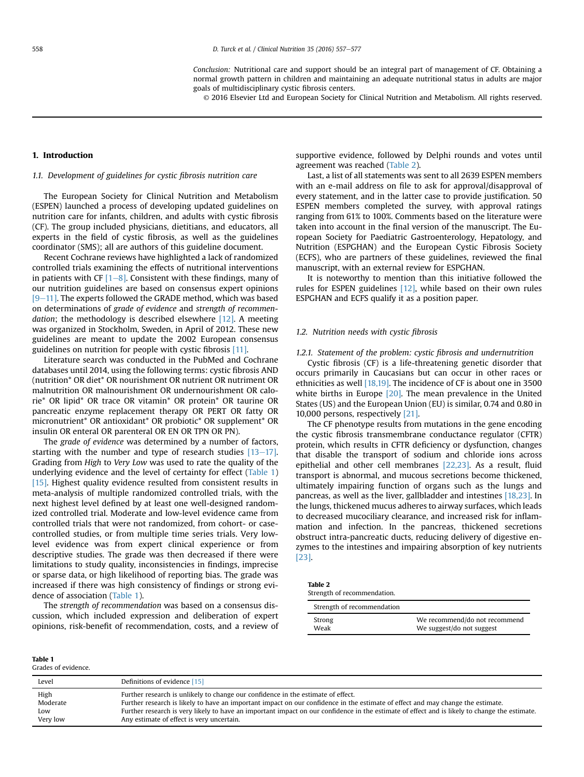Conclusion: Nutritional care and support should be an integral part of management of CF. Obtaining a normal growth pattern in children and maintaining an adequate nutritional status in adults are major goals of multidisciplinary cystic fibrosis centers.

© 2016 Elsevier Ltd and European Society for Clinical Nutrition and Metabolism. All rights reserved.

# <span id="page-1-0"></span>1. Introduction

#### 1.1. Development of guidelines for cystic fibrosis nutrition care

The European Society for Clinical Nutrition and Metabolism (ESPEN) launched a process of developing updated guidelines on nutrition care for infants, children, and adults with cystic fibrosis (CF). The group included physicians, dietitians, and educators, all experts in the field of cystic fibrosis, as well as the guidelines coordinator (SMS); all are authors of this guideline document.

Recent Cochrane reviews have highlighted a lack of randomized controlled trials examining the effects of nutritional interventions in patients with CF  $[1-8]$  $[1-8]$  $[1-8]$ . Consistent with these findings, many of our nutrition guidelines are based on consensus expert opinions  $[9-11]$  $[9-11]$ . The experts followed the GRADE method, which was based on determinations of grade of evidence and strength of recommendation; the methodology is described elsewhere  $[12]$ . A meeting was organized in Stockholm, Sweden, in April of 2012. These new guidelines are meant to update the 2002 European consensus guidelines on nutrition for people with cystic fibrosis [\[11\].](#page-16-0)

Literature search was conducted in the PubMed and Cochrane databases until 2014, using the following terms: cystic fibrosis AND (nutrition\* OR diet\* OR nourishment OR nutrient OR nutriment OR malnutrition OR malnourishment OR undernourishment OR calorie\* OR lipid\* OR trace OR vitamin\* OR protein\* OR taurine OR pancreatic enzyme replacement therapy OR PERT OR fatty OR micronutrient\* OR antioxidant\* OR probiotic\* OR supplement\* OR insulin OR enteral OR parenteral OR EN OR TPN OR PN).

The grade of evidence was determined by a number of factors, starting with the number and type of research studies  $[13-17]$  $[13-17]$ . Grading from High to Very Low was used to rate the quality of the underlying evidence and the level of certainty for effect (Table 1) [\[15\].](#page-17-0) Highest quality evidence resulted from consistent results in meta-analysis of multiple randomized controlled trials, with the next highest level defined by at least one well-designed randomized controlled trial. Moderate and low-level evidence came from controlled trials that were not randomized, from cohort- or casecontrolled studies, or from multiple time series trials. Very lowlevel evidence was from expert clinical experience or from descriptive studies. The grade was then decreased if there were limitations to study quality, inconsistencies in findings, imprecise or sparse data, or high likelihood of reporting bias. The grade was increased if there was high consistency of findings or strong evidence of association (Table 1).

The strength of recommendation was based on a consensus discussion, which included expression and deliberation of expert opinions, risk-benefit of recommendation, costs, and a review of supportive evidence, followed by Delphi rounds and votes until agreement was reached (Table 2).

Last, a list of all statements was sent to all 2639 ESPEN members with an e-mail address on file to ask for approval/disapproval of every statement, and in the latter case to provide justification. 50 ESPEN members completed the survey, with approval ratings ranging from 61% to 100%. Comments based on the literature were taken into account in the final version of the manuscript. The European Society for Paediatric Gastroenterology, Hepatology, and Nutrition (ESPGHAN) and the European Cystic Fibrosis Society (ECFS), who are partners of these guidelines, reviewed the final manuscript, with an external review for ESPGHAN.

It is noteworthy to mention than this initiative followed the rules for ESPEN guidelines [\[12\],](#page-16-0) while based on their own rules ESPGHAN and ECFS qualify it as a position paper.

#### 1.2. Nutrition needs with cystic fibrosis

1.2.1. Statement of the problem: cystic fibrosis and undernutrition

Cystic fibrosis (CF) is a life-threatening genetic disorder that occurs primarily in Caucasians but can occur in other races or ethnicities as well [\[18,19\].](#page-17-0) The incidence of CF is about one in 3500 white births in Europe [\[20\]](#page-17-0). The mean prevalence in the United States (US) and the European Union (EU) is similar, 0.74 and 0.80 in 10,000 persons, respectively [\[21\]](#page-17-0).

The CF phenotype results from mutations in the gene encoding the cystic fibrosis transmembrane conductance regulator (CFTR) protein, which results in CFTR deficiency or dysfunction, changes that disable the transport of sodium and chloride ions across epithelial and other cell membranes [\[22,23\].](#page-17-0) As a result, fluid transport is abnormal, and mucous secretions become thickened, ultimately impairing function of organs such as the lungs and pancreas, as well as the liver, gallbladder and intestines [\[18,23\]](#page-17-0). In the lungs, thickened mucus adheres to airway surfaces, which leads to decreased mucociliary clearance, and increased risk for inflammation and infection. In the pancreas, thickened secretions obstruct intra-pancreatic ducts, reducing delivery of digestive enzymes to the intestines and impairing absorption of key nutrients [\[23\]](#page-17-0).

| <b>Table 2</b> |                            |
|----------------|----------------------------|
|                | Strength of recommendation |

| buchgui of recommendation. |                               |
|----------------------------|-------------------------------|
| Strength of recommendation |                               |
| Strong                     | We recommend/do not recommend |
| Weak                       | We suggest/do not suggest     |

| 'Table T            |  |
|---------------------|--|
| Grades of evidence. |  |

 $T = T$ 

| Level    | Definitions of evidence [15]                                                                                                                  |
|----------|-----------------------------------------------------------------------------------------------------------------------------------------------|
| High     | Further research is unlikely to change our confidence in the estimate of effect.                                                              |
| Moderate | Further research is likely to have an important impact on our confidence in the estimate of effect and may change the estimate.               |
| Low      | Further research is very likely to have an important impact on our confidence in the estimate of effect and is likely to change the estimate. |
| Very low | Any estimate of effect is very uncertain.                                                                                                     |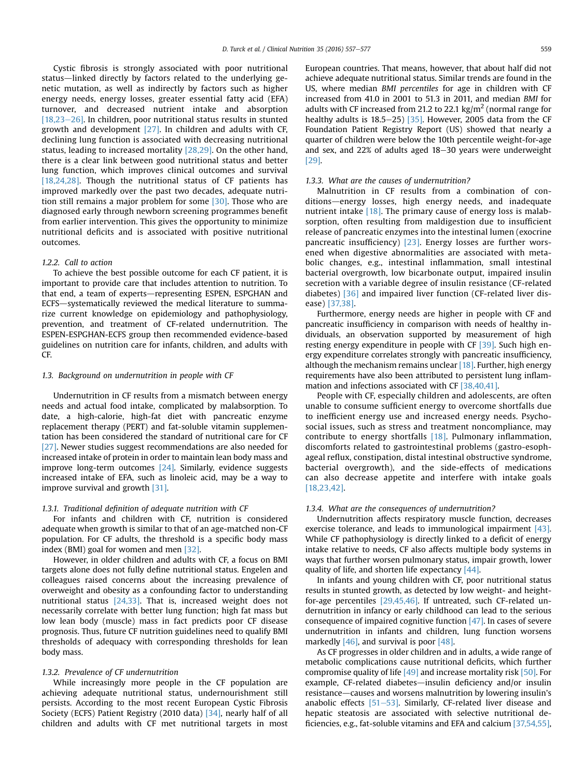Cystic fibrosis is strongly associated with poor nutritional status—linked directly by factors related to the underlying genetic mutation, as well as indirectly by factors such as higher energy needs, energy losses, greater essential fatty acid (EFA) turnover, and decreased nutrient intake and absorption  $[18,23-26]$  $[18,23-26]$  $[18,23-26]$ . In children, poor nutritional status results in stunted growth and development [\[27\].](#page-17-0) In children and adults with CF, declining lung function is associated with decreasing nutritional status, leading to increased mortality [\[28,29\]](#page-17-0). On the other hand, there is a clear link between good nutritional status and better lung function, which improves clinical outcomes and survival [\[18,24,28\].](#page-17-0) Though the nutritional status of CF patients has improved markedly over the past two decades, adequate nutrition still remains a major problem for some [\[30\].](#page-17-0) Those who are diagnosed early through newborn screening programmes benefit from earlier intervention. This gives the opportunity to minimize nutritional deficits and is associated with positive nutritional outcomes.

#### 1.2.2. Call to action

To achieve the best possible outcome for each CF patient, it is important to provide care that includes attention to nutrition. To that end, a team of experts-representing ESPEN, ESPGHAN and ECFS-systematically reviewed the medical literature to summarize current knowledge on epidemiology and pathophysiology, prevention, and treatment of CF-related undernutrition. The ESPEN-ESPGHAN-ECFS group then recommended evidence-based guidelines on nutrition care for infants, children, and adults with CF.

#### 1.3. Background on undernutrition in people with CF

Undernutrition in CF results from a mismatch between energy needs and actual food intake, complicated by malabsorption. To date, a high-calorie, high-fat diet with pancreatic enzyme replacement therapy (PERT) and fat-soluble vitamin supplementation has been considered the standard of nutritional care for CF [\[27\].](#page-17-0) Newer studies suggest recommendations are also needed for increased intake of protein in order to maintain lean body mass and improve long-term outcomes [\[24\].](#page-17-0) Similarly, evidence suggests increased intake of EFA, such as linoleic acid, may be a way to improve survival and growth [\[31\]](#page-17-0).

#### 1.3.1. Traditional definition of adequate nutrition with CF

For infants and children with CF, nutrition is considered adequate when growth is similar to that of an age-matched non-CF population. For CF adults, the threshold is a specific body mass index (BMI) goal for women and men [\[32\]](#page-17-0).

However, in older children and adults with CF, a focus on BMI targets alone does not fully define nutritional status. Engelen and colleagues raised concerns about the increasing prevalence of overweight and obesity as a confounding factor to understanding nutritional status  $[24,33]$ . That is, increased weight does not necessarily correlate with better lung function; high fat mass but low lean body (muscle) mass in fact predicts poor CF disease prognosis. Thus, future CF nutrition guidelines need to qualify BMI thresholds of adequacy with corresponding thresholds for lean body mass.

#### 1.3.2. Prevalence of CF undernutrition

While increasingly more people in the CF population are achieving adequate nutritional status, undernourishment still persists. According to the most recent European Cystic Fibrosis Society (ECFS) Patient Registry (2010 data) [\[34\]](#page-17-0), nearly half of all children and adults with CF met nutritional targets in most European countries. That means, however, that about half did not achieve adequate nutritional status. Similar trends are found in the US, where median BMI percentiles for age in children with CF increased from 41.0 in 2001 to 51.3 in 2011, and median BMI for adults with CF increased from 21.2 to 22.1 kg/m<sup>2</sup> (normal range for healthy adults is  $18.5-25$  [\[35\].](#page-17-0) However, 2005 data from the CF Foundation Patient Registry Report (US) showed that nearly a quarter of children were below the 10th percentile weight-for-age and sex, and  $22\%$  of adults aged  $18-30$  years were underweight [\[29\].](#page-17-0)

#### 1.3.3. What are the causes of undernutrition?

Malnutrition in CF results from a combination of conditions-energy losses, high energy needs, and inadequate nutrient intake [\[18\].](#page-17-0) The primary cause of energy loss is malabsorption, often resulting from maldigestion due to insufficient release of pancreatic enzymes into the intestinal lumen (exocrine pancreatic insufficiency) [\[23\]](#page-17-0). Energy losses are further worsened when digestive abnormalities are associated with metabolic changes, e.g., intestinal inflammation, small intestinal bacterial overgrowth, low bicarbonate output, impaired insulin secretion with a variable degree of insulin resistance (CF-related diabetes) [\[36\]](#page-17-0) and impaired liver function (CF-related liver disease) [\[37,38\]](#page-17-0).

Furthermore, energy needs are higher in people with CF and pancreatic insufficiency in comparison with needs of healthy individuals, an observation supported by measurement of high resting energy expenditure in people with CF [\[39\]](#page-17-0). Such high energy expenditure correlates strongly with pancreatic insufficiency, although the mechanism remains unclear  $[18]$ . Further, high energy requirements have also been attributed to persistent lung inflammation and infections associated with CF [\[38,40,41\].](#page-17-0)

People with CF, especially children and adolescents, are often unable to consume sufficient energy to overcome shortfalls due to inefficient energy use and increased energy needs. Psychosocial issues, such as stress and treatment noncompliance, may contribute to energy shortfalls [\[18\]](#page-17-0). Pulmonary inflammation, discomforts related to gastrointestinal problems (gastro-esophageal reflux, constipation, distal intestinal obstructive syndrome, bacterial overgrowth), and the side-effects of medications can also decrease appetite and interfere with intake goals [\[18,23,42\].](#page-17-0)

#### 1.3.4. What are the consequences of undernutrition?

Undernutrition affects respiratory muscle function, decreases exercise tolerance, and leads to immunological impairment [\[43\].](#page-17-0) While CF pathophysiology is directly linked to a deficit of energy intake relative to needs, CF also affects multiple body systems in ways that further worsen pulmonary status, impair growth, lower quality of life, and shorten life expectancy [\[44\].](#page-17-0)

In infants and young children with CF, poor nutritional status results in stunted growth, as detected by low weight- and heightfor-age percentiles [\[29,45,46\]](#page-17-0). If untreated, such CF-related undernutrition in infancy or early childhood can lead to the serious consequence of impaired cognitive function [\[47\]](#page-17-0). In cases of severe undernutrition in infants and children, lung function worsens markedly  $[46]$ , and survival is poor  $[48]$ .

As CF progresses in older children and in adults, a wide range of metabolic complications cause nutritional deficits, which further compromise quality of life  $[49]$  and increase mortality risk  $[50]$ . For example, CF-related diabetes—insulin deficiency and/or insulin resistance—causes and worsens malnutrition by lowering insulin's anabolic effects  $[51–53]$  $[51–53]$  $[51–53]$ . Similarly, CF-related liver disease and hepatic steatosis are associated with selective nutritional deficiencies, e.g., fat-soluble vitamins and EFA and calcium [\[37,54,55\],](#page-17-0)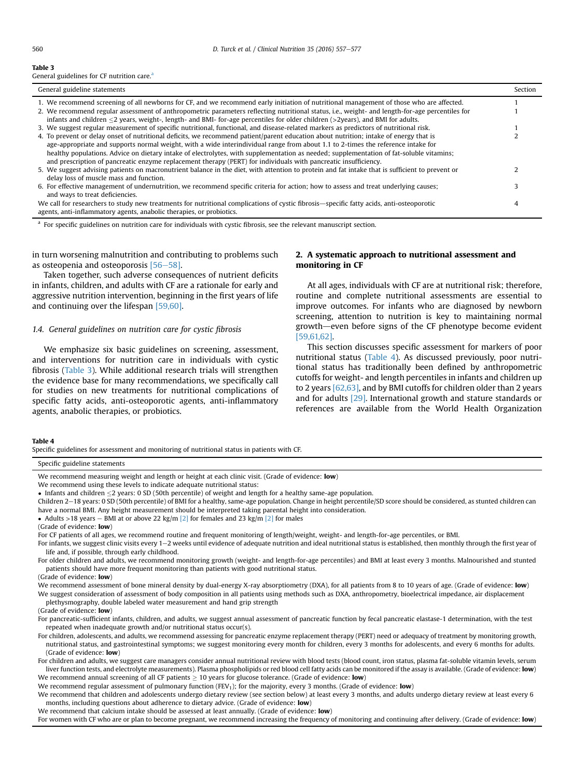#### <span id="page-3-0"></span>Table 3

General guidelines for CF nutrition care.

| General guideline statements                                                                                                                    | Section |
|-------------------------------------------------------------------------------------------------------------------------------------------------|---------|
| 1. We recommend screening of all newborns for CF, and we recommend early initiation of nutritional management of those who are affected.        |         |
| 2. We recommend regular assessment of anthropometric parameters reflecting nutritional status, i.e., weight- and length-for-age percentiles for |         |
| infants and children $\leq$ 2 years, weight-, length- and BMI- for-age percentiles for older children (>2years), and BMI for adults.            |         |
| 3. We suggest regular measurement of specific nutritional, functional, and disease-related markers as predictors of nutritional risk.           |         |
| 4. To prevent or delay onset of nutritional deficits, we recommend patient/parent education about nutrition; intake of energy that is           |         |
| age-appropriate and supports normal weight, with a wide interindividual range from about 1.1 to 2-times the reference intake for                |         |
| healthy populations. Advice on dietary intake of electrolytes, with supplementation as needed; supplementation of fat-soluble vitamins;         |         |
| and prescription of pancreatic enzyme replacement therapy (PERT) for individuals with pancreatic insufficiency.                                 |         |
| 5. We suggest advising patients on macronutrient balance in the diet, with attention to protein and fat intake that is sufficient to prevent or |         |
| delay loss of muscle mass and function.                                                                                                         |         |
| 6. For effective management of undernutrition, we recommend specific criteria for action; how to assess and treat underlying causes;            |         |
| and ways to treat deficiencies.                                                                                                                 |         |
| We call for researchers to study new treatments for nutritional complications of cystic fibrosis—specific fatty acids, anti-osteoporotic        |         |
| agents, anti-inflammatory agents, anabolic therapies, or probiotics.                                                                            |         |

<sup>a</sup> For specific guidelines on nutrition care for individuals with cystic fibrosis, see the relevant manuscript section.

in turn worsening malnutrition and contributing to problems such as osteopenia and osteoporosis  $[56-58]$  $[56-58]$  $[56-58]$ .

Taken together, such adverse consequences of nutrient deficits in infants, children, and adults with CF are a rationale for early and aggressive nutrition intervention, beginning in the first years of life and continuing over the lifespan [\[59,60\]](#page-17-0).

# 1.4. General guidelines on nutrition care for cystic fibrosis

We emphasize six basic guidelines on screening, assessment, and interventions for nutrition care in individuals with cystic fibrosis (Table 3). While additional research trials will strengthen the evidence base for many recommendations, we specifically call for studies on new treatments for nutritional complications of specific fatty acids, anti-osteoporotic agents, anti-inflammatory agents, anabolic therapies, or probiotics.

# 2. A systematic approach to nutritional assessment and monitoring in CF

At all ages, individuals with CF are at nutritional risk; therefore, routine and complete nutritional assessments are essential to improve outcomes. For infants who are diagnosed by newborn screening, attention to nutrition is key to maintaining normal growth—even before signs of the CF phenotype become evident [\[59,61,62\].](#page-17-0)

This section discusses specific assessment for markers of poor nutritional status (Table 4). As discussed previously, poor nutritional status has traditionally been defined by anthropometric cutoffs for weight- and length percentiles in infants and children up to 2 years  $[62,63]$ , and by BMI cutoffs for children older than 2 years and for adults [\[29\]](#page-17-0). International growth and stature standards or references are available from the World Health Organization

#### Table 4

Specific guidelines for assessment and monitoring of nutritional status in patients with CF.

Specific guideline statements

- We recommend using these levels to indicate adequate nutritional status:
- $\bullet$  Infants and children  $\leq$ 2 years: 0 SD (50th percentile) of weight and length for a healthy same-age population.
- Children 2-18 years: 0 SD (50th percentile) of BMI for a healthy, same-age population. Change in height percentile/SD score should be considered, as stunted children can have a normal BMI. Any height measurement should be interpreted taking parental height into consideration.
- Adults >18 years BMI at or above 22 kg/m  $[2]$  for females and 23 kg/m  $[2]$  for males
- (Grade of evidence: low)
- For CF patients of all ages, we recommend routine and frequent monitoring of length/weight, weight- and length-for-age percentiles, or BMI.
- For infants, we suggest clinic visits every 1-2 weeks until evidence of adequate nutrition and ideal nutritional status is established, then monthly through the first year of life and, if possible, through early childhood.

For older children and adults, we recommend monitoring growth (weight- and length-for-age percentiles) and BMI at least every 3 months. Malnourished and stunted patients should have more frequent monitoring than patients with good nutritional status.

(Grade of evidence: low)

We recommend assessment of bone mineral density by dual-energy X-ray absorptiometry (DXA), for all patients from 8 to 10 years of age. (Grade of evidence: low) We suggest consideration of assessment of body composition in all patients using methods such as DXA, anthropometry, bioelectrical impedance, air displacement

plethysmography, double labeled water measurement and hand grip strength

(Grade of evidence: low)

For pancreatic-sufficient infants, children, and adults, we suggest annual assessment of pancreatic function by fecal pancreatic elastase-1 determination, with the test repeated when inadequate growth and/or nutritional status occur(s).

For children, adolescents, and adults, we recommend assessing for pancreatic enzyme replacement therapy (PERT) need or adequacy of treatment by monitoring growth, nutritional status, and gastrointestinal symptoms; we suggest monitoring every month for children, every 3 months for adolescents, and every 6 months for adults. (Grade of evidence: low)

For children and adults, we suggest care managers consider annual nutritional review with blood tests (blood count, iron status, plasma fat-soluble vitamin levels, serum liver function tests, and electrolyte measurements). Plasma phospholipids or red blood cell fatty acids can be monitored if the assay is available. (Grade of evidence: low) We recommend annual screening of all CF patients  $\geq 10$  years for glucose tolerance. (Grade of evidence: **low**)

We recommend regular assessment of pulmonary function ( $FEV<sub>1</sub>$ ); for the majority, every 3 months. (Grade of evidence: **low**)

We recommend that children and adolescents undergo dietary review (see section below) at least every 3 months, and adults undergo dietary review at least every 6 months, including questions about adherence to dietary advice. (Grade of evidence: **low**)

We recommend that calcium intake should be assessed at least annually. (Grade of evidence: low)

For women with CF who are or plan to become pregnant, we recommend increasing the frequency of monitoring and continuing after delivery. (Grade of evidence: low)

We recommend measuring weight and length or height at each clinic visit. (Grade of evidence: **low**)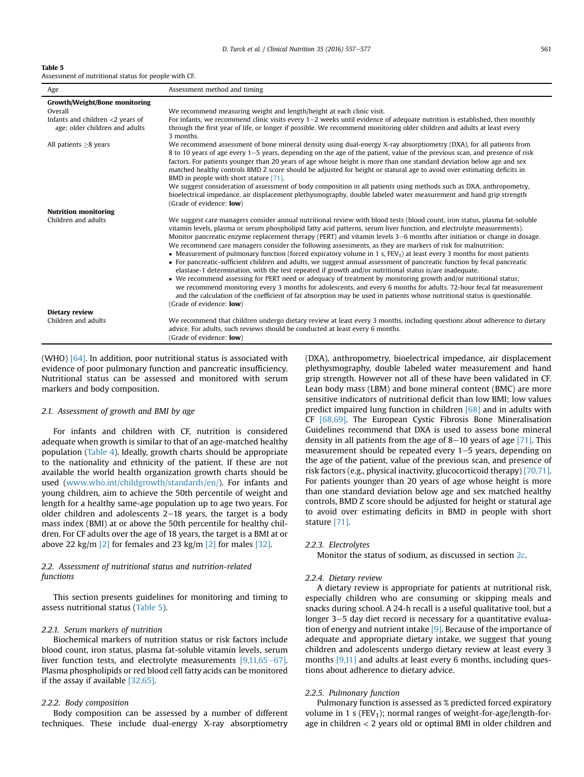| Table 5                                              |  |  |  |
|------------------------------------------------------|--|--|--|
| Assessment of nutritional status for people with CF. |  |  |  |

| Age                                                                   | Assessment method and timing                                                                                                                                                                                                                                                                                                                                                                                                                                                                                                                                                                                                                                                                                                                                                                                                                                                                                                                                                                                                                                                                                                                                                                                                                                                     |
|-----------------------------------------------------------------------|----------------------------------------------------------------------------------------------------------------------------------------------------------------------------------------------------------------------------------------------------------------------------------------------------------------------------------------------------------------------------------------------------------------------------------------------------------------------------------------------------------------------------------------------------------------------------------------------------------------------------------------------------------------------------------------------------------------------------------------------------------------------------------------------------------------------------------------------------------------------------------------------------------------------------------------------------------------------------------------------------------------------------------------------------------------------------------------------------------------------------------------------------------------------------------------------------------------------------------------------------------------------------------|
| <b>Growth/Weight/Bone monitoring</b>                                  |                                                                                                                                                                                                                                                                                                                                                                                                                                                                                                                                                                                                                                                                                                                                                                                                                                                                                                                                                                                                                                                                                                                                                                                                                                                                                  |
| Overall                                                               | We recommend measuring weight and length/height at each clinic visit.                                                                                                                                                                                                                                                                                                                                                                                                                                                                                                                                                                                                                                                                                                                                                                                                                                                                                                                                                                                                                                                                                                                                                                                                            |
| Infants and children $<$ 2 years of<br>age; older children and adults | For infants, we recommend clinic visits every $1-2$ weeks until evidence of adequate nutrition is established, then monthly<br>through the first year of life, or longer if possible. We recommend monitoring older children and adults at least every<br>3 months.                                                                                                                                                                                                                                                                                                                                                                                                                                                                                                                                                                                                                                                                                                                                                                                                                                                                                                                                                                                                              |
| All patients $\geq$ 8 years                                           | We recommend assessment of bone mineral density using dual-energy X-ray absorptiometry (DXA), for all patients from<br>8 to 10 years of age every 1–5 years, depending on the age of the patient, value of the previous scan, and presence of risk<br>factors. For patients younger than 20 years of age whose height is more than one standard deviation below age and sex<br>matched healthy controls BMD Z score should be adjusted for height or statural age to avoid over estimating deficits in<br>BMD in people with short stature [71].<br>We suggest consideration of assessment of body composition in all patients using methods such as DXA, anthropometry,<br>bioelectrical impedance, air displacement plethysmography, double labeled water measurement and hand grip strength                                                                                                                                                                                                                                                                                                                                                                                                                                                                                   |
|                                                                       | (Grade of evidence: <b>low</b> )                                                                                                                                                                                                                                                                                                                                                                                                                                                                                                                                                                                                                                                                                                                                                                                                                                                                                                                                                                                                                                                                                                                                                                                                                                                 |
| <b>Nutrition monitoring</b>                                           |                                                                                                                                                                                                                                                                                                                                                                                                                                                                                                                                                                                                                                                                                                                                                                                                                                                                                                                                                                                                                                                                                                                                                                                                                                                                                  |
| Children and adults                                                   | We suggest care managers consider annual nutritional review with blood tests (blood count, iron status, plasma fat-soluble<br>vitamin levels, plasma or serum phospholipid fatty acid patterns, serum liver function, and electrolyte measurements).<br>Monitor pancreatic enzyme replacement therapy (PERT) and vitamin levels 3–6 months after initiation or change in dosage.<br>We recommend care managers consider the following assessments, as they are markers of risk for malnutrition:<br>• Measurement of pulmonary function (forced expiratory volume in 1 s, $FEV1$ ) at least every 3 months for most patients<br>• For pancreatic-sufficient children and adults, we suggest annual assessment of pancreatic function by fecal pancreatic<br>elastase-1 determination, with the test repeated if growth and/or nutritional status is/are inadequate.<br>• We recommend assessing for PERT need or adequacy of treatment by monitoring growth and/or nutritional status;<br>we recommend monitoring every 3 months for adolescents, and every 6 months for adults. 72-hour fecal fat measurement<br>and the calculation of the coefficient of fat absorption may be used in patients whose nutritional status is questionable.<br>(Grade of evidence: <b>low</b> ) |
| <b>Dietary review</b>                                                 |                                                                                                                                                                                                                                                                                                                                                                                                                                                                                                                                                                                                                                                                                                                                                                                                                                                                                                                                                                                                                                                                                                                                                                                                                                                                                  |
| Children and adults                                                   | We recommend that children undergo dietary review at least every 3 months, including questions about adherence to dietary<br>advice. For adults, such reviews should be conducted at least every 6 months.<br>(Grade of evidence: <b>low</b> )                                                                                                                                                                                                                                                                                                                                                                                                                                                                                                                                                                                                                                                                                                                                                                                                                                                                                                                                                                                                                                   |

(WHO) [\[64\]](#page-17-0). In addition, poor nutritional status is associated with evidence of poor pulmonary function and pancreatic insufficiency. Nutritional status can be assessed and monitored with serum markers and body composition.

### 2.1. Assessment of growth and BMI by age

For infants and children with CF, nutrition is considered adequate when growth is similar to that of an age-matched healthy population [\(Table 4\)](#page-3-0). Ideally, growth charts should be appropriate to the nationality and ethnicity of the patient. If these are not available the world health organization growth charts should be used ([www.who.int/childgrowth/standards/en/](http://www.who.int/childgrowth/standards/en/)). For infants and young children, aim to achieve the 50th percentile of weight and length for a healthy same-age population up to age two years. For older children and adolescents  $2-18$  years, the target is a body mass index (BMI) at or above the 50th percentile for healthy children. For CF adults over the age of 18 years, the target is a BMI at or above 22 kg/m  $[2]$  for females and 23 kg/m  $[2]$  for males  $[32]$ .

# 2.2. Assessment of nutritional status and nutrition-related functions

This section presents guidelines for monitoring and timing to assess nutritional status (Table 5).

# 2.2.1. Serum markers of nutrition

Biochemical markers of nutrition status or risk factors include blood count, iron status, plasma fat-soluble vitamin levels, serum liver function tests, and electrolyte measurements  $[9,11,65-67]$  $[9,11,65-67]$ . Plasma phospholipids or red blood cell fatty acids can be monitored if the assay if available [\[32,65\]](#page-17-0).

# 2.2.2. Body composition

Body composition can be assessed by a number of different techniques. These include dual-energy X-ray absorptiometry (DXA), anthropometry, bioelectrical impedance, air displacement plethysmography, double labeled water measurement and hand grip strength. However not all of these have been validated in CF. Lean body mass (LBM) and bone mineral content (BMC) are more sensitive indicators of nutritional deficit than low BMI; low values predict impaired lung function in children [\[68\]](#page-17-0) and in adults with CF [\[68,69\].](#page-17-0) The European Cystic Fibrosis Bone Mineralisation Guidelines recommend that DXA is used to assess bone mineral density in all patients from the age of 8–10 years of age  $[71]$ . This measurement should be repeated every  $1-5$  years, depending on the age of the patient, value of the previous scan, and presence of risk factors (e.g., physical inactivity, glucocorticoid therapy) [\[70,71\].](#page-17-0) For patients younger than 20 years of age whose height is more than one standard deviation below age and sex matched healthy controls, BMD Z score should be adjusted for height or statural age to avoid over estimating deficits in BMD in people with short stature [\[71\]](#page-17-0).

#### 2.2.3. Electrolytes

Monitor the status of sodium, as discussed in section [2c.](#page-3-0)

#### 2.2.4. Dietary review

A dietary review is appropriate for patients at nutritional risk, especially children who are consuming or skipping meals and snacks during school. A 24-h recall is a useful qualitative tool, but a longer 3–5 day diet record is necessary for a quantitative evaluation of energy and nutrient intake [\[9\]](#page-16-0). Because of the importance of adequate and appropriate dietary intake, we suggest that young children and adolescents undergo dietary review at least every 3 months [\[9,11\]](#page-16-0) and adults at least every 6 months, including questions about adherence to dietary advice.

#### 2.2.5. Pulmonary function

Pulmonary function is assessed as % predicted forced expiratory volume in 1 s ( $FEV_1$ ); normal ranges of weight-for-age/length-forage in children < 2 years old or optimal BMI in older children and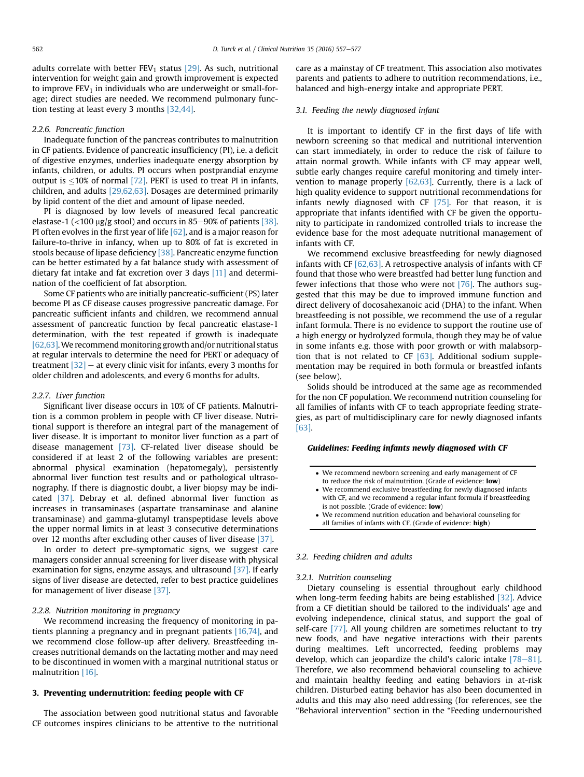adults correlate with better  $FEV_1$  status [\[29\].](#page-17-0) As such, nutritional intervention for weight gain and growth improvement is expected to improve  $FEV<sub>1</sub>$  in individuals who are underweight or small-forage; direct studies are needed. We recommend pulmonary function testing at least every 3 months [\[32,44\]](#page-17-0).

#### 2.2.6. Pancreatic function

Inadequate function of the pancreas contributes to malnutrition in CF patients. Evidence of pancreatic insufficiency (PI), i.e. a deficit of digestive enzymes, underlies inadequate energy absorption by infants, children, or adults. PI occurs when postprandial enzyme output is  $\leq$ 10% of normal [\[72\].](#page-17-0) PERT is used to treat PI in infants, children, and adults [\[29,62,63\]](#page-17-0). Dosages are determined primarily by lipid content of the diet and amount of lipase needed.

PI is diagnosed by low levels of measured fecal pancreatic elastase-1 ( $<$ 100 µg/g stool) and occurs in 85–90% of patients [\[38\].](#page-17-0) PI often evolves in the first year of life  $[62]$ , and is a major reason for failure-to-thrive in infancy, when up to 80% of fat is excreted in stools because of lipase deficiency [\[38\].](#page-17-0) Pancreatic enzyme function can be better estimated by a fat balance study with assessment of dietary fat intake and fat excretion over 3 days [\[11\]](#page-16-0) and determination of the coefficient of fat absorption.

Some CF patients who are initially pancreatic-sufficient (PS) later become PI as CF disease causes progressive pancreatic damage. For pancreatic sufficient infants and children, we recommend annual assessment of pancreatic function by fecal pancreatic elastase-1 determination, with the test repeated if growth is inadequate [\[62,63\]](#page-17-0). We recommend monitoring growth and/or nutritional status at regular intervals to determine the need for PERT or adequacy of treatment  $[32]$  – at every clinic visit for infants, every 3 months for older children and adolescents, and every 6 months for adults.

# 2.2.7. Liver function

Significant liver disease occurs in 10% of CF patients. Malnutrition is a common problem in people with CF liver disease. Nutritional support is therefore an integral part of the management of liver disease. It is important to monitor liver function as a part of disease management [\[73\]](#page-17-0). CF-related liver disease should be considered if at least 2 of the following variables are present: abnormal physical examination (hepatomegaly), persistently abnormal liver function test results and or pathological ultrasonography. If there is diagnostic doubt, a liver biopsy may be indicated [\[37\].](#page-17-0) Debray et al. defined abnormal liver function as increases in transaminases (aspartate transaminase and alanine transaminase) and gamma-glutamyl transpeptidase levels above the upper normal limits in at least 3 consecutive determinations over 12 months after excluding other causes of liver disease [\[37\].](#page-17-0)

In order to detect pre-symptomatic signs, we suggest care managers consider annual screening for liver disease with physical examination for signs, enzyme assays, and ultrasound [\[37\].](#page-17-0) If early signs of liver disease are detected, refer to best practice guidelines for management of liver disease [\[37\]](#page-17-0).

## 2.2.8. Nutrition monitoring in pregnancy

We recommend increasing the frequency of monitoring in patients planning a pregnancy and in pregnant patients [\[16,74\]](#page-17-0), and we recommend close follow-up after delivery. Breastfeeding increases nutritional demands on the lactating mother and may need to be discontinued in women with a marginal nutritional status or malnutrition [\[16\]](#page-17-0).

#### 3. Preventing undernutrition: feeding people with CF

The association between good nutritional status and favorable CF outcomes inspires clinicians to be attentive to the nutritional care as a mainstay of CF treatment. This association also motivates parents and patients to adhere to nutrition recommendations, i.e., balanced and high-energy intake and appropriate PERT.

#### 3.1. Feeding the newly diagnosed infant

It is important to identify CF in the first days of life with newborn screening so that medical and nutritional intervention can start immediately, in order to reduce the risk of failure to attain normal growth. While infants with CF may appear well, subtle early changes require careful monitoring and timely intervention to manage properly  $[62,63]$ . Currently, there is a lack of high quality evidence to support nutritional recommendations for infants newly diagnosed with CF [\[75\]](#page-18-0). For that reason, it is appropriate that infants identified with CF be given the opportunity to participate in randomized controlled trials to increase the evidence base for the most adequate nutritional management of infants with CF.

We recommend exclusive breastfeeding for newly diagnosed infants with CF [\[62,63\].](#page-17-0) A retrospective analysis of infants with CF found that those who were breastfed had better lung function and fewer infections that those who were not [\[76\]](#page-18-0). The authors suggested that this may be due to improved immune function and direct delivery of docosahexanoic acid (DHA) to the infant. When breastfeeding is not possible, we recommend the use of a regular infant formula. There is no evidence to support the routine use of a high energy or hydrolyzed formula, though they may be of value in some infants e.g. those with poor growth or with malabsorption that is not related to CF  $[63]$ . Additional sodium supplementation may be required in both formula or breastfed infants (see below).

Solids should be introduced at the same age as recommended for the non CF population. We recommend nutrition counseling for all families of infants with CF to teach appropriate feeding strategies, as part of multidisciplinary care for newly diagnosed infants [\[63\]](#page-17-0).

# Guidelines: Feeding infants newly diagnosed with CF

- We recommend newborn screening and early management of CF to reduce the risk of malnutrition. (Grade of evidence: low)
- We recommend exclusive breastfeeding for newly diagnosed infants with CF, and we recommend a regular infant formula if breastfeeding is not possible. (Grade of evidence: low)
- We recommend nutrition education and behavioral counseling for all families of infants with CF. (Grade of evidence: high)

#### 3.2. Feeding children and adults

# 3.2.1. Nutrition counseling

Dietary counseling is essential throughout early childhood when long-term feeding habits are being established [\[32\].](#page-17-0) Advice from a CF dietitian should be tailored to the individuals' age and evolving independence, clinical status, and support the goal of self-care [\[77\].](#page-18-0) All young children are sometimes reluctant to try new foods, and have negative interactions with their parents during mealtimes. Left uncorrected, feeding problems may develop, which can jeopardize the child's caloric intake  $[78-81]$  $[78-81]$ . Therefore, we also recommend behavioral counseling to achieve and maintain healthy feeding and eating behaviors in at-risk children. Disturbed eating behavior has also been documented in adults and this may also need addressing (for references, see the "Behavioral intervention" section in the "Feeding undernourished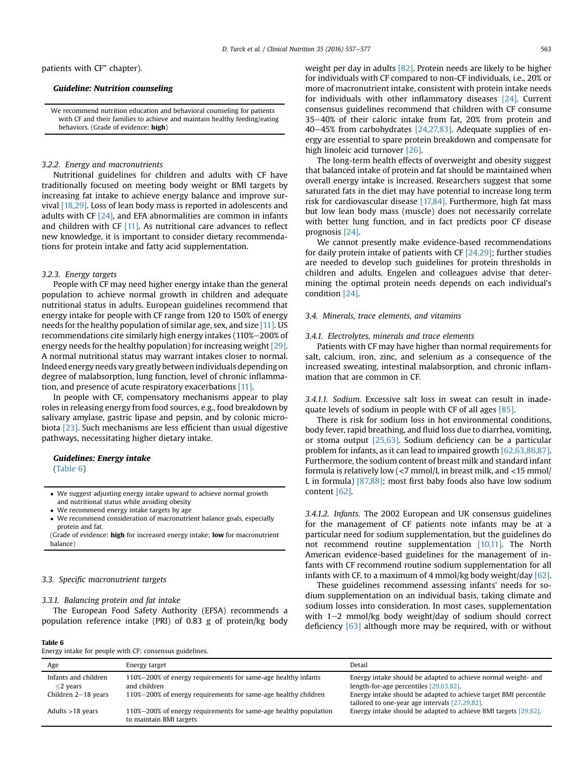patients with CF" chapter).

# Guideline: Nutrition counseling

We recommend nutrition education and behavioral counseling for patients with CF and their families to achieve and maintain healthy feeding/eating behaviors. (Grade of evidence: high)

# 3.2.2. Energy and macronutrients

Nutritional guidelines for children and adults with CF have traditionally focused on meeting body weight or BMI targets by increasing fat intake to achieve energy balance and improve survival [\[18,29\].](#page-17-0) Loss of lean body mass is reported in adolescents and adults with CF  $[24]$ , and EFA abnormalities are common in infants and children with CF [\[11\]](#page-16-0). As nutritional care advances to reflect new knowledge, it is important to consider dietary recommendations for protein intake and fatty acid supplementation.

# 3.2.3. Energy targets

People with CF may need higher energy intake than the general population to achieve normal growth in children and adequate nutritional status in adults. European guidelines recommend that energy intake for people with CF range from 120 to 150% of energy needs for the healthy population of similar age, sex, and size [\[11\].](#page-16-0) US recommendations cite similarly high energy intakes (110%-200% of energy needs for the healthy population) for increasing weight [\[29\].](#page-17-0) A normal nutritional status may warrant intakes closer to normal. Indeed energy needs vary greatly between individuals depending on degree of malabsorption, lung function, level of chronic inflammation, and presence of acute respiratory exacerbations [\[11\]](#page-16-0).

In people with CF, compensatory mechanisms appear to play roles in releasing energy from food sources, e.g., food breakdown by salivary amylase, gastric lipase and pepsin, and by colonic microbiota [\[23\]](#page-17-0). Such mechanisms are less efficient than usual digestive pathways, necessitating higher dietary intake.

# Guidelines: Energy intake

(Table 6)

- We suggest adjusting energy intake upward to achieve normal growth and nutritional status while avoiding obesity
- We recommend energy intake targets by age
- We recommend consideration of macronutrient balance goals, especially protein and fat.

(Grade of evidence: high for increased energy intake; low for macronutrient balance)

# 3.3. Specific macronutrient targets

## 3.3.1. Balancing protein and fat intake

The European Food Safety Authority (EFSA) recommends a population reference intake (PRI) of 0.83 g of protein/kg body weight per day in adults [\[82\]](#page-18-0). Protein needs are likely to be higher for individuals with CF compared to non-CF individuals, i.e., 20% or more of macronutrient intake, consistent with protein intake needs for individuals with other inflammatory diseases [\[24\]](#page-17-0). Current consensus guidelines recommend that children with CF consume 35-40% of their caloric intake from fat, 20% from protein and 40 $-45%$  from carbohydrates [\[24,27,83\].](#page-17-0) Adequate supplies of energy are essential to spare protein breakdown and compensate for high linoleic acid turnover [\[26\].](#page-17-0)

The long-term health effects of overweight and obesity suggest that balanced intake of protein and fat should be maintained when overall energy intake is increased. Researchers suggest that some saturated fats in the diet may have potential to increase long term risk for cardiovascular disease [\[17,84\].](#page-17-0) Furthermore, high fat mass but low lean body mass (muscle) does not necessarily correlate with better lung function, and in fact predicts poor CF disease prognosis [\[24\].](#page-17-0)

We cannot presently make evidence-based recommendations for daily protein intake of patients with CF  $[24,29]$ ; further studies are needed to develop such guidelines for protein thresholds in children and adults. Engelen and colleagues advise that determining the optimal protein needs depends on each individual's condition [\[24\]](#page-17-0).

# 3.4. Minerals, trace elements, and vitamins

#### 3.4.1. Electrolytes, minerals and trace elements

Patients with CF may have higher than normal requirements for salt, calcium, iron, zinc, and selenium as a consequence of the increased sweating, intestinal malabsorption, and chronic inflammation that are common in CF.

3.4.1.1. Sodium. Excessive salt loss in sweat can result in inadequate levels of sodium in people with CF of all ages [\[85\]](#page-18-0).

There is risk for sodium loss in hot environmental conditions, body fever, rapid breathing, and fluid loss due to diarrhea, vomiting, or stoma output [\[25,63\].](#page-17-0) Sodium deficiency can be a particular problem for infants, as it can lead to impaired growth [\[62,63,86,87\].](#page-17-0) Furthermore, the sodium content of breast milk and standard infant formula is relatively low (<7 mmol/L in breast milk, and <15 mmol/ L in formula) [\[87,88\]](#page-18-0); most first baby foods also have low sodium content [\[62\]](#page-17-0).

3.4.1.2. Infants. The 2002 European and UK consensus guidelines for the management of CF patients note infants may be at a particular need for sodium supplementation, but the guidelines do not recommend routine supplementation [\[10,11\].](#page-16-0) The North American evidence-based guidelines for the management of infants with CF recommend routine sodium supplementation for all infants with CF, to a maximum of 4 mmol/kg body weight/day [\[62\].](#page-17-0)

These guidelines recommend assessing infants' needs for sodium supplementation on an individual basis, taking climate and sodium losses into consideration. In most cases, supplementation with  $1-2$  mmol/kg body weight/day of sodium should correct deficiency  $[63]$  although more may be required, with or without

Table 6 Energy intake for people with CF: consensus guidelines.

| Age                                 | Energy target                                                                               | Detail                                                                                                             |
|-------------------------------------|---------------------------------------------------------------------------------------------|--------------------------------------------------------------------------------------------------------------------|
| Infants and children<br>$<$ 2 years | 110%-200% of energy requirements for same-age healthy infants<br>and children               | Energy intake should be adapted to achieve normal weight- and<br>length-for-age percentiles [29,63,82].            |
| Children 2-18 years                 | 110%-200% of energy requirements for same-age healthy children                              | Energy intake should be adapted to achieve target BMI percentile<br>tailored to one-year age intervals [27,29,82]. |
| Adults $>18$ years                  | 110%–200% of energy requirements for same-age healthy population<br>to maintain BMI targets | Energy intake should be adapted to achieve BMI targets [29,82].                                                    |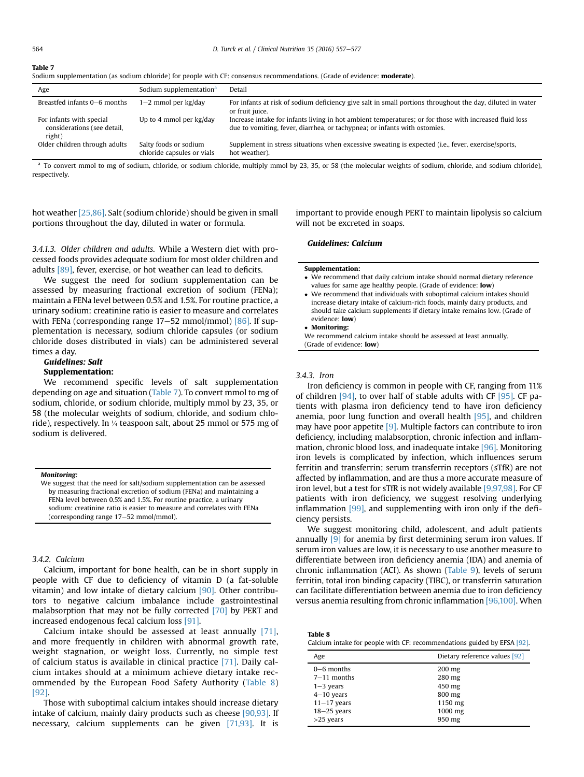#### Table 7

|  |  |  | Sodium supplementation (as sodium chloride) for people with CF: consensus recommendations. (Grade of evidence: moderate). |  |  |
|--|--|--|---------------------------------------------------------------------------------------------------------------------------|--|--|
|--|--|--|---------------------------------------------------------------------------------------------------------------------------|--|--|

| Age                                                               | Sodium supplementation <sup>a</sup>                 | Detail                                                                                                                                                                              |
|-------------------------------------------------------------------|-----------------------------------------------------|-------------------------------------------------------------------------------------------------------------------------------------------------------------------------------------|
| Breastfed infants 0–6 months                                      | $1-2$ mmol per kg/day                               | For infants at risk of sodium deficiency give salt in small portions throughout the day, diluted in water<br>or fruit juice.                                                        |
| For infants with special<br>considerations (see detail,<br>right) | Up to 4 mmol per kg/day                             | Increase intake for infants living in hot ambient temperatures; or for those with increased fluid loss<br>due to vomiting, fever, diarrhea, or tachypnea; or infants with ostomies. |
| Older children through adults                                     | Salty foods or sodium<br>chloride capsules or vials | Supplement in stress situations when excessive sweating is expected (i.e., fever, exercise/sports,<br>hot weather).                                                                 |

<sup>a</sup> To convert mmol to mg of sodium, chloride, or sodium chloride, multiply mmol by 23, 35, or 58 (the molecular weights of sodium, chloride, and sodium chloride), respectively.

hot weather [\[25,86\].](#page-17-0) Salt (sodium chloride) should be given in small portions throughout the day, diluted in water or formula.

important to provide enough PERT to maintain lipolysis so calcium will not be excreted in soaps.

3.4.1.3. Older children and adults. While a Western diet with processed foods provides adequate sodium for most older children and adults [\[89\],](#page-18-0) fever, exercise, or hot weather can lead to deficits.

We suggest the need for sodium supplementation can be assessed by measuring fractional excretion of sodium (FENa); maintain a FENa level between 0.5% and 1.5%. For routine practice, a urinary sodium: creatinine ratio is easier to measure and correlates with FENa (corresponding range  $17-52$  mmol/mmol) [\[86\]](#page-18-0). If supplementation is necessary, sodium chloride capsules (or sodium chloride doses distributed in vials) can be administered several times a day.

# Guidelines: Salt Supplementation:

We recommend specific levels of salt supplementation depending on age and situation (Table 7). To convert mmol to mg of sodium, chloride, or sodium chloride, multiply mmol by 23, 35, or 58 (the molecular weights of sodium, chloride, and sodium chloride), respectively. In ¼ teaspoon salt, about 25 mmol or 575 mg of sodium is delivered.

#### Monitoring:

We suggest that the need for salt/sodium supplementation can be assessed by measuring fractional excretion of sodium (FENa) and maintaining a FENa level between 0.5% and 1.5%. For routine practice, a urinary sodium: creatinine ratio is easier to measure and correlates with FENa (corresponding range  $17-52$  mmol/mmol).

#### 3.4.2. Calcium

Calcium, important for bone health, can be in short supply in people with CF due to deficiency of vitamin D (a fat-soluble vitamin) and low intake of dietary calcium [\[90\]](#page-18-0). Other contributors to negative calcium imbalance include gastrointestinal malabsorption that may not be fully corrected [\[70\]](#page-17-0) by PERT and increased endogenous fecal calcium loss [\[91\]](#page-18-0).

Calcium intake should be assessed at least annually [\[71\],](#page-17-0) and more frequently in children with abnormal growth rate, weight stagnation, or weight loss. Currently, no simple test of calcium status is available in clinical practice [\[71\].](#page-17-0) Daily calcium intakes should at a minimum achieve dietary intake recommended by the European Food Safety Authority (Table 8) [\[92\].](#page-18-0)

Those with suboptimal calcium intakes should increase dietary intake of calcium, mainly dairy products such as cheese [\[90,93\]](#page-18-0). If necessary, calcium supplements can be given [\[71,93\]](#page-17-0). It is

#### Guidelines: Calcium

#### Supplementation:

- We recommend that daily calcium intake should normal dietary reference values for same age healthy people. (Grade of evidence: low)
- We recommend that individuals with suboptimal calcium intakes should increase dietary intake of calcium-rich foods, mainly dairy products, and should take calcium supplements if dietary intake remains low. (Grade of evidence: low)

# Monitoring:

We recommend calcium intake should be assessed at least annually. (Grade of evidence: low)

# 3.4.3. Iron

Iron deficiency is common in people with CF, ranging from 11% of children [\[94\],](#page-18-0) to over half of stable adults with CF [\[95\]](#page-18-0). CF patients with plasma iron deficiency tend to have iron deficiency anemia, poor lung function and overall health [\[95\]](#page-18-0), and children may have poor appetite [\[9\]](#page-16-0). Multiple factors can contribute to iron deficiency, including malabsorption, chronic infection and inflammation, chronic blood loss, and inadequate intake [\[96\]](#page-18-0). Monitoring iron levels is complicated by infection, which influences serum ferritin and transferrin; serum transferrin receptors (sTfR) are not affected by inflammation, and are thus a more accurate measure of iron level, but a test for sTfR is not widely available [\[9,97,98\].](#page-16-0) For CF patients with iron deficiency, we suggest resolving underlying inflammation [\[99\]](#page-18-0), and supplementing with iron only if the deficiency persists.

We suggest monitoring child, adolescent, and adult patients annually  $[9]$  for anemia by first determining serum iron values. If serum iron values are low, it is necessary to use another measure to differentiate between iron deficiency anemia (IDA) and anemia of chronic inflammation (ACI). As shown ([Table 9\)](#page-8-0), levels of serum ferritin, total iron binding capacity (TIBC), or transferrin saturation can facilitate differentiation between anemia due to iron deficiency versus anemia resulting from chronic inflammation [\[96,100\]](#page-18-0). When

| Table 8                                                                 |
|-------------------------------------------------------------------------|
| Calcium intake for people with CF: recommendations guided by EFSA [92]. |

| Dietary reference values [92] |
|-------------------------------|
| $200$ mg                      |
| 280 mg                        |
| 450 mg                        |
| 800 mg                        |
| 1150 mg                       |
| 1000 mg                       |
| 950 mg                        |
|                               |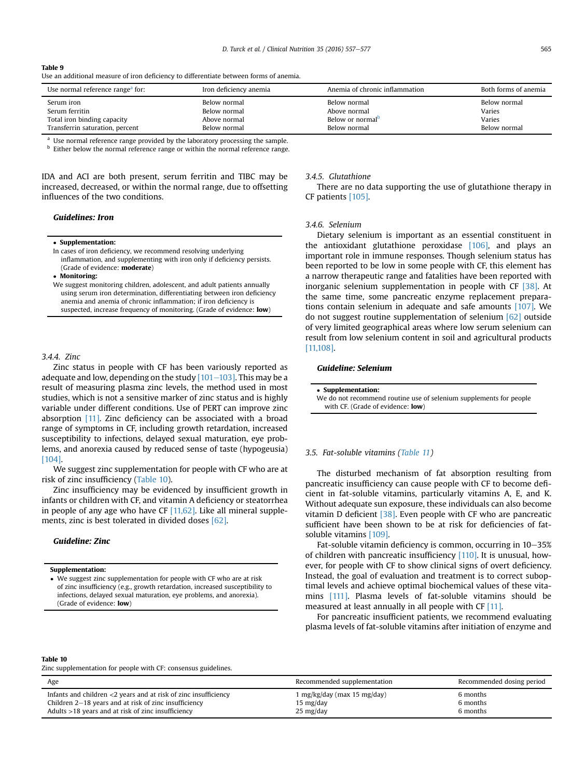#### <span id="page-8-0"></span>Table 9

Use an additional measure of iron deficiency to differentiate between forms of anemia.

| Use normal reference range <sup>a</sup> for: | Iron deficiency anemia | Anemia of chronic inflammation | Both forms of anemia |
|----------------------------------------------|------------------------|--------------------------------|----------------------|
| Serum iron                                   | Below normal           | Below normal                   | Below normal         |
| Serum ferritin                               | Below normal           | Above normal                   | Varies               |
| Total iron binding capacity                  | Above normal           | Below or normal <sup>b</sup>   | Varies               |
| Transferrin saturation, percent              | Below normal           | Below normal                   | Below normal         |

Use normal reference range provided by the laboratory processing the sample.

**b** Either below the normal reference range or within the normal reference range.

IDA and ACI are both present, serum ferritin and TIBC may be increased, decreased, or within the normal range, due to offsetting influences of the two conditions.

# Guidelines: Iron

#### Supplementation:

In cases of iron deficiency, we recommend resolving underlying inflammation, and supplementing with iron only if deficiency persists. (Grade of evidence: moderate)

Monitoring:

We suggest monitoring children, adolescent, and adult patients annually using serum iron determination, differentiating between iron deficiency anemia and anemia of chronic inflammation; if iron deficiency is suspected, increase frequency of monitoring. (Grade of evidence: low)

#### 3.4.4 Zinc

Zinc status in people with CF has been variously reported as adequate and low, depending on the study  $[101-103]$  $[101-103]$ . This may be a result of measuring plasma zinc levels, the method used in most studies, which is not a sensitive marker of zinc status and is highly variable under different conditions. Use of PERT can improve zinc absorption [\[11\]](#page-16-0). Zinc deficiency can be associated with a broad range of symptoms in CF, including growth retardation, increased susceptibility to infections, delayed sexual maturation, eye problems, and anorexia caused by reduced sense of taste (hypogeusia) [\[104\]](#page-18-0).

We suggest zinc supplementation for people with CF who are at risk of zinc insufficiency (Table 10).

Zinc insufficiency may be evidenced by insufficient growth in infants or children with CF, and vitamin A deficiency or steatorrhea in people of any age who have CF  $[11,62]$ . Like all mineral supplements, zinc is best tolerated in divided doses [\[62\]](#page-17-0).

# Guideline: Zinc

#### Supplementation:

 We suggest zinc supplementation for people with CF who are at risk of zinc insufficiency (e.g., growth retardation, increased susceptibility to infections, delayed sexual maturation, eye problems, and anorexia). (Grade of evidence: low)

#### 3.4.5. Glutathione

There are no data supporting the use of glutathione therapy in CF patients [\[105\].](#page-18-0)

# 3.4.6. Selenium

Dietary selenium is important as an essential constituent in the antioxidant glutathione peroxidase [\[106\],](#page-18-0) and plays an important role in immune responses. Though selenium status has been reported to be low in some people with CF, this element has a narrow therapeutic range and fatalities have been reported with inorganic selenium supplementation in people with CF [\[38\]](#page-17-0). At the same time, some pancreatic enzyme replacement preparations contain selenium in adequate and safe amounts [\[107\].](#page-18-0) We do not suggest routine supplementation of selenium [\[62\]](#page-17-0) outside of very limited geographical areas where low serum selenium can result from low selenium content in soil and agricultural products [\[11,108\]](#page-16-0).

# Guideline: Selenium

| • Supplementation:                                                 |
|--------------------------------------------------------------------|
| We do not recommend routine use of selenium supplements for people |
| with CF. (Grade of evidence: <b>low</b> )                          |

#### 3.5. Fat-soluble vitamins ([Table 11\)](#page-9-0)

The disturbed mechanism of fat absorption resulting from pancreatic insufficiency can cause people with CF to become deficient in fat-soluble vitamins, particularly vitamins A, E, and K. Without adequate sun exposure, these individuals can also become vitamin D deficient [\[38\]](#page-17-0). Even people with CF who are pancreatic sufficient have been shown to be at risk for deficiencies of fatsoluble vitamins [\[109\].](#page-18-0)

Fat-soluble vitamin deficiency is common, occurring in 10-35% of children with pancreatic insufficiency [\[110\]](#page-18-0). It is unusual, however, for people with CF to show clinical signs of overt deficiency. Instead, the goal of evaluation and treatment is to correct suboptimal levels and achieve optimal biochemical values of these vitamins [\[111\].](#page-18-0) Plasma levels of fat-soluble vitamins should be measured at least annually in all people with CF [\[11\]](#page-16-0).

For pancreatic insufficient patients, we recommend evaluating plasma levels of fat-soluble vitamins after initiation of enzyme and

#### Table 10

Zinc supplementation for people with CF: consensus guidelines.

| Age                                                                | Recommended supplementation | Recommended dosing period |
|--------------------------------------------------------------------|-----------------------------|---------------------------|
| Infants and children $<$ 2 years and at risk of zinc insufficiency | 1 mg/kg/day (max 15 mg/day) | 6 months                  |
| Children 2–18 years and at risk of zinc insufficiency              | $15 \text{ mg/day}$         | 6 months                  |
| Adults >18 years and at risk of zinc insufficiency                 | $25 \text{ mg/day}$         | 6 months                  |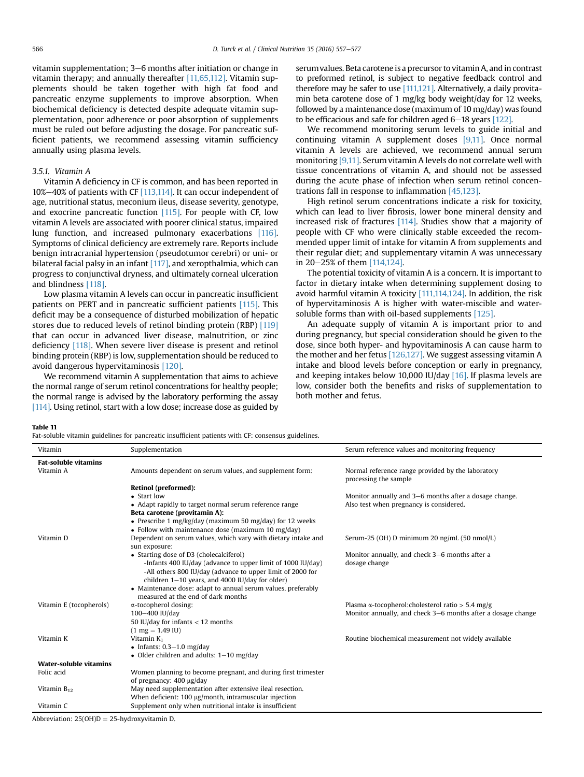<span id="page-9-0"></span>vitamin supplementation; 3–6 months after initiation or change in vitamin therapy; and annually thereafter [\[11,65,112\]](#page-16-0). Vitamin supplements should be taken together with high fat food and pancreatic enzyme supplements to improve absorption. When biochemical deficiency is detected despite adequate vitamin supplementation, poor adherence or poor absorption of supplements must be ruled out before adjusting the dosage. For pancreatic sufficient patients, we recommend assessing vitamin sufficiency annually using plasma levels.

# 3.5.1. Vitamin A

Vitamin A deficiency in CF is common, and has been reported in 10% $-40$ % of patients with CF  $[113,114]$ . It can occur independent of age, nutritional status, meconium ileus, disease severity, genotype, and exocrine pancreatic function [\[115\].](#page-18-0) For people with CF, low vitamin A levels are associated with poorer clinical status, impaired lung function, and increased pulmonary exacerbations [\[116\].](#page-18-0) Symptoms of clinical deficiency are extremely rare. Reports include benign intracranial hypertension (pseudotumor cerebri) or uni- or bilateral facial palsy in an infant [\[117\],](#page-18-0) and xeropthalmia, which can progress to conjunctival dryness, and ultimately corneal ulceration and blindness [\[118\].](#page-18-0)

Low plasma vitamin A levels can occur in pancreatic insufficient patients on PERT and in pancreatic sufficient patients [\[115\].](#page-18-0) This deficit may be a consequence of disturbed mobilization of hepatic stores due to reduced levels of retinol binding protein (RBP) [\[119\]](#page-18-0) that can occur in advanced liver disease, malnutrition, or zinc deficiency [\[118\].](#page-18-0) When severe liver disease is present and retinol binding protein (RBP) is low, supplementation should be reduced to avoid dangerous hypervitaminosis [\[120\]](#page-18-0).

We recommend vitamin A supplementation that aims to achieve the normal range of serum retinol concentrations for healthy people; the normal range is advised by the laboratory performing the assay [\[114\].](#page-18-0) Using retinol, start with a low dose; increase dose as guided by serum values. Beta carotene is a precursor to vitamin A, and in contrast to preformed retinol, is subject to negative feedback control and therefore may be safer to use [\[111,121\]](#page-18-0). Alternatively, a daily provitamin beta carotene dose of 1 mg/kg body weight/day for 12 weeks, followed by a maintenance dose (maximum of 10 mg/day) was found to be efficacious and safe for children aged  $6-18$  years [\[122\].](#page-18-0)

We recommend monitoring serum levels to guide initial and continuing vitamin A supplement doses [\[9,11\]](#page-16-0). Once normal vitamin A levels are achieved, we recommend annual serum monitoring [\[9,11\].](#page-16-0) Serum vitamin A levels do not correlate well with tissue concentrations of vitamin A, and should not be assessed during the acute phase of infection when serum retinol concentrations fall in response to inflammation [\[45,123\]](#page-17-0).

High retinol serum concentrations indicate a risk for toxicity, which can lead to liver fibrosis, lower bone mineral density and increased risk of fractures [\[114\]](#page-18-0). Studies show that a majority of people with CF who were clinically stable exceeded the recommended upper limit of intake for vitamin A from supplements and their regular diet; and supplementary vitamin A was unnecessary in 20-25% of them [\[114,124\].](#page-18-0)

The potential toxicity of vitamin A is a concern. It is important to factor in dietary intake when determining supplement dosing to avoid harmful vitamin A toxicity [\[111,114,124\]](#page-18-0). In addition, the risk of hypervitaminosis A is higher with water-miscible and watersoluble forms than with oil-based supplements [\[125\]](#page-18-0).

An adequate supply of vitamin A is important prior to and during pregnancy, but special consideration should be given to the dose, since both hyper- and hypovitaminosis A can cause harm to the mother and her fetus [\[126,127\]](#page-18-0). We suggest assessing vitamin A intake and blood levels before conception or early in pregnancy, and keeping intakes below 10,000 IU/day [\[16\].](#page-17-0) If plasma levels are low, consider both the benefits and risks of supplementation to both mother and fetus.

#### Table 11

Fat-soluble vitamin guidelines for pancreatic insufficient patients with CF: consensus guidelines.

| Vitamin                       | Supplementation                                                                | Serum reference values and monitoring frequency                            |
|-------------------------------|--------------------------------------------------------------------------------|----------------------------------------------------------------------------|
| <b>Fat-soluble vitamins</b>   |                                                                                |                                                                            |
| Vitamin A                     | Amounts dependent on serum values, and supplement form:                        | Normal reference range provided by the laboratory<br>processing the sample |
|                               | Retinol (preformed):                                                           |                                                                            |
|                               | • Start low                                                                    | Monitor annually and 3-6 months after a dosage change.                     |
|                               | • Adapt rapidly to target normal serum reference range                         | Also test when pregnancy is considered.                                    |
|                               | Beta carotene (provitamin A):                                                  |                                                                            |
|                               | • Prescribe 1 mg/kg/day (maximum 50 mg/day) for 12 weeks                       |                                                                            |
|                               | • Follow with maintenance dose (maximum 10 mg/day)                             |                                                                            |
| Vitamin D                     | Dependent on serum values, which vary with dietary intake and<br>sun exposure: | Serum-25 (OH) D minimum 20 ng/mL (50 nmol/L)                               |
|                               | • Starting dose of D3 (cholecalciferol)                                        | Monitor annually, and check 3–6 months after a                             |
|                               | -Infants 400 IU/day (advance to upper limit of 1000 IU/day)                    | dosage change                                                              |
|                               | -All others 800 IU/day (advance to upper limit of 2000 for                     |                                                                            |
|                               | children $1-10$ years, and 4000 IU/day for older)                              |                                                                            |
|                               | • Maintenance dose: adapt to annual serum values, preferably                   |                                                                            |
|                               | measured at the end of dark months                                             |                                                                            |
| Vitamin E (tocopherols)       | α-tocopherol dosing:                                                           | Plasma $\alpha$ -tocopherol: cholesterol ratio > 5.4 mg/g                  |
|                               | 100-400 IU/day                                                                 | Monitor annually, and check 3–6 months after a dosage change               |
|                               | 50 IU/day for infants $<$ 12 months                                            |                                                                            |
|                               | $(1 \text{ mg} = 1.49 \text{ IU})$                                             |                                                                            |
| Vitamin K                     | Vitamin $K_1$                                                                  | Routine biochemical measurement not widely available                       |
|                               | • Infants: $0.3-1.0$ mg/day                                                    |                                                                            |
|                               | • Older children and adults: $1-10$ mg/day                                     |                                                                            |
| <b>Water-soluble vitamins</b> |                                                                                |                                                                            |
| Folic acid                    | Women planning to become pregnant, and during first trimester                  |                                                                            |
|                               | of pregnancy: 400 µg/day                                                       |                                                                            |
| Vitamin $B_{12}$              | May need supplementation after extensive ileal resection.                      |                                                                            |
|                               | When deficient: 100 µg/month, intramuscular injection                          |                                                                            |
| Vitamin C                     | Supplement only when nutritional intake is insufficient                        |                                                                            |

Abbreviation:  $25(OH)D = 25$ -hydroxyvitamin D.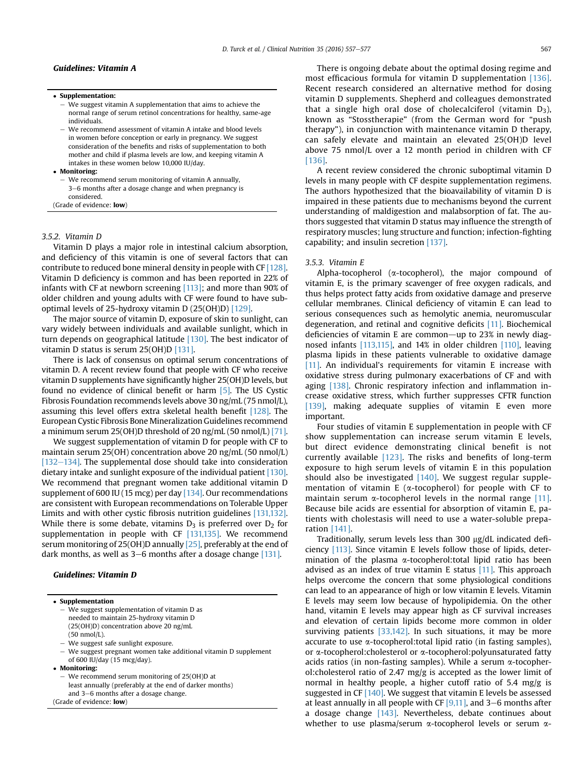# Guidelines: Vitamin A

- Supplementation:
	- $-$  We suggest vitamin A supplementation that aims to achieve the normal range of serum retinol concentrations for healthy, same-age individuals.
	- We recommend assessment of vitamin A intake and blood levels in women before conception or early in pregnancy. We suggest consideration of the benefits and risks of supplementation to both mother and child if plasma levels are low, and keeping vitamin A intakes in these women below 10,000 IU/day.
- Monitoring:
- We recommend serum monitoring of vitamin A annually 3–6 months after a dosage change and when pregnancy is considered. (Grade of evidence: low)

#### 3.5.2. Vitamin D

Vitamin D plays a major role in intestinal calcium absorption, and deficiency of this vitamin is one of several factors that can contribute to reduced bone mineral density in people with CF [\[128\].](#page-18-0) Vitamin D deficiency is common and has been reported in 22% of infants with CF at newborn screening [\[113\];](#page-18-0) and more than 90% of older children and young adults with CF were found to have suboptimal levels of 25-hydroxy vitamin D (25(OH)D) [\[129\].](#page-18-0)

The major source of vitamin D, exposure of skin to sunlight, can vary widely between individuals and available sunlight, which in turn depends on geographical latitude [\[130\].](#page-18-0) The best indicator of vitamin D status is serum 25(OH)D [\[131\]](#page-18-0).

There is lack of consensus on optimal serum concentrations of vitamin D. A recent review found that people with CF who receive vitamin D supplements have significantly higher 25(OH)D levels, but found no evidence of clinical benefit or harm [\[5\].](#page-16-0) The US Cystic Fibrosis Foundation recommends levels above 30 ng/mL (75 nmol/L), assuming this level offers extra skeletal health benefit [\[128\]](#page-18-0). The European Cystic Fibrosis Bone Mineralization Guidelines recommend a minimum serum 25(OH)D threshold of 20 ng/mL (50 nmol/L) [\[71\].](#page-17-0)

We suggest supplementation of vitamin D for people with CF to maintain serum 25(OH) concentration above 20 ng/mL (50 nmol/L)  $[132-134]$  $[132-134]$  $[132-134]$ . The supplemental dose should take into consideration dietary intake and sunlight exposure of the individual patient [\[130\].](#page-18-0) We recommend that pregnant women take additional vitamin D supplement of 600 IU (15 mcg) per day [\[134\]](#page-18-0). Our recommendations are consistent with European recommendations on Tolerable Upper Limits and with other cystic fibrosis nutrition guidelines [\[131,132\].](#page-18-0) While there is some debate, vitamins  $D_3$  is preferred over  $D_2$  for supplementation in people with CF [\[131,135\].](#page-18-0) We recommend serum monitoring of 25(OH)D annually [\[25\]](#page-17-0), preferably at the end of dark months, as well as  $3-6$  months after a dosage change  $[131]$ .

# Guidelines: Vitamin D

#### Supplementation

- e We suggest supplementation of vitamin D as needed to maintain 25-hydroxy vitamin D (25(OH)D) concentration above 20 ng/mL (50 nmol/L).
- We suggest safe sunlight exposure.
- We suggest pregnant women take additional vitamin D supplement of 600 IU/day (15 mcg/day).
- Monitoring:
- We recommend serum monitoring of 25(OH)D at least annually (preferably at the end of darker months) and 3-6 months after a dosage change.

(Grade of evidence: low)

There is ongoing debate about the optimal dosing regime and most efficacious formula for vitamin D supplementation [\[136\].](#page-18-0) Recent research considered an alternative method for dosing vitamin D supplements. Shepherd and colleagues demonstrated that a single high oral dose of cholecalciferol (vitamin  $D_3$ ), known as "Stosstherapie" (from the German word for "push therapy"), in conjunction with maintenance vitamin D therapy, can safely elevate and maintain an elevated 25(OH)D level above 75 nmol/L over a 12 month period in children with CF [\[136\].](#page-18-0)

A recent review considered the chronic suboptimal vitamin D levels in many people with CF despite supplementation regimens. The authors hypothesized that the bioavailability of vitamin D is impaired in these patients due to mechanisms beyond the current understanding of maldigestion and malabsorption of fat. The authors suggested that vitamin D status may influence the strength of respiratory muscles; lung structure and function; infection-fighting capability; and insulin secretion [\[137\].](#page-19-0)

#### 3.5.3. Vitamin E

Alpha-tocopherol ( $\alpha$ -tocopherol), the major compound of vitamin E, is the primary scavenger of free oxygen radicals, and thus helps protect fatty acids from oxidative damage and preserve cellular membranes. Clinical deficiency of vitamin E can lead to serious consequences such as hemolytic anemia, neuromuscular degeneration, and retinal and cognitive deficits [\[11\].](#page-16-0) Biochemical deficiencies of vitamin E are common-up to 23% in newly diagnosed infants [\[113,115\]](#page-18-0), and 14% in older children [\[110\],](#page-18-0) leaving plasma lipids in these patients vulnerable to oxidative damage [\[11\].](#page-16-0) An individual's requirements for vitamin E increase with oxidative stress during pulmonary exacerbations of CF and with aging [\[138\].](#page-19-0) Chronic respiratory infection and inflammation increase oxidative stress, which further suppresses CFTR function [\[139\]](#page-19-0), making adequate supplies of vitamin E even more important.

Four studies of vitamin E supplementation in people with CF show supplementation can increase serum vitamin E levels, but direct evidence demonstrating clinical benefit is not currently available  $[123]$ . The risks and benefits of long-term exposure to high serum levels of vitamin E in this population should also be investigated  $[140]$ . We suggest regular supplementation of vitamin E ( $\alpha$ -tocopherol) for people with CF to maintain serum  $\alpha$ -tocopherol levels in the normal range [\[11\].](#page-16-0) Because bile acids are essential for absorption of vitamin E, patients with cholestasis will need to use a water-soluble preparation [\[141\].](#page-19-0)

Traditionally, serum levels less than 300  $\mu$ g/dL indicated deficiency [\[113\].](#page-18-0) Since vitamin E levels follow those of lipids, determination of the plasma  $\alpha$ -tocopherol:total lipid ratio has been advised as an index of true vitamin E status  $[11]$ . This approach helps overcome the concern that some physiological conditions can lead to an appearance of high or low vitamin E levels. Vitamin E levels may seem low because of hypolipidemia. On the other hand, vitamin E levels may appear high as CF survival increases and elevation of certain lipids become more common in older surviving patients  $[33,142]$ . In such situations, it may be more accurate to use  $\alpha$ -tocopherol: total lipid ratio (in fasting samples), or a-tocopherol:cholesterol or a-tocopherol:polyunsaturated fatty acids ratios (in non-fasting samples). While a serum  $\alpha$ -tocopherol:cholesterol ratio of 2.47 mg/g is accepted as the lower limit of normal in healthy people, a higher cutoff ratio of 5.4 mg/g is suggested in CF [\[140\]](#page-19-0). We suggest that vitamin E levels be assessed at least annually in all people with CF  $[9,11]$ , and 3–6 months after a dosage change [\[143\].](#page-19-0) Nevertheless, debate continues about whether to use plasma/serum  $\alpha$ -tocopherol levels or serum  $\alpha$ -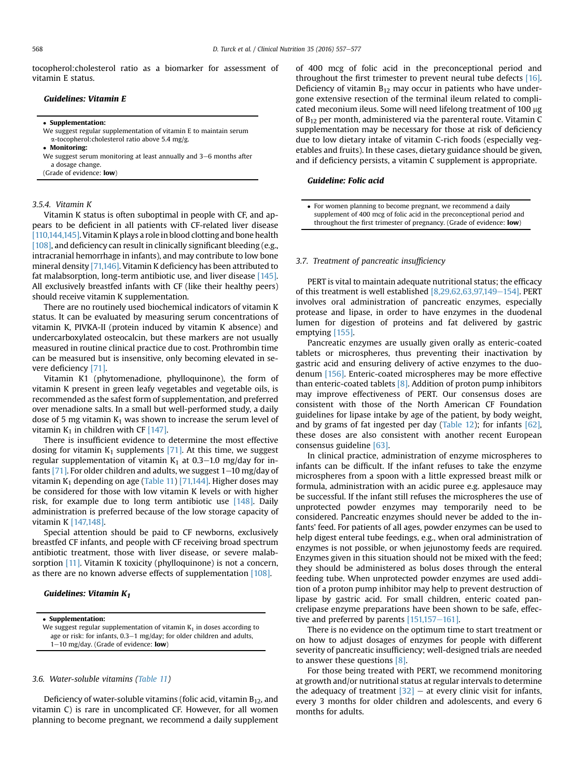tocopherol:cholesterol ratio as a biomarker for assessment of vitamin E status.

# Guidelines: Vitamin E

#### Supplementation:

We suggest regular supplementation of vitamin E to maintain serum  $\alpha$ -tocopherol:cholesterol ratio above 5.4 mg/g.

Monitoring:

We suggest serum monitoring at least annually and  $3-6$  months after a dosage change.

(Grade of evidence: low)

#### 3.5.4. Vitamin K

Vitamin K status is often suboptimal in people with CF, and appears to be deficient in all patients with CF-related liver disease [\[110,144,145\]](#page-18-0). Vitamin K plays a role in blood clotting and bone health [\[108\]](#page-18-0), and deficiency can result in clinically significant bleeding (e.g., intracranial hemorrhage in infants), and may contribute to low bone mineral density [\[71,146\]](#page-17-0). Vitamin K deficiency has been attributed to fat malabsorption, long-term antibiotic use, and liver disease [\[145\].](#page-19-0) All exclusively breastfed infants with CF (like their healthy peers) should receive vitamin K supplementation.

There are no routinely used biochemical indicators of vitamin K status. It can be evaluated by measuring serum concentrations of vitamin K, PIVKA-II (protein induced by vitamin K absence) and undercarboxylated osteocalcin, but these markers are not usually measured in routine clinical practice due to cost. Prothrombin time can be measured but is insensitive, only becoming elevated in severe deficiency [\[71\]](#page-17-0).

Vitamin K1 (phytomenadione, phylloquinone), the form of vitamin K present in green leafy vegetables and vegetable oils, is recommended as the safest form of supplementation, and preferred over menadione salts. In a small but well-performed study, a daily dose of 5 mg vitamin  $K_1$  was shown to increase the serum level of vitamin  $K_1$  in children with CF [\[147\].](#page-19-0)

There is insufficient evidence to determine the most effective dosing for vitamin  $K_1$  supplements [\[71\]](#page-17-0). At this time, we suggest regular supplementation of vitamin  $K_1$  at 0.3–1.0 mg/day for in-fants [\[71\]](#page-17-0). For older children and adults, we suggest  $1-10$  mg/day of vitamin  $K_1$  depending on age [\(Table 11\)](#page-9-0) [\[71,144\].](#page-17-0) Higher doses may be considered for those with low vitamin K levels or with higher risk, for example due to long term antibiotic use [\[148\]](#page-19-0). Daily administration is preferred because of the low storage capacity of vitamin K [\[147,148\].](#page-19-0)

Special attention should be paid to CF newborns, exclusively breastfed CF infants, and people with CF receiving broad spectrum antibiotic treatment, those with liver disease, or severe malab-sorption [\[11\].](#page-16-0) Vitamin K toxicity (phylloquinone) is not a concern, as there are no known adverse effects of supplementation [\[108\]](#page-18-0).

#### Guidelines: Vitamin  $K_1$

 Supplementation: We suggest regular supplementation of vitamin  $K_1$  in doses according to age or risk: for infants,  $0.3-1$  mg/day; for older children and adults,  $1-10$  mg/day. (Grade of evidence: low)

#### 3.6. Water-soluble vitamins [\(Table 11](#page-9-0))

Deficiency of water-soluble vitamins (folic acid, vitamin  $B_{12}$ , and vitamin C) is rare in uncomplicated CF. However, for all women planning to become pregnant, we recommend a daily supplement of 400 mcg of folic acid in the preconceptional period and throughout the first trimester to prevent neural tube defects [\[16\].](#page-17-0) Deficiency of vitamin  $B_{12}$  may occur in patients who have undergone extensive resection of the terminal ileum related to complicated meconium ileus. Some will need lifelong treatment of 100 µg of  $B_{12}$  per month, administered via the parenteral route. Vitamin C supplementation may be necessary for those at risk of deficiency due to low dietary intake of vitamin C-rich foods (especially vegetables and fruits). In these cases, dietary guidance should be given, and if deficiency persists, a vitamin C supplement is appropriate.

#### Guideline: Folic acid

#### 3.7. Treatment of pancreatic insufficiency

PERT is vital to maintain adequate nutritional status; the efficacy of this treatment is well established  $[8,29,62,63,97,149-154]$  $[8,29,62,63,97,149-154]$ . PERT involves oral administration of pancreatic enzymes, especially protease and lipase, in order to have enzymes in the duodenal lumen for digestion of proteins and fat delivered by gastric emptying [\[155\]](#page-19-0).

Pancreatic enzymes are usually given orally as enteric-coated tablets or microspheres, thus preventing their inactivation by gastric acid and ensuring delivery of active enzymes to the duodenum [\[156\].](#page-19-0) Enteric-coated microspheres may be more effective than enteric-coated tablets [\[8\]](#page-16-0). Addition of proton pump inhibitors may improve effectiveness of PERT. Our consensus doses are consistent with those of the North American CF Foundation guidelines for lipase intake by age of the patient, by body weight, and by grams of fat ingested per day ([Table 12\)](#page-12-0); for infants  $[62]$ , these doses are also consistent with another recent European consensus guideline [\[63\].](#page-17-0)

In clinical practice, administration of enzyme microspheres to infants can be difficult. If the infant refuses to take the enzyme microspheres from a spoon with a little expressed breast milk or formula, administration with an acidic puree e.g. applesauce may be successful. If the infant still refuses the microspheres the use of unprotected powder enzymes may temporarily need to be considered. Pancreatic enzymes should never be added to the infants' feed. For patients of all ages, powder enzymes can be used to help digest enteral tube feedings, e.g., when oral administration of enzymes is not possible, or when jejunostomy feeds are required. Enzymes given in this situation should not be mixed with the feed; they should be administered as bolus doses through the enteral feeding tube. When unprotected powder enzymes are used addition of a proton pump inhibitor may help to prevent destruction of lipase by gastric acid. For small children, enteric coated pancrelipase enzyme preparations have been shown to be safe, effective and preferred by parents  $[151,157-161]$  $[151,157-161]$ .

There is no evidence on the optimum time to start treatment or on how to adjust dosages of enzymes for people with different severity of pancreatic insufficiency; well-designed trials are needed to answer these questions [\[8\].](#page-16-0)

For those being treated with PERT, we recommend monitoring at growth and/or nutritional status at regular intervals to determine the adequacy of treatment  $[32]$  – at every clinic visit for infants, every 3 months for older children and adolescents, and every 6 months for adults.

For women planning to become pregnant, we recommend a daily supplement of 400 mcg of folic acid in the preconceptional period and throughout the first trimester of pregnancy. (Grade of evidence: low)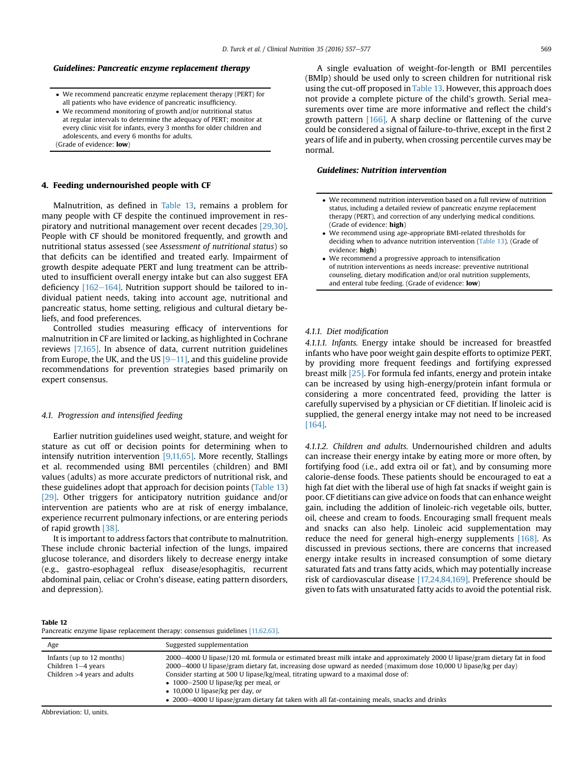# <span id="page-12-0"></span>Guidelines: Pancreatic enzyme replacement therapy

- We recommend pancreatic enzyme replacement therapy (PERT) for all patients who have evidence of pancreatic insufficiency.
- We recommend monitoring of growth and/or nutritional status at regular intervals to determine the adequacy of PERT; monitor at every clinic visit for infants, every 3 months for older children and adolescents, and every 6 months for adults. (Grade of evidence: low)

#### 4. Feeding undernourished people with CF

Malnutrition, as defined in [Table 13,](#page-13-0) remains a problem for many people with CF despite the continued improvement in respiratory and nutritional management over recent decades [\[29,30\].](#page-17-0) People with CF should be monitored frequently, and growth and nutritional status assessed (see Assessment of nutritional status) so that deficits can be identified and treated early. Impairment of growth despite adequate PERT and lung treatment can be attributed to insufficient overall energy intake but can also suggest EFA deficiency  $[162-164]$  $[162-164]$  $[162-164]$ . Nutrition support should be tailored to individual patient needs, taking into account age, nutritional and pancreatic status, home setting, religious and cultural dietary beliefs, and food preferences.

Controlled studies measuring efficacy of interventions for malnutrition in CF are limited or lacking, as highlighted in Cochrane reviews [\[7,165\].](#page-16-0) In absence of data, current nutrition guidelines from Europe, the UK, and the US  $[9-11]$  $[9-11]$  $[9-11]$ , and this guideline provide recommendations for prevention strategies based primarily on expert consensus.

#### 4.1. Progression and intensified feeding

Earlier nutrition guidelines used weight, stature, and weight for stature as cut off or decision points for determining when to intensify nutrition intervention [\[9,11,65\].](#page-16-0) More recently, Stallings et al. recommended using BMI percentiles (children) and BMI values (adults) as more accurate predictors of nutritional risk, and these guidelines adopt that approach for decision points ([Table 13\)](#page-13-0) [\[29\].](#page-17-0) Other triggers for anticipatory nutrition guidance and/or intervention are patients who are at risk of energy imbalance, experience recurrent pulmonary infections, or are entering periods of rapid growth [\[38\].](#page-17-0)

It is important to address factors that contribute to malnutrition. These include chronic bacterial infection of the lungs, impaired glucose tolerance, and disorders likely to decrease energy intake (e.g., gastro-esophageal reflux disease/esophagitis, recurrent abdominal pain, celiac or Crohn's disease, eating pattern disorders, and depression).

A single evaluation of weight-for-length or BMI percentiles (BMIp) should be used only to screen children for nutritional risk using the cut-off proposed in [Table 13](#page-13-0). However, this approach does not provide a complete picture of the child's growth. Serial measurements over time are more informative and reflect the child's growth pattern [\[166\]](#page-19-0). A sharp decline or flattening of the curve could be considered a signal of failure-to-thrive, except in the first 2 years of life and in puberty, when crossing percentile curves may be normal.

#### Guidelines: Nutrition intervention

- We recommend nutrition intervention based on a full review of nutrition status, including a detailed review of pancreatic enzyme replacement therapy (PERT), and correction of any underlying medical conditions. (Grade of evidence: high)
- We recommend using age-appropriate BMI-related thresholds for deciding when to advance nutrition intervention ([Table 13\)](#page-13-0). (Grade of evidence: high)
- We recommend a progressive approach to intensification of nutrition interventions as needs increase: preventive nutritional counseling, dietary modification and/or oral nutrition supplements, and enteral tube feeding. (Grade of evidence: low)

#### 4.1.1. Diet modification

4.1.1.1. Infants. Energy intake should be increased for breastfed infants who have poor weight gain despite efforts to optimize PERT, by providing more frequent feedings and fortifying expressed breast milk [\[25\]](#page-17-0). For formula fed infants, energy and protein intake can be increased by using high-energy/protein infant formula or considering a more concentrated feed, providing the latter is carefully supervised by a physician or CF dietitian. If linoleic acid is supplied, the general energy intake may not need to be increased [\[164\]](#page-19-0).

4.1.1.2. Children and adults. Undernourished children and adults can increase their energy intake by eating more or more often, by fortifying food (i.e., add extra oil or fat), and by consuming more calorie-dense foods. These patients should be encouraged to eat a high fat diet with the liberal use of high fat snacks if weight gain is poor. CF dietitians can give advice on foods that can enhance weight gain, including the addition of linoleic-rich vegetable oils, butter, oil, cheese and cream to foods. Encouraging small frequent meals and snacks can also help. Linoleic acid supplementation may reduce the need for general high-energy supplements [\[168\].](#page-19-0) As discussed in previous sections, there are concerns that increased energy intake results in increased consumption of some dietary saturated fats and trans fatty acids, which may potentially increase risk of cardiovascular disease [\[17,24,84,169\]](#page-17-0). Preference should be given to fats with unsaturated fatty acids to avoid the potential risk.

#### Table 12

Pancreatic enzyme lipase replacement therapy: consensus guidelines [\[11,62,63\]](#page-16-0).

| Age                                                                                 | Suggested supplementation                                                                                                                                                                                                                                                                                                                                                                                                                                                                                              |
|-------------------------------------------------------------------------------------|------------------------------------------------------------------------------------------------------------------------------------------------------------------------------------------------------------------------------------------------------------------------------------------------------------------------------------------------------------------------------------------------------------------------------------------------------------------------------------------------------------------------|
| Infants (up to 12 months)<br>Children $1-4$ years<br>Children $>4$ years and adults | 2000–4000 U lipase/120 mL formula or estimated breast milk intake and approximately 2000 U lipase/gram dietary fat in food<br>2000–4000 U lipase/gram dietary fat, increasing dose upward as needed (maximum dose 10,000 U lipase/kg per day)<br>Consider starting at 500 U lipase/kg/meal, titrating upward to a maximal dose of:<br>• 1000–2500 U lipase/kg per meal, or<br>$\bullet$ 10,000 U lipase/kg per day, or<br>• 2000–4000 U lipase/gram dietary fat taken with all fat-containing meals, snacks and drinks |
| Abbroviation: II unite                                                              |                                                                                                                                                                                                                                                                                                                                                                                                                                                                                                                        |

Abbreviation: U, units.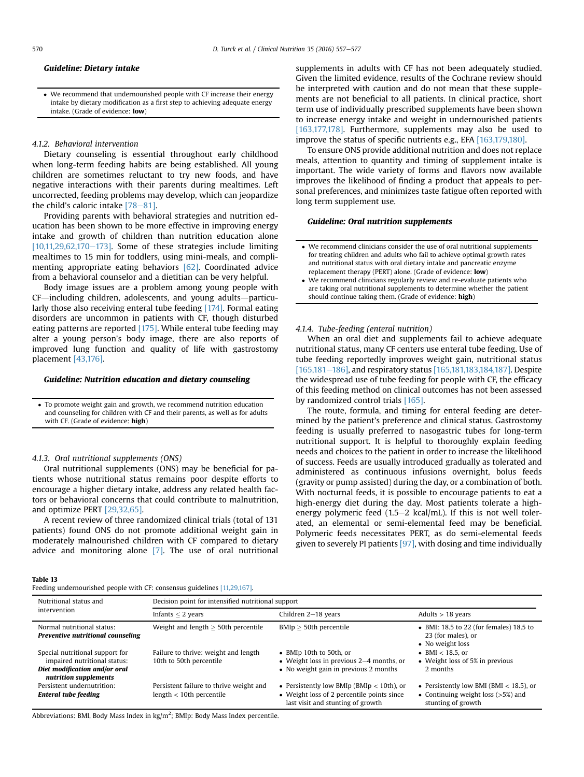#### <span id="page-13-0"></span>Guideline: Dietary intake

 We recommend that undernourished people with CF increase their energy intake by dietary modification as a first step to achieving adequate energy intake. (Grade of evidence: low)

#### 4.1.2. Behavioral intervention

Dietary counseling is essential throughout early childhood when long-term feeding habits are being established. All young children are sometimes reluctant to try new foods, and have negative interactions with their parents during mealtimes. Left uncorrected, feeding problems may develop, which can jeopardize the child's caloric intake  $[78-81]$  $[78-81]$ .

Providing parents with behavioral strategies and nutrition education has been shown to be more effective in improving energy intake and growth of children than nutrition education alone  $[10,11,29,62,170-173]$  $[10,11,29,62,170-173]$  $[10,11,29,62,170-173]$ . Some of these strategies include limiting mealtimes to 15 min for toddlers, using mini-meals, and complimenting appropriate eating behaviors [\[62\]](#page-17-0). Coordinated advice from a behavioral counselor and a dietitian can be very helpful.

Body image issues are a problem among young people with CF-including children, adolescents, and young adults-particularly those also receiving enteral tube feeding [\[174\]](#page-19-0). Formal eating disorders are uncommon in patients with CF, though disturbed eating patterns are reported [\[175\]](#page-19-0). While enteral tube feeding may alter a young person's body image, there are also reports of improved lung function and quality of life with gastrostomy placement [\[43,176\].](#page-17-0)

# Guideline: Nutrition education and dietary counseling

 To promote weight gain and growth, we recommend nutrition education and counseling for children with CF and their parents, as well as for adults with CF. (Grade of evidence: high)

# 4.1.3. Oral nutritional supplements (ONS)

Oral nutritional supplements (ONS) may be beneficial for patients whose nutritional status remains poor despite efforts to encourage a higher dietary intake, address any related health factors or behavioral concerns that could contribute to malnutrition, and optimize PERT [\[29,32,65\].](#page-17-0)

A recent review of three randomized clinical trials (total of 131 patients) found ONS do not promote additional weight gain in moderately malnourished children with CF compared to dietary advice and monitoring alone [\[7\]](#page-16-0). The use of oral nutritional

#### Table 13

Feeding undernourished people with CF: consensus guidelines [\[11,29,167\].](#page-16-0)

supplements in adults with CF has not been adequately studied. Given the limited evidence, results of the Cochrane review should be interpreted with caution and do not mean that these supplements are not beneficial to all patients. In clinical practice, short term use of individually prescribed supplements have been shown to increase energy intake and weight in undernourished patients [\[163,177,178\]](#page-19-0). Furthermore, supplements may also be used to improve the status of specific nutrients e.g., EFA [\[163,179,180\].](#page-19-0)

To ensure ONS provide additional nutrition and does not replace meals, attention to quantity and timing of supplement intake is important. The wide variety of forms and flavors now available improves the likelihood of finding a product that appeals to personal preferences, and minimizes taste fatigue often reported with long term supplement use.

#### Guideline: Oral nutrition supplements

- We recommend clinicians consider the use of oral nutritional supplements for treating children and adults who fail to achieve optimal growth rates and nutritional status with oral dietary intake and pancreatic enzyme replacement therapy (PERT) alone. (Grade of evidence: low)
- We recommend clinicians regularly review and re-evaluate patients who are taking oral nutritional supplements to determine whether the patient should continue taking them. (Grade of evidence: high)

#### 4.1.4. Tube-feeding (enteral nutrition)

When an oral diet and supplements fail to achieve adequate nutritional status, many CF centers use enteral tube feeding. Use of tube feeding reportedly improves weight gain, nutritional status [\[165,181](#page-19-0)-[186\]](#page-19-0), and respiratory status [\[165,181,183,184,187\].](#page-19-0) Despite the widespread use of tube feeding for people with CF, the efficacy of this feeding method on clinical outcomes has not been assessed by randomized control trials [\[165\].](#page-19-0)

The route, formula, and timing for enteral feeding are determined by the patient's preference and clinical status. Gastrostomy feeding is usually preferred to nasogastric tubes for long-term nutritional support. It is helpful to thoroughly explain feeding needs and choices to the patient in order to increase the likelihood of success. Feeds are usually introduced gradually as tolerated and administered as continuous infusions overnight, bolus feeds (gravity or pump assisted) during the day, or a combination of both. With nocturnal feeds, it is possible to encourage patients to eat a high-energy diet during the day. Most patients tolerate a highenergy polymeric feed  $(1.5-2 \text{ kcal/mL})$ . If this is not well tolerated, an elemental or semi-elemental feed may be beneficial. Polymeric feeds necessitates PERT, as do semi-elemental feeds given to severely PI patients [\[97\],](#page-18-0) with dosing and time individually

| Nutritional status and<br>intervention                                                                                    | Decision point for intensified nutritional support                     |                                                                                                                                |                                                                                                          |  |
|---------------------------------------------------------------------------------------------------------------------------|------------------------------------------------------------------------|--------------------------------------------------------------------------------------------------------------------------------|----------------------------------------------------------------------------------------------------------|--|
|                                                                                                                           | Infants $\leq 2$ years                                                 | Children 2-18 years                                                                                                            | Adults $> 18$ years                                                                                      |  |
| Normal nutritional status:<br>Preventive nutritional counseling                                                           | Weight and length $\geq$ 50th percentile                               | $BMlp > 50th$ percentile                                                                                                       | $\bullet$ BMI: 18.5 to 22 (for females) 18.5 to<br>23 (for males), or<br>• No weight loss                |  |
| Special nutritional support for<br>impaired nutritional status:<br>Diet modification and/or oral<br>nutrition supplements | Failure to thrive: weight and length<br>10th to 50th percentile        | • BMIp 10th to 50th, or<br>• Weight loss in previous $2-4$ months, or<br>• No weight gain in previous 2 months                 | • BMI $<$ 18.5, or<br>• Weight loss of 5% in previous<br>2 months                                        |  |
| Persistent undernutrition:<br><b>Enteral tube feeding</b>                                                                 | Persistent failure to thrive weight and<br>$length < 10$ th percentile | • Persistently low BMIp (BMIp $<$ 10th), or<br>• Weight loss of 2 percentile points since<br>last visit and stunting of growth | • Persistently low BMI (BMI $<$ 18.5), or<br>• Continuing weight loss $($ >5%) and<br>stunting of growth |  |

Abbreviations: BMI, Body Mass Index in kg/m<sup>2</sup>; BMIp: Body Mass Index percentile.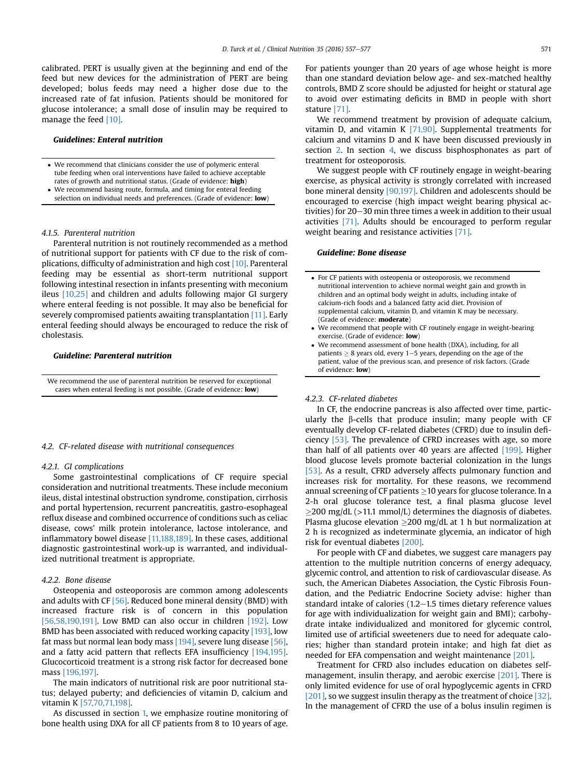calibrated. PERT is usually given at the beginning and end of the feed but new devices for the administration of PERT are being developed; bolus feeds may need a higher dose due to the increased rate of fat infusion. Patients should be monitored for glucose intolerance; a small dose of insulin may be required to manage the feed [\[10\]](#page-16-0).

#### Guidelines: Enteral nutrition

- We recommend that clinicians consider the use of polymeric enteral tube feeding when oral interventions have failed to achieve acceptable rates of growth and nutritional status. (Grade of evidence: high)
- We recommend basing route, formula, and timing for enteral feeding selection on individual needs and preferences. (Grade of evidence: low)

#### 4.1.5. Parenteral nutrition

Parenteral nutrition is not routinely recommended as a method of nutritional support for patients with CF due to the risk of complications, difficulty of administration and high cost [\[10\]](#page-16-0). Parenteral feeding may be essential as short-term nutritional support following intestinal resection in infants presenting with meconium ileus [\[10,25\]](#page-16-0) and children and adults following major GI surgery where enteral feeding is not possible. It may also be beneficial for severely compromised patients awaiting transplantation [\[11\].](#page-16-0) Early enteral feeding should always be encouraged to reduce the risk of cholestasis.

## Guideline: Parenteral nutrition

We recommend the use of parenteral nutrition be reserved for exceptional cases when enteral feeding is not possible. (Grade of evidence: low)

#### 4.2. CF-related disease with nutritional consequences

#### 4.2.1. GI complications

Some gastrointestinal complications of CF require special consideration and nutritional treatments. These include meconium ileus, distal intestinal obstruction syndrome, constipation, cirrhosis and portal hypertension, recurrent pancreatitis, gastro-esophageal reflux disease and combined occurrence of conditions such as celiac disease, cows' milk protein intolerance, lactose intolerance, and inflammatory bowel disease [\[11,188,189\]](#page-16-0). In these cases, additional diagnostic gastrointestinal work-up is warranted, and individualized nutritional treatment is appropriate.

# 4.2.2. Bone disease

Osteopenia and osteoporosis are common among adolescents and adults with CF  $[56]$ . Reduced bone mineral density (BMD) with increased fracture risk is of concern in this population [\[56,58,190,191\].](#page-17-0) Low BMD can also occur in children [\[192\]](#page-20-0). Low BMD has been associated with reduced working capacity [\[193\],](#page-20-0) low fat mass but normal lean body mass [\[194\]](#page-20-0), severe lung disease [\[56\],](#page-17-0) and a fatty acid pattern that reflects EFA insufficiency [\[194,195\].](#page-20-0) Glucocorticoid treatment is a strong risk factor for decreased bone mass [\[196,197\]](#page-20-0).

The main indicators of nutritional risk are poor nutritional status; delayed puberty; and deficiencies of vitamin D, calcium and vitamin K [\[57,70,71,198\]](#page-17-0).

As discussed in section [1,](#page-1-0) we emphasize routine monitoring of bone health using DXA for all CF patients from 8 to 10 years of age.

For patients younger than 20 years of age whose height is more than one standard deviation below age- and sex-matched healthy controls, BMD Z score should be adjusted for height or statural age to avoid over estimating deficits in BMD in people with short stature [\[71\]](#page-17-0).

We recommend treatment by provision of adequate calcium, vitamin D, and vitamin K  $[71,90]$ . Supplemental treatments for calcium and vitamins D and K have been discussed previously in section [2.](#page-3-0) In section [4,](#page-12-0) we discuss bisphosphonates as part of treatment for osteoporosis.

We suggest people with CF routinely engage in weight-bearing exercise, as physical activity is strongly correlated with increased bone mineral density [\[90,197\]](#page-18-0). Children and adolescents should be encouraged to exercise (high impact weight bearing physical activities) for 20–30 min three times a week in addition to their usual activities [\[71\]](#page-17-0). Adults should be encouraged to perform regular weight bearing and resistance activities [\[71\]](#page-17-0).

# Guideline: Bone disease

- For CF patients with osteopenia or osteoporosis, we recommend nutritional intervention to achieve normal weight gain and growth in children and an optimal body weight in adults, including intake of calcium-rich foods and a balanced fatty acid diet. Provision of supplemental calcium, vitamin D, and vitamin K may be necessary. (Grade of evidence: moderate)
- We recommend that people with CF routinely engage in weight-bearing exercise. (Grade of evidence: low)
- We recommend assessment of bone health (DXA), including, for all patients  $\geq 8$  years old, every 1–5 years, depending on the age of the patient, value of the previous scan, and presence of risk factors. (Grade of evidence: low)

#### 4.2.3. CF-related diabetes

In CF, the endocrine pancreas is also affected over time, particularly the  $\beta$ -cells that produce insulin; many people with CF eventually develop CF-related diabetes (CFRD) due to insulin deficiency [\[53\]](#page-17-0). The prevalence of CFRD increases with age, so more than half of all patients over 40 years are affected [\[199\].](#page-20-0) Higher blood glucose levels promote bacterial colonization in the lungs [\[53\].](#page-17-0) As a result, CFRD adversely affects pulmonary function and increases risk for mortality. For these reasons, we recommend annual screening of CF patients  $\geq$  10 years for glucose tolerance. In a 2-h oral glucose tolerance test, a final plasma glucose level  $\geq$ 200 mg/dL (>11.1 mmol/L) determines the diagnosis of diabetes. Plasma glucose elevation  $\geq$ 200 mg/dL at 1 h but normalization at 2 h is recognized as indeterminate glycemia, an indicator of high risk for eventual diabetes [\[200\]](#page-20-0).

For people with CF and diabetes, we suggest care managers pay attention to the multiple nutrition concerns of energy adequacy, glycemic control, and attention to risk of cardiovascular disease. As such, the American Diabetes Association, the Cystic Fibrosis Foundation, and the Pediatric Endocrine Society advise: higher than standard intake of calories  $(1.2-1.5$  times dietary reference values for age with individualization for weight gain and BMI); carbohydrate intake individualized and monitored for glycemic control, limited use of artificial sweeteners due to need for adequate calories; higher than standard protein intake; and high fat diet as needed for EFA compensation and weight maintenance [\[201\].](#page-20-0)

Treatment for CFRD also includes education on diabetes selfmanagement, insulin therapy, and aerobic exercise [\[201\].](#page-20-0) There is only limited evidence for use of oral hypoglycemic agents in CFRD [\[201\]](#page-20-0), so we suggest insulin therapy as the treatment of choice [\[32\].](#page-17-0) In the management of CFRD the use of a bolus insulin regimen is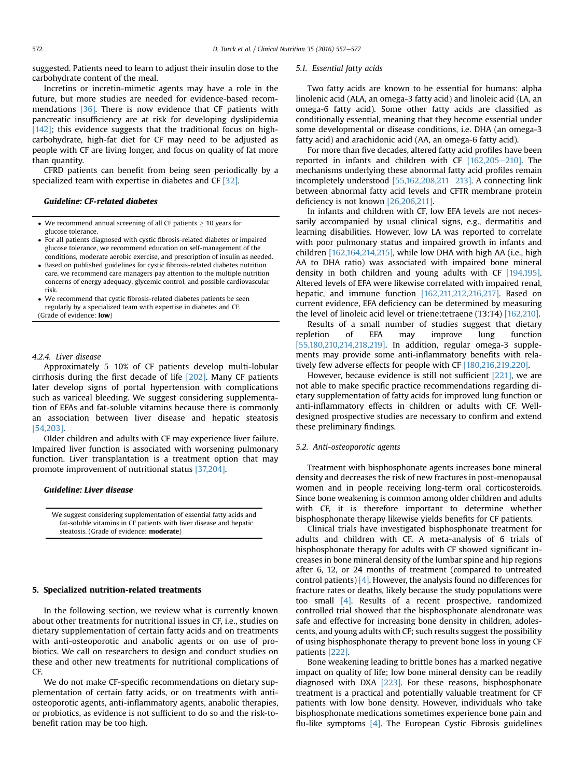suggested. Patients need to learn to adjust their insulin dose to the carbohydrate content of the meal.

Incretins or incretin-mimetic agents may have a role in the future, but more studies are needed for evidence-based recommendations [\[36\]](#page-17-0). There is now evidence that CF patients with pancreatic insufficiency are at risk for developing dyslipidemia [\[142\]](#page-19-0); this evidence suggests that the traditional focus on highcarbohydrate, high-fat diet for CF may need to be adjusted as people with CF are living longer, and focus on quality of fat more than quantity.

CFRD patients can benefit from being seen periodically by a specialized team with expertise in diabetes and CF [\[32\].](#page-17-0)

#### Guideline: CF-related diabetes

- $\bullet$  We recommend annual screening of all CF patients  $> 10$  years for glucose tolerance.
- For all patients diagnosed with cystic fibrosis-related diabetes or impaired glucose tolerance, we recommend education on self-management of the conditions, moderate aerobic exercise, and prescription of insulin as needed.
- Based on published guidelines for cystic fibrosis-related diabetes nutrition care, we recommend care managers pay attention to the multiple nutrition concerns of energy adequacy, glycemic control, and possible cardiovascular risk.
- We recommend that cystic fibrosis-related diabetes patients be seen regularly by a specialized team with expertise in diabetes and CF. (Grade of evidence: low)

# 4.2.4. Liver disease

Approximately  $5-10\%$  of CF patients develop multi-lobular cirrhosis during the first decade of life [\[202\].](#page-20-0) Many CF patients later develop signs of portal hypertension with complications such as variceal bleeding. We suggest considering supplementation of EFAs and fat-soluble vitamins because there is commonly an association between liver disease and hepatic steatosis [\[54,203\].](#page-17-0)

Older children and adults with CF may experience liver failure. Impaired liver function is associated with worsening pulmonary function. Liver transplantation is a treatment option that may promote improvement of nutritional status [\[37,204\].](#page-17-0)

#### Guideline: Liver disease

We suggest considering supplementation of essential fatty acids and fat-soluble vitamins in CF patients with liver disease and hepatic steatosis. (Grade of evidence: **moderate**)

## 5. Specialized nutrition-related treatments

In the following section, we review what is currently known about other treatments for nutritional issues in CF, i.e., studies on dietary supplementation of certain fatty acids and on treatments with anti-osteoporotic and anabolic agents or on use of probiotics. We call on researchers to design and conduct studies on these and other new treatments for nutritional complications of CF.

We do not make CF-specific recommendations on dietary supplementation of certain fatty acids, or on treatments with antiosteoporotic agents, anti-inflammatory agents, anabolic therapies, or probiotics, as evidence is not sufficient to do so and the risk-tobenefit ration may be too high.

#### 5.1. Essential fatty acids

Two fatty acids are known to be essential for humans: alpha linolenic acid (ALA, an omega-3 fatty acid) and linoleic acid (LA, an omega-6 fatty acid). Some other fatty acids are classified as conditionally essential, meaning that they become essential under some developmental or disease conditions, i.e. DHA (an omega-3 fatty acid) and arachidonic acid (AA, an omega-6 fatty acid).

For more than five decades, altered fatty acid profiles have been reported in infants and children with CF  $[162,205-210]$  $[162,205-210]$ . The mechanisms underlying these abnormal fatty acid profiles remain incompletely understood  $[55,162,208,211-213]$  $[55,162,208,211-213]$ . A connecting link between abnormal fatty acid levels and CFTR membrane protein deficiency is not known [\[26,206,211\]](#page-17-0).

In infants and children with CF, low EFA levels are not necessarily accompanied by usual clinical signs, e.g., dermatitis and learning disabilities. However, low LA was reported to correlate with poor pulmonary status and impaired growth in infants and children [\[162,164,214,215\],](#page-19-0) while low DHA with high AA (i.e., high AA to DHA ratio) was associated with impaired bone mineral density in both children and young adults with CF [\[194,195\].](#page-20-0) Altered levels of EFA were likewise correlated with impaired renal, hepatic, and immune function [\[162,211,212,216,217\]](#page-19-0). Based on current evidence, EFA deficiency can be determined by measuring the level of linoleic acid level or triene:tetraene (T3:T4) [\[162,210\]](#page-19-0).

Results of a small number of studies suggest that dietary repletion of EFA may improve lung function [\[55,180,210,214,218,219\]](#page-17-0). In addition, regular omega-3 supplements may provide some anti-inflammatory benefits with relatively few adverse effects for people with CF [\[180,216,219,220\].](#page-19-0)

However, because evidence is still not sufficient [\[221\],](#page-20-0) we are not able to make specific practice recommendations regarding dietary supplementation of fatty acids for improved lung function or anti-inflammatory effects in children or adults with CF. Welldesigned prospective studies are necessary to confirm and extend these preliminary findings.

#### 5.2. Anti-osteoporotic agents

Treatment with bisphosphonate agents increases bone mineral density and decreases the risk of new fractures in post-menopausal women and in people receiving long-term oral corticosteroids. Since bone weakening is common among older children and adults with CF, it is therefore important to determine whether bisphosphonate therapy likewise yields benefits for CF patients.

Clinical trials have investigated bisphosphonate treatment for adults and children with CF. A meta-analysis of 6 trials of bisphosphonate therapy for adults with CF showed significant increases in bone mineral density of the lumbar spine and hip regions after 6, 12, or 24 months of treatment (compared to untreated control patients)  $[4]$ . However, the analysis found no differences for fracture rates or deaths, likely because the study populations were too small [\[4\]](#page-16-0). Results of a recent prospective, randomized controlled trial showed that the bisphosphonate alendronate was safe and effective for increasing bone density in children, adolescents, and young adults with CF; such results suggest the possibility of using bisphosphonate therapy to prevent bone loss in young CF patients [\[222\].](#page-20-0)

Bone weakening leading to brittle bones has a marked negative impact on quality of life; low bone mineral density can be readily diagnosed with DXA [\[223\].](#page-20-0) For these reasons, bisphosphonate treatment is a practical and potentially valuable treatment for CF patients with low bone density. However, individuals who take bisphosphonate medications sometimes experience bone pain and flu-like symptoms [\[4\]](#page-16-0). The European Cystic Fibrosis guidelines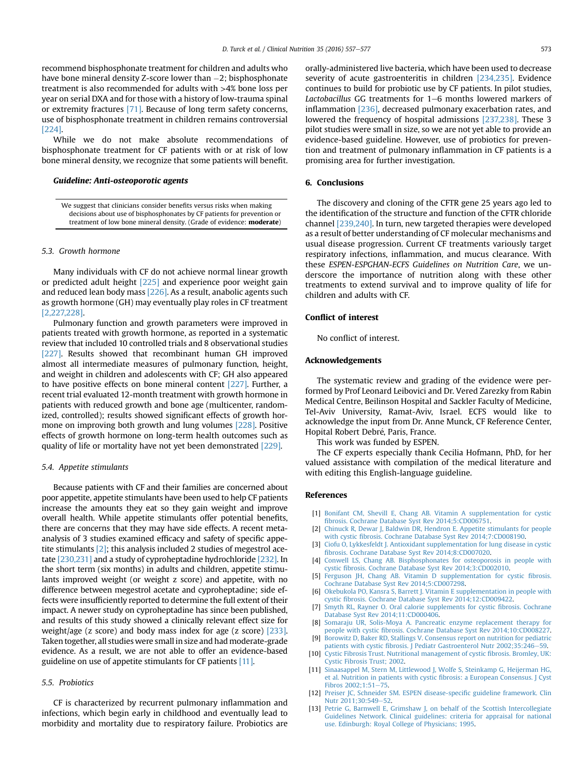<span id="page-16-0"></span>recommend bisphosphonate treatment for children and adults who have bone mineral density Z-score lower than  $-2$ ; bisphosphonate treatment is also recommended for adults with >4% bone loss per year on serial DXA and for those with a history of low-trauma spinal or extremity fractures [\[71\]](#page-17-0). Because of long term safety concerns, use of bisphosphonate treatment in children remains controversial [\[224\].](#page-20-0)

While we do not make absolute recommendations of bisphosphonate treatment for CF patients with or at risk of low bone mineral density, we recognize that some patients will benefit.

### Guideline: Anti-osteoporotic agents

We suggest that clinicians consider benefits versus risks when making decisions about use of bisphosphonates by CF patients for prevention or treatment of low bone mineral density. (Grade of evidence: moderate)

# 5.3. Growth hormone

Many individuals with CF do not achieve normal linear growth or predicted adult height [\[225\]](#page-20-0) and experience poor weight gain and reduced lean body mass [\[226\]](#page-20-0). As a result, anabolic agents such as growth hormone (GH) may eventually play roles in CF treatment [2,227,228].

Pulmonary function and growth parameters were improved in patients treated with growth hormone, as reported in a systematic review that included 10 controlled trials and 8 observational studies [\[227\]](#page-20-0). Results showed that recombinant human GH improved almost all intermediate measures of pulmonary function, height, and weight in children and adolescents with CF; GH also appeared to have positive effects on bone mineral content [\[227\].](#page-20-0) Further, a recent trial evaluated 12-month treatment with growth hormone in patients with reduced growth and bone age (multicenter, randomized, controlled); results showed significant effects of growth hormone on improving both growth and lung volumes [\[228\].](#page-20-0) Positive effects of growth hormone on long-term health outcomes such as quality of life or mortality have not yet been demonstrated [\[229\]](#page-20-0).

#### 5.4. Appetite stimulants

Because patients with CF and their families are concerned about poor appetite, appetite stimulants have been used to help CF patients increase the amounts they eat so they gain weight and improve overall health. While appetite stimulants offer potential benefits, there are concerns that they may have side effects. A recent metaanalysis of 3 studies examined efficacy and safety of specific appetite stimulants [2]; this analysis included 2 studies of megestrol acetate [\[230,231\]](#page-20-0) and a study of cyproheptadine hydrochloride [\[232\]](#page-20-0). In the short term (six months) in adults and children, appetite stimulants improved weight (or weight z score) and appetite, with no difference between megestrol acetate and cyproheptadine; side effects were insufficiently reported to determine the full extent of their impact. A newer study on cyproheptadine has since been published, and results of this study showed a clinically relevant effect size for weight/age (z score) and body mass index for age (z score) [\[233\].](#page-20-0) Taken together, all studies were small in size and had moderate-grade evidence. As a result, we are not able to offer an evidence-based guideline on use of appetite stimulants for CF patients [11].

# 5.5. Probiotics

CF is characterized by recurrent pulmonary inflammation and infections, which begin early in childhood and eventually lead to morbidity and mortality due to respiratory failure. Probiotics are orally-administered live bacteria, which have been used to decrease severity of acute gastroenteritis in children [\[234,235\].](#page-20-0) Evidence continues to build for probiotic use by CF patients. In pilot studies, Lactobacillus GG treatments for  $1-6$  months lowered markers of inflammation [\[236\]](#page-20-0), decreased pulmonary exacerbation rates, and lowered the frequency of hospital admissions [\[237,238\]](#page-20-0). These 3 pilot studies were small in size, so we are not yet able to provide an evidence-based guideline. However, use of probiotics for prevention and treatment of pulmonary inflammation in CF patients is a promising area for further investigation.

# 6. Conclusions

The discovery and cloning of the CFTR gene 25 years ago led to the identification of the structure and function of the CFTR chloride channel [\[239,240\].](#page-20-0) In turn, new targeted therapies were developed as a result of better understanding of CF molecular mechanisms and usual disease progression. Current CF treatments variously target respiratory infections, inflammation, and mucus clearance. With these ESPEN-ESPGHAN-ECFS Guidelines on Nutrition Care, we underscore the importance of nutrition along with these other treatments to extend survival and to improve quality of life for children and adults with CF.

# Conflict of interest

No conflict of interest.

# Acknowledgements

The systematic review and grading of the evidence were performed by Prof Leonard Leibovici and Dr. Vered Zarezky from Rabin Medical Centre, Beilinson Hospital and Sackler Faculty of Medicine, Tel-Aviv University, Ramat-Aviv, Israel. ECFS would like to acknowledge the input from Dr. Anne Munck, CF Reference Center, Hopital Robert Debré, Paris, France.

This work was funded by ESPEN.

The CF experts especially thank Cecilia Hofmann, PhD, for her valued assistance with compilation of the medical literature and with editing this English-language guideline.

#### References

- [1] [Bonifant CM, Shevill E, Chang AB. Vitamin A supplementation for cystic](http://refhub.elsevier.com/S0261-5614(16)00095-9/sref1) fi[brosis. Cochrane Database Syst Rev 2014;5:CD006751.](http://refhub.elsevier.com/S0261-5614(16)00095-9/sref1)
- [2] [Chinuck R, Dewar J, Baldwin DR, Hendron E. Appetite stimulants for people](http://refhub.elsevier.com/S0261-5614(16)00095-9/sref2) with cystic fi[brosis. Cochrane Database Syst Rev 2014;7:CD008190](http://refhub.elsevier.com/S0261-5614(16)00095-9/sref2).
- [3] [Ciofu O, Lykkesfeldt J. Antioxidant supplementation for lung disease in cystic](http://refhub.elsevier.com/S0261-5614(16)00095-9/sref3) fi[brosis. Cochrane Database Syst Rev 2014;8:CD007020.](http://refhub.elsevier.com/S0261-5614(16)00095-9/sref3)
- [4] [Conwell LS, Chang AB. Bisphosphonates for osteoporosis in people with](http://refhub.elsevier.com/S0261-5614(16)00095-9/sref4) cystic fi[brosis. Cochrane Database Syst Rev 2014;3:CD002010](http://refhub.elsevier.com/S0261-5614(16)00095-9/sref4).
- [5] [Ferguson JH, Chang AB. Vitamin D supplementation for cystic](http://refhub.elsevier.com/S0261-5614(16)00095-9/sref5) fibrosis. [Cochrane Database Syst Rev 2014;5:CD007298](http://refhub.elsevier.com/S0261-5614(16)00095-9/sref5).
- [6] [Okebukola PO, Kansra S, Barrett J. Vitamin E supplementation in people with](http://refhub.elsevier.com/S0261-5614(16)00095-9/sref6) cystic fi[brosis. Cochrane Database Syst Rev 2014;12:CD009422.](http://refhub.elsevier.com/S0261-5614(16)00095-9/sref6)
- [7] [Smyth RL, Rayner O. Oral calorie supplements for cystic](http://refhub.elsevier.com/S0261-5614(16)00095-9/sref7) fibrosis. Cochrane [Database Syst Rev 2014;11:CD000406](http://refhub.elsevier.com/S0261-5614(16)00095-9/sref7).
- [8] [Somaraju UR, Solis-Moya A. Pancreatic enzyme replacement therapy for](http://refhub.elsevier.com/S0261-5614(16)00095-9/sref8) people with cystic fi[brosis. Cochrane Database Syst Rev 2014;10:CD008227](http://refhub.elsevier.com/S0261-5614(16)00095-9/sref8).
- [9] [Borowitz D, Baker RD, Stallings V. Consensus report on nutrition for pediatric](http://refhub.elsevier.com/S0261-5614(16)00095-9/sref9) patients with cystic fi[brosis. J Pediatr Gastroenterol Nutr 2002;35:246](http://refhub.elsevier.com/S0261-5614(16)00095-9/sref9)-[59.](http://refhub.elsevier.com/S0261-5614(16)00095-9/sref9)
- [10] [Cystic Fibrosis Trust. Nutritional management of cystic](http://refhub.elsevier.com/S0261-5614(16)00095-9/sref10) fibrosis. Bromley, UK: [Cystic Fibrosis Trust; 2002](http://refhub.elsevier.com/S0261-5614(16)00095-9/sref10).
- [11] [Sinaasappel M, Stern M, Littlewood J, Wolfe S, Steinkamp G, Heijerman HG,](http://refhub.elsevier.com/S0261-5614(16)00095-9/sref11) [et al. Nutrition in patients with cystic](http://refhub.elsevier.com/S0261-5614(16)00095-9/sref11) fibrosis: a European Consensus. J Cyst [Fibros 2002;1:51](http://refhub.elsevier.com/S0261-5614(16)00095-9/sref11)-[75.](http://refhub.elsevier.com/S0261-5614(16)00095-9/sref11)
- [12] [Preiser JC, Schneider SM. ESPEN disease-speci](http://refhub.elsevier.com/S0261-5614(16)00095-9/sref12)fic guideline framework. Clin Nutr 2011:30:549-[52.](http://refhub.elsevier.com/S0261-5614(16)00095-9/sref12)
- [13] [Petrie G, Barnwell E, Grimshaw J, on behalf of the Scottish Intercollegiate](http://refhub.elsevier.com/S0261-5614(16)00095-9/sref13) [Guidelines Network. Clinical guidelines: criteria for appraisal for national](http://refhub.elsevier.com/S0261-5614(16)00095-9/sref13) [use. Edinburgh: Royal College of Physicians; 1995.](http://refhub.elsevier.com/S0261-5614(16)00095-9/sref13)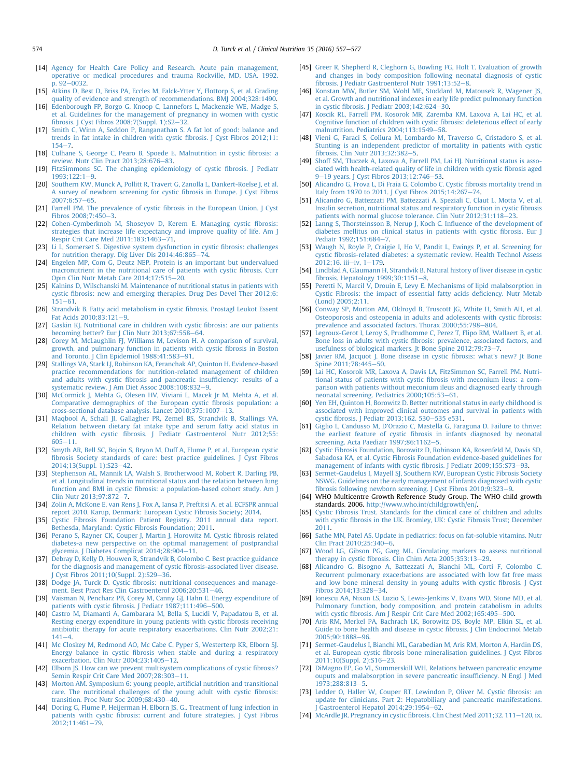- <span id="page-17-0"></span>[14] [Agency for Health Care Policy and Research. Acute pain management,](http://refhub.elsevier.com/S0261-5614(16)00095-9/sref14) [operative or medical procedures and trauma Rockville, MD, USA. 1992.](http://refhub.elsevier.com/S0261-5614(16)00095-9/sref14)  $p. 92 - 0032.$  $p. 92 - 0032.$  $p. 92 - 0032.$  $p. 92 - 0032.$
- [15] [Atkins D, Best D, Briss PA, Eccles M, Falck-Ytter Y, Flottorp S, et al. Grading](http://refhub.elsevier.com/S0261-5614(16)00095-9/sref15) [quality of evidence and strength of recommendations. BMJ 2004;328:1490.](http://refhub.elsevier.com/S0261-5614(16)00095-9/sref15)
- [16] [Edenborough FP, Borgo G, Knoop C, Lannefors L, Mackenzie WE, Madge S,](http://refhub.elsevier.com/S0261-5614(16)00095-9/sref16) [et al. Guidelines for the management of pregnancy in women with cystic](http://refhub.elsevier.com/S0261-5614(16)00095-9/sref16) fi[brosis. J Cyst Fibros 2008;7\(Suppl. 1\):S2](http://refhub.elsevier.com/S0261-5614(16)00095-9/sref16) $-32$  $-32$ .
- [17] Smith C, Winn A, Seddon P, Ranganathan S, A fat lot of good: balance and [trends in fat intake in children with cystic](http://refhub.elsevier.com/S0261-5614(16)00095-9/sref17) fibrosis. J Cyst Fibros 2012;11:  $154 - 7.$  $154 - 7.$  $154 - 7.$
- [18] [Culhane S, George C, Pearo B, Spoede E. Malnutrition in cystic](http://refhub.elsevier.com/S0261-5614(16)00095-9/sref18) fibrosis: a review. Nutr Clin Pract  $2013:28:676-83$  $2013:28:676-83$ .
- [19] [FitzSimmons SC. The changing epidemiology of cystic](http://refhub.elsevier.com/S0261-5614(16)00095-9/sref19) fibrosis. J Pediatr  $1993:122:1-9.$  $1993:122:1-9.$  $1993:122:1-9.$
- [20] [Southern KW, Munck A, Pollitt R, Travert G, Zanolla L, Dankert-Roelse J, et al.](http://refhub.elsevier.com/S0261-5614(16)00095-9/sref20) [A survey of newborn screening for cystic](http://refhub.elsevier.com/S0261-5614(16)00095-9/sref20) fibrosis in Europe. J Cyst Fibros  $2007:6:57-65$  $2007:6:57-65$
- [21] Farrell PM. The prevalence of cystic fi[brosis in the European Union. J Cyst](http://refhub.elsevier.com/S0261-5614(16)00095-9/sref21)  $Fibros 2008:7:450-3.$  $Fibros 2008:7:450-3.$
- [22] [Cohen-Cymberknoh M, Shoseyov D, Kerem E. Managing cystic](http://refhub.elsevier.com/S0261-5614(16)00095-9/sref22) fibrosis: [strategies that increase life expectancy and improve quality of life. Am J](http://refhub.elsevier.com/S0261-5614(16)00095-9/sref22) Respir Crit Care Med  $2011:183:1463-71$  $2011:183:1463-71$ .
- [23] [Li L, Somerset S. Digestive system dysfunction in cystic](http://refhub.elsevier.com/S0261-5614(16)00095-9/sref23) fibrosis: challenges [for nutrition therapy. Dig Liver Dis 2014;46:865](http://refhub.elsevier.com/S0261-5614(16)00095-9/sref23)-[74](http://refhub.elsevier.com/S0261-5614(16)00095-9/sref23).<br>[24] [Engelen MP, Com G, Deutz NEP. Protein is an important but undervalued](http://refhub.elsevier.com/S0261-5614(16)00095-9/sref24)
- [macronutrient in the nutritional care of patients with cystic](http://refhub.elsevier.com/S0261-5614(16)00095-9/sref24) fibrosis. Curr Opin Clin Nutr Metab Care  $2014:17:515-20$ .
- [25] [Kalnins D, Wilschanski M. Maintenance of nutritional status in patients with](http://refhub.elsevier.com/S0261-5614(16)00095-9/sref25) cystic fi[brosis: new and emerging therapies. Drug Des Devel Ther 2012;6:](http://refhub.elsevier.com/S0261-5614(16)00095-9/sref25)  $151 - 61$  $151 - 61$
- [26] [Strandvik B. Fatty acid metabolism in cystic](http://refhub.elsevier.com/S0261-5614(16)00095-9/sref26) fibrosis. Prostagl Leukot Essent [Fat Acids 2010;83:121](http://refhub.elsevier.com/S0261-5614(16)00095-9/sref26)-[9.](http://refhub.elsevier.com/S0261-5614(16)00095-9/sref26)
- [27] [Gaskin KJ. Nutritional care in children with cystic](http://refhub.elsevier.com/S0261-5614(16)00095-9/sref27) fibrosis: are our patients [becoming better? Eur J Clin Nutr 2013;67:558](http://refhub.elsevier.com/S0261-5614(16)00095-9/sref27)-[64.](http://refhub.elsevier.com/S0261-5614(16)00095-9/sref27)
- [28] [Corey M, McLaughlin FJ, Williams M, Levison H. A comparison of survival,](http://refhub.elsevier.com/S0261-5614(16)00095-9/sref28) [growth, and pulmonary function in patients with cystic](http://refhub.elsevier.com/S0261-5614(16)00095-9/sref28) fibrosis in Boston [and Toronto. J Clin Epidemiol 1988;41:583](http://refhub.elsevier.com/S0261-5614(16)00095-9/sref28)-[91](http://refhub.elsevier.com/S0261-5614(16)00095-9/sref28).
- [29] [Stallings VA, Stark LJ, Robinson KA, Feranchak AP, Quinton H. Evidence-based](http://refhub.elsevier.com/S0261-5614(16)00095-9/sref29) [practice recommendations for nutrition-related management of children](http://refhub.elsevier.com/S0261-5614(16)00095-9/sref29) and adults with cystic fi[brosis and pancreatic insuf](http://refhub.elsevier.com/S0261-5614(16)00095-9/sref29)ficiency: results of a [systematic review. J Am Diet Assoc 2008;108:832](http://refhub.elsevier.com/S0261-5614(16)00095-9/sref29)-[9.](http://refhub.elsevier.com/S0261-5614(16)00095-9/sref29)
- [30] [McCormick J, Mehta G, Olesen HV, Viviani L, Macek Jr M, Mehta A, et al.](http://refhub.elsevier.com/S0261-5614(16)00095-9/sref30) [Comparative demographics of the European cystic](http://refhub.elsevier.com/S0261-5614(16)00095-9/sref30) fibrosis population: a [cross-sectional database analysis. Lancet 2010;375:1007](http://refhub.elsevier.com/S0261-5614(16)00095-9/sref30)-[13](http://refhub.elsevier.com/S0261-5614(16)00095-9/sref30).
- [31] [Maqbool A, Schall JI, Gallagher PR, Zemel BS, Strandvik B, Stallings VA.](http://refhub.elsevier.com/S0261-5614(16)00095-9/sref31) [Relation between dietary fat intake type and serum fatty acid status in](http://refhub.elsevier.com/S0261-5614(16)00095-9/sref31) children with cystic fi[brosis. J Pediatr Gastroenterol Nutr 2012;55:](http://refhub.elsevier.com/S0261-5614(16)00095-9/sref31)  $605 - 11$  $605 - 11$
- [32] [Smyth AR, Bell SC, Bojcin S, Bryon M, Duff A, Flume P, et al. European cystic](http://refhub.elsevier.com/S0261-5614(16)00095-9/sref32) fi[brosis Society standards of care: best practice guidelines. J Cyst Fibros](http://refhub.elsevier.com/S0261-5614(16)00095-9/sref32) [2014;13\(Suppl. 1\):S23](http://refhub.elsevier.com/S0261-5614(16)00095-9/sref32)-[42](http://refhub.elsevier.com/S0261-5614(16)00095-9/sref32).
- [33] [Stephenson AL, Mannik LA, Walsh S, Brotherwood M, Robert R, Darling PB,](http://refhub.elsevier.com/S0261-5614(16)00095-9/sref33) [et al. Longitudinal trends in nutritional status and the relation between lung](http://refhub.elsevier.com/S0261-5614(16)00095-9/sref33) function and BMI in cystic fi[brosis: a population-based cohort study. Am J](http://refhub.elsevier.com/S0261-5614(16)00095-9/sref33) [Clin Nutr 2013;97:872](http://refhub.elsevier.com/S0261-5614(16)00095-9/sref33)-[7](http://refhub.elsevier.com/S0261-5614(16)00095-9/sref33).
- [34] [Zolin A, McKone E, van Rens J, Fox A, Iansa P, Preftitsi A, et al. ECFSPR annual](http://refhub.elsevier.com/S0261-5614(16)00095-9/sref34) [report 2010. Karup, Denmark: European Cystic Fibrosis Society; 2014.](http://refhub.elsevier.com/S0261-5614(16)00095-9/sref34)
- [35] [Cystic Fibrosis Foundation Patient Registry. 2011 annual data report.](http://refhub.elsevier.com/S0261-5614(16)00095-9/sref35) [Bethesda, Maryland: Cystic Fibrosis Foundation; 2011.](http://refhub.elsevier.com/S0261-5614(16)00095-9/sref35)
- [36] [Perano S, Rayner CK, Couper J, Martin J, Horowitz M. Cystic](http://refhub.elsevier.com/S0261-5614(16)00095-9/sref36) fibrosis related [diabetes-a new perspective on the optimal management of postprandial](http://refhub.elsevier.com/S0261-5614(16)00095-9/sref36) [glycemia. J Diabetes Complicat 2014;28:904](http://refhub.elsevier.com/S0261-5614(16)00095-9/sref36)-[11.](http://refhub.elsevier.com/S0261-5614(16)00095-9/sref36)
- [37] [Debray D, Kelly D, Houwen R, Strandvik B, Colombo C. Best practice guidance](http://refhub.elsevier.com/S0261-5614(16)00095-9/sref37) [for the diagnosis and management of cystic](http://refhub.elsevier.com/S0261-5614(16)00095-9/sref37) fibrosis-associated liver disease. | Cyst Fibros 2011;10(Suppl. 2):S29-[36.](http://refhub.elsevier.com/S0261-5614(16)00095-9/sref37)
- [38] Dodge JA, Turck D. Cystic fi[brosis: nutritional consequences and manage](http://refhub.elsevier.com/S0261-5614(16)00095-9/sref38)[ment. Best Pract Res Clin Gastroenterol 2006;20:531](http://refhub.elsevier.com/S0261-5614(16)00095-9/sref38)-[46](http://refhub.elsevier.com/S0261-5614(16)00095-9/sref38).
- [39] [Vaisman N, Pencharz PB, Corey M, Canny GJ, Hahn E. Energy expenditure of](http://refhub.elsevier.com/S0261-5614(16)00095-9/sref39) patients with cystic fi[brosis. J Pediatr 1987;111:496](http://refhub.elsevier.com/S0261-5614(16)00095-9/sref39)-[500](http://refhub.elsevier.com/S0261-5614(16)00095-9/sref39).
- [40] [Castro M, Diamanti A, Gambarara M, Bella S, Lucidi V, Papadatou B, et al.](http://refhub.elsevier.com/S0261-5614(16)00095-9/sref40) [Resting energy expenditure in young patients with cystic](http://refhub.elsevier.com/S0261-5614(16)00095-9/sref40) fibrosis receiving [antibiotic therapy for acute respiratory exacerbations. Clin Nutr 2002;21:](http://refhub.elsevier.com/S0261-5614(16)00095-9/sref40)  $141 - 4$  $141 - 4$ .
- [41] [Mc Closkey M, Redmond AO, Mc Cabe C, Pyper S, Westerterp KR, Elborn SJ.](http://refhub.elsevier.com/S0261-5614(16)00095-9/sref41) Energy balance in cystic fi[brosis when stable and during a respiratory](http://refhub.elsevier.com/S0261-5614(16)00095-9/sref41) exacerbation. Clin Nutr  $2004;23:1405-12$ .
- [42] [Elborn JS. How can we prevent multisystem complications of cystic](http://refhub.elsevier.com/S0261-5614(16)00095-9/sref42) fibrosis? [Semin Respir Crit Care Med 2007;28:303](http://refhub.elsevier.com/S0261-5614(16)00095-9/sref42)-[11.](http://refhub.elsevier.com/S0261-5614(16)00095-9/sref42)
- [43] [Morton AM. Symposium 6: young people, arti](http://refhub.elsevier.com/S0261-5614(16)00095-9/sref43)ficial nutrition and transitional [care. The nutritional challenges of the young adult with cystic](http://refhub.elsevier.com/S0261-5614(16)00095-9/sref43) fibrosis: transition. Proc Nutr Soc  $2009;68:430-40$  $2009;68:430-40$ .
- [44] [Doring G, Flume P, Heijerman H, Elborn JS, G.. Treatment of lung infection in](http://refhub.elsevier.com/S0261-5614(16)00095-9/sref44) patients with cystic fi[brosis: current and future strategies. J Cyst Fibros](http://refhub.elsevier.com/S0261-5614(16)00095-9/sref44) [2012;11:461](http://refhub.elsevier.com/S0261-5614(16)00095-9/sref44)-[79.](http://refhub.elsevier.com/S0261-5614(16)00095-9/sref44)
- [45] [Greer R, Shepherd R, Cleghorn G, Bowling FG, Holt T. Evaluation of growth](http://refhub.elsevier.com/S0261-5614(16)00095-9/sref45) [and changes in body composition following neonatal diagnosis of cystic](http://refhub.elsevier.com/S0261-5614(16)00095-9/sref45) fi[brosis. J Pediatr Gastroenterol Nutr 1991;13:52](http://refhub.elsevier.com/S0261-5614(16)00095-9/sref45)-[8.](http://refhub.elsevier.com/S0261-5614(16)00095-9/sref45)
- [46] [Konstan MW, Butler SM, Wohl ME, Stoddard M, Matousek R, Wagener JS,](http://refhub.elsevier.com/S0261-5614(16)00095-9/sref46) [et al. Growth and nutritional indexes in early life predict pulmonary function](http://refhub.elsevier.com/S0261-5614(16)00095-9/sref46) in cystic fibrosis. J Pediatr  $2003;142:624-30$ .
- [47] [Koscik RL, Farrell PM, Kosorok MR, Zaremba KM, Laxova A, Lai HC, et al.](http://refhub.elsevier.com/S0261-5614(16)00095-9/sref47) [Cognitive function of children with cystic](http://refhub.elsevier.com/S0261-5614(16)00095-9/sref47) fibrosis: deleterious effect of early malnutrition. Pediatrics  $2004:113:1549-58$  $2004:113:1549-58$ .
- [48] [Vieni G, Faraci S, Collura M, Lombardo M, Traverso G, Cristadoro S, et al.](http://refhub.elsevier.com/S0261-5614(16)00095-9/sref48) [Stunting is an independent predictor of mortality in patients with cystic](http://refhub.elsevier.com/S0261-5614(16)00095-9/sref48) fibrosis. Clin Nutr  $2013:32:382-5$ .
- [49] [Shoff SM, Tluczek A, Laxova A, Farrell PM, Lai HJ. Nutritional status is asso](http://refhub.elsevier.com/S0261-5614(16)00095-9/sref49)[ciated with health-related quality of life in children with cystic](http://refhub.elsevier.com/S0261-5614(16)00095-9/sref49) fibrosis aged [9](http://refhub.elsevier.com/S0261-5614(16)00095-9/sref49)-19 years. J Cyst Fibros  $2013;12:746-53$  $2013;12:746-53$ .
- [50] [Alicandro G, Frova L, Di Fraia G, Colombo C. Cystic](http://refhub.elsevier.com/S0261-5614(16)00095-9/sref50) fibrosis mortality trend in Italy from 1970 to 2011. I Cyst Fibros 2015:14:267-[74.](http://refhub.elsevier.com/S0261-5614(16)00095-9/sref50)
- [51] [Alicandro G, Battezzati PM, Battezzati A, Speziali C, Claut L, Motta V, et al.](http://refhub.elsevier.com/S0261-5614(16)00095-9/sref51) [Insulin secretion, nutritional status and respiratory function in cystic](http://refhub.elsevier.com/S0261-5614(16)00095-9/sref51) fibrosis patients with normal glucose tolerance. Clin Nutr  $2012:31:118-23$ .
- [52] [Lanng S, Thorsteinsson B, Nerup J, Koch C. In](http://refhub.elsevier.com/S0261-5614(16)00095-9/sref52)fluence of the development of [diabetes mellitus on clinical status in patients with cystic](http://refhub.elsevier.com/S0261-5614(16)00095-9/sref52) fibrosis. Eur J Pediatr 1992:151:684-[7.](http://refhub.elsevier.com/S0261-5614(16)00095-9/sref52)
- [53] [Waugh N, Royle P, Craigie I, Ho V, Pandit L, Ewings P, et al. Screening for](http://refhub.elsevier.com/S0261-5614(16)00095-9/sref53) cystic fi[brosis-related diabetes: a systematic review. Health Technol Assess](http://refhub.elsevier.com/S0261-5614(16)00095-9/sref53)  $2012:16.$  iii-iv,  $1-179.$  $1-179.$
- [54] [Lindblad A, Glaumann H, Strandvik B. Natural history of liver disease in cystic](http://refhub.elsevier.com/S0261-5614(16)00095-9/sref54) fibrosis. Hepatology  $1999:30:1151-8$ .
- [55] [Peretti N, Marcil V, Drouin E, Levy E. Mechanisms of lipid malabsorption in](http://refhub.elsevier.com/S0261-5614(16)00095-9/sref55) [Cystic Fibrosis: the impact of essential fatty acids de](http://refhub.elsevier.com/S0261-5614(16)00095-9/sref55)ficiency. Nutr Metab [\(Lond\) 2005;2:11.](http://refhub.elsevier.com/S0261-5614(16)00095-9/sref55)
- [56] [Conway SP, Morton AM, Oldroyd B, Truscott JG, White H, Smith AH, et al.](http://refhub.elsevier.com/S0261-5614(16)00095-9/sref56) [Osteoporosis and osteopenia in adults and adolescents with cystic](http://refhub.elsevier.com/S0261-5614(16)00095-9/sref56) fibrosis: [prevalence and associated factors. Thorax 2000;55:798](http://refhub.elsevier.com/S0261-5614(16)00095-9/sref56)-[804](http://refhub.elsevier.com/S0261-5614(16)00095-9/sref56).
- [57] [Legroux-Gerot I, Leroy S, Prudhomme C, Perez T, Flipo RM, Wallaert B, et al.](http://refhub.elsevier.com/S0261-5614(16)00095-9/sref57) Bone loss in adults with cystic fi[brosis: prevalence, associated factors, and](http://refhub.elsevier.com/S0261-5614(16)00095-9/sref57) [usefulness of biological markers. Jt Bone Spine 2012;79:73](http://refhub.elsevier.com/S0261-5614(16)00095-9/sref57)-[7.](http://refhub.elsevier.com/S0261-5614(16)00095-9/sref57)
- [58] [Javier RM, Jacquot J. Bone disease in cystic](http://refhub.elsevier.com/S0261-5614(16)00095-9/sref58) fibrosis: what's new? Jt Bone [Spine 2011;78:445](http://refhub.elsevier.com/S0261-5614(16)00095-9/sref58)-[50.](http://refhub.elsevier.com/S0261-5614(16)00095-9/sref58)
- [59] [Lai HC, Kosorok MR, Laxova A, Davis LA, FitzSimmon SC, Farrell PM. Nutri](http://refhub.elsevier.com/S0261-5614(16)00095-9/sref59)tional status of patients with cystic fi[brosis with meconium ileus: a com](http://refhub.elsevier.com/S0261-5614(16)00095-9/sref59)[parison with patients without meconium ileus and diagnosed early through](http://refhub.elsevier.com/S0261-5614(16)00095-9/sref59) [neonatal screening. Pediatrics 2000;105:53](http://refhub.elsevier.com/S0261-5614(16)00095-9/sref59)-[61.](http://refhub.elsevier.com/S0261-5614(16)00095-9/sref59)
- [60] [Yen EH, Quinton H, Borowitz D. Better nutritional status in early childhood is](http://refhub.elsevier.com/S0261-5614(16)00095-9/sref60) [associated with improved clinical outcomes and survival in patients with](http://refhub.elsevier.com/S0261-5614(16)00095-9/sref60) cystic fi[brosis. J Pediatr 2013;162. 530](http://refhub.elsevier.com/S0261-5614(16)00095-9/sref60)-[535 e531.](http://refhub.elsevier.com/S0261-5614(16)00095-9/sref60)
- [61] [Giglio L, Candusso M, D'Orazio C, Mastella G, Faraguna D. Failure to thrive:](http://refhub.elsevier.com/S0261-5614(16)00095-9/sref61) the earliest feature of cystic fi[brosis in infants diagnosed by neonatal](http://refhub.elsevier.com/S0261-5614(16)00095-9/sref61) [screening. Acta Paediatr 1997;86:1162](http://refhub.elsevier.com/S0261-5614(16)00095-9/sref61)-[5](http://refhub.elsevier.com/S0261-5614(16)00095-9/sref61)
- [62] [Cystic Fibrosis Foundation, Borowitz D, Robinson KA, Rosenfeld M, Davis SD,](http://refhub.elsevier.com/S0261-5614(16)00095-9/sref62) [Sabadosa KA, et al. Cystic Fibrosis Foundation evidence-based guidelines for](http://refhub.elsevier.com/S0261-5614(16)00095-9/sref62) [management of infants with cystic](http://refhub.elsevier.com/S0261-5614(16)00095-9/sref62) fibrosis. J Pediatr 2009;155:S73-[93.](http://refhub.elsevier.com/S0261-5614(16)00095-9/sref62)
- [63] [Sermet-Gaudelus I, Mayell SJ, Southern KW, European Cystic Fibrosis Society](http://refhub.elsevier.com/S0261-5614(16)00095-9/sref63) [NSWG. Guidelines on the early management of infants diagnosed with cystic](http://refhub.elsevier.com/S0261-5614(16)00095-9/sref63) fi[brosis following newborn screening. J Cyst Fibros 2010;9:323](http://refhub.elsevier.com/S0261-5614(16)00095-9/sref63)-[9.](http://refhub.elsevier.com/S0261-5614(16)00095-9/sref63)
- [64] WHO Multicentre Growth Reference Study Group. The WHO child growth standards. 2006. <http://www.who.int/childgrowth/en/>.
- [65] [Cystic Fibrosis Trust. Standards for the clinical care of children and adults](http://refhub.elsevier.com/S0261-5614(16)00095-9/sref65) with cystic fi[brosis in the UK. Bromley, UK: Cystic Fibrosis Trust; December](http://refhub.elsevier.com/S0261-5614(16)00095-9/sref65) [2011.](http://refhub.elsevier.com/S0261-5614(16)00095-9/sref65)
- [66] [Sathe MN, Patel AS. Update in pediatrics: focus on fat-soluble vitamins. Nutr](http://refhub.elsevier.com/S0261-5614(16)00095-9/sref66) Clin Pract  $2010:25:340-6$ .
- [67] [Wood LG, Gibson PG, Garg ML. Circulating markers to assess nutritional](http://refhub.elsevier.com/S0261-5614(16)00095-9/sref67) therapy in cystic fibrosis. Clin Chim Acta  $2005;353:13-29$  $2005;353:13-29$ .
- [68] [Alicandro G, Bisogno A, Battezzati A, Bianchi ML, Corti F, Colombo C.](http://refhub.elsevier.com/S0261-5614(16)00095-9/sref68) [Recurrent pulmonary exacerbations are associated with low fat free mass](http://refhub.elsevier.com/S0261-5614(16)00095-9/sref68) [and low bone mineral density in young adults with cystic](http://refhub.elsevier.com/S0261-5614(16)00095-9/sref68) fibrosis. J Cyst [Fibros 2014;13:328](http://refhub.elsevier.com/S0261-5614(16)00095-9/sref68)-[34.](http://refhub.elsevier.com/S0261-5614(16)00095-9/sref68)
- [69] [Ionescu AA, Nixon LS, Luzio S, Lewis-Jenkins V, Evans WD, Stone MD, et al.](http://refhub.elsevier.com/S0261-5614(16)00095-9/sref69) [Pulmonary function, body composition, and protein catabolism in adults](http://refhub.elsevier.com/S0261-5614(16)00095-9/sref69) with cystic fi[brosis. Am J Respir Crit Care Med 2002;165:495](http://refhub.elsevier.com/S0261-5614(16)00095-9/sref69)-[500](http://refhub.elsevier.com/S0261-5614(16)00095-9/sref69).
- [70] [Aris RM, Merkel PA, Bachrach LK, Borowitz DS, Boyle MP, Elkin SL, et al.](http://refhub.elsevier.com/S0261-5614(16)00095-9/sref70) [Guide to bone health and disease in cystic](http://refhub.elsevier.com/S0261-5614(16)00095-9/sref70) fibrosis. J Clin Endocrinol Metab [2005;90:1888](http://refhub.elsevier.com/S0261-5614(16)00095-9/sref70)-[96.](http://refhub.elsevier.com/S0261-5614(16)00095-9/sref70)
- [71] [Sermet-Gaudelus I, Bianchi ML, Garabedian M, Aris RM, Morton A, Hardin DS,](http://refhub.elsevier.com/S0261-5614(16)00095-9/sref71) et al. European cystic fi[brosis bone mineralisation guidelines. J Cyst Fibros](http://refhub.elsevier.com/S0261-5614(16)00095-9/sref71) [2011;10\(Suppl. 2\):S16](http://refhub.elsevier.com/S0261-5614(16)00095-9/sref71)-[23](http://refhub.elsevier.com/S0261-5614(16)00095-9/sref71).
- [72] [DiMagno EP, Go VL, Summerskill WH. Relations between pancreatic enzyme](http://refhub.elsevier.com/S0261-5614(16)00095-9/sref72) [ouputs and malabsorption in severe pancreatic insuf](http://refhub.elsevier.com/S0261-5614(16)00095-9/sref72)ficiency. N Engl J Med [1973;288:813](http://refhub.elsevier.com/S0261-5614(16)00095-9/sref72)-[5.](http://refhub.elsevier.com/S0261-5614(16)00095-9/sref72)
- [73] [Ledder O, Haller W, Couper RT, Lewindon P, Oliver M. Cystic](http://refhub.elsevier.com/S0261-5614(16)00095-9/sref73) fibrosis: an [update for clinicians. Part 2: Hepatobiliary and pancreatic manifestations.](http://refhub.elsevier.com/S0261-5614(16)00095-9/sref73)  $J$  Gastroenterol Hepatol 2014;29:1954-[62.](http://refhub.elsevier.com/S0261-5614(16)00095-9/sref73)
- [74] McArdle JR. Pregnancy in cystic fibrosis. Clin Chest Med 2011;32, 111-[120, ix](http://refhub.elsevier.com/S0261-5614(16)00095-9/sref74).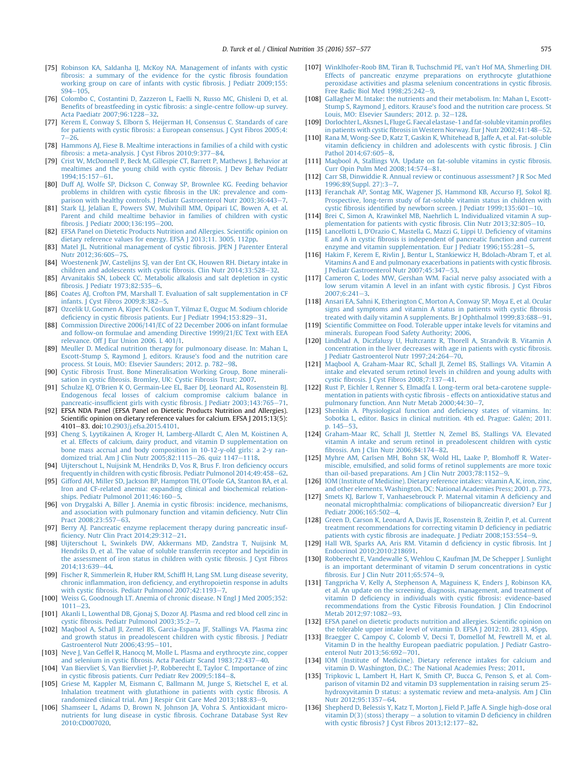- <span id="page-18-0"></span>[75] [Robinson KA, Saldanha IJ, McKoy NA. Management of infants with cystic](http://refhub.elsevier.com/S0261-5614(16)00095-9/sref75) fi[brosis: a summary of the evidence for the cystic](http://refhub.elsevier.com/S0261-5614(16)00095-9/sref75) fibrosis foundation [working group on care of infants with cystic](http://refhub.elsevier.com/S0261-5614(16)00095-9/sref75) fibrosis. I Pediatr 2009:155:  $S94 - 105$  $S94 - 105$ .
- [76] [Colombo C, Costantini D, Zazzeron L, Faelli N, Russo MC, Ghisleni D, et al.](http://refhub.elsevier.com/S0261-5614(16)00095-9/sref76) Benefits of breastfeeding in cystic fi[brosis: a single-centre follow-up survey.](http://refhub.elsevier.com/S0261-5614(16)00095-9/sref76) [Acta Paediatr 2007;96:1228](http://refhub.elsevier.com/S0261-5614(16)00095-9/sref76)-[32](http://refhub.elsevier.com/S0261-5614(16)00095-9/sref76).
- [77] [Kerem E, Conway S, Elborn S, Heijerman H, Consensus C. Standards of care](http://refhub.elsevier.com/S0261-5614(16)00095-9/sref77) for patients with cystic fi[brosis: a European consensus. J Cyst Fibros 2005;4:](http://refhub.elsevier.com/S0261-5614(16)00095-9/sref77)  $7 - 26$  $7 - 26$
- [78] [Hammons AJ, Fiese B. Mealtime interactions in families of a child with cystic](http://refhub.elsevier.com/S0261-5614(16)00095-9/sref78) fibrosis: a meta-analysis. J Cyst Fibros  $2010;9:377-84$ .
- [79] [Crist W, McDonnell P, Beck M, Gillespie CT, Barrett P, Mathews J. Behavior at](http://refhub.elsevier.com/S0261-5614(16)00095-9/sref79) [mealtimes and the young child with cystic](http://refhub.elsevier.com/S0261-5614(16)00095-9/sref79) fibrosis. J Dev Behav Pediatr 1994:15:157-[61.](http://refhub.elsevier.com/S0261-5614(16)00095-9/sref79)
- [80] [Duff AJ, Wolfe SP, Dickson C, Conway SP, Brownlee KG. Feeding behavior](http://refhub.elsevier.com/S0261-5614(16)00095-9/sref80) problems in children with cystic fi[brosis in the UK: prevalence and com](http://refhub.elsevier.com/S0261-5614(16)00095-9/sref80)[parison with healthy controls. J Pediatr Gastroenterol Nutr 2003;36:443](http://refhub.elsevier.com/S0261-5614(16)00095-9/sref80)-[7.](http://refhub.elsevier.com/S0261-5614(16)00095-9/sref80)
- [81] [Stark LJ, Jelalian E, Powers SW, Mulvihill MM, Opipari LC, Bowen A, et al.](http://refhub.elsevier.com/S0261-5614(16)00095-9/sref81) [Parent and child mealtime behavior in families of children with cystic](http://refhub.elsevier.com/S0261-5614(16)00095-9/sref81) fibrosis. J Pediatr  $2000:136:195-200$ .
- [82] [EFSA Panel on Dietetic Products Nutrition and Allergies. Scienti](http://refhub.elsevier.com/S0261-5614(16)00095-9/sref82)fic opinion on [dietary reference values for energy. EFSA J 2013;11. 3005, 112pp.](http://refhub.elsevier.com/S0261-5614(16)00095-9/sref82)
- [83] [Matel JL. Nutritional management of cystic](http://refhub.elsevier.com/S0261-5614(16)00095-9/sref83) fibrosis. JPEN J Parenter Enteral Nutr 2012:36:60S-[7S](http://refhub.elsevier.com/S0261-5614(16)00095-9/sref83).
- [84] [Woestenenk JW, Castelijns SJ, van der Ent CK, Houwen RH. Dietary intake in](http://refhub.elsevier.com/S0261-5614(16)00095-9/sref84) [children and adolescents with cystic](http://refhub.elsevier.com/S0261-5614(16)00095-9/sref84) fibrosis. Clin Nutr 2014;33:528-[32](http://refhub.elsevier.com/S0261-5614(16)00095-9/sref84).
- [85] [Arvanitakis SN, Lobeck CC. Metabolic alkalosis and salt depletion in cystic](http://refhub.elsevier.com/S0261-5614(16)00095-9/sref85) fi[brosis. J Pediatr 1973;82:535](http://refhub.elsevier.com/S0261-5614(16)00095-9/sref85)-[6.](http://refhub.elsevier.com/S0261-5614(16)00095-9/sref85)
- [86] [Coates AJ, Crofton PM, Marshall T. Evaluation of salt supplementation in CF](http://refhub.elsevier.com/S0261-5614(16)00095-9/sref86) [infants. J Cyst Fibros 2009;8:382](http://refhub.elsevier.com/S0261-5614(16)00095-9/sref86)-[5](http://refhub.elsevier.com/S0261-5614(16)00095-9/sref86).
- [87] [Ozcelik U, Gocmen A, Kiper N, Coskun T, Yilmaz E, Ozguc M. Sodium chloride](http://refhub.elsevier.com/S0261-5614(16)00095-9/sref87) deficiency in cystic fi[brosis patients. Eur J Pediatr 1994;153:829](http://refhub.elsevier.com/S0261-5614(16)00095-9/sref87)-[31.](http://refhub.elsevier.com/S0261-5614(16)00095-9/sref87)
- [88] [Commission Directive 2006/141/EC of 22 December 2006 on infant formulae](http://refhub.elsevier.com/S0261-5614(16)00095-9/sref88) [and follow-on formulae and amending Directive 1999/21/EC Text with EEA](http://refhub.elsevier.com/S0261-5614(16)00095-9/sref88) [relevance. Off J Eur Union 2006. L 401/1](http://refhub.elsevier.com/S0261-5614(16)00095-9/sref88).
- [89] [Meuller D. Medical nutrition therapy for pulmonoary disease. In: Mahan L,](http://refhub.elsevier.com/S0261-5614(16)00095-9/sref89) [Escott-Stump S, Raymond J, editors. Krause's food and the nutrition care](http://refhub.elsevier.com/S0261-5614(16)00095-9/sref89) [process. St Louis, MO: Elsevier Saunders; 2012. p. 782](http://refhub.elsevier.com/S0261-5614(16)00095-9/sref89)-[98](http://refhub.elsevier.com/S0261-5614(16)00095-9/sref89).
- [90] [Cystic Fibrosis Trust. Bone Mineralisation Working Group, Bone minerali](http://refhub.elsevier.com/S0261-5614(16)00095-9/sref90)sation in cystic fi[brosis. Bromley, UK: Cystic Fibrosis Trust; 2007](http://refhub.elsevier.com/S0261-5614(16)00095-9/sref90).
- [91] [Schulze KJ, O'Brien K O, Germain-Lee EL, Baer DJ, Leonard AL, Rosenstein BJ.](http://refhub.elsevier.com/S0261-5614(16)00095-9/sref91) [Endogenous fecal losses of calcium compromise calcium balance in](http://refhub.elsevier.com/S0261-5614(16)00095-9/sref91) ancreatic-insufficient girls with cystic fi[brosis. J Pediatr 2003;143:765](http://refhub.elsevier.com/S0261-5614(16)00095-9/sref91)-[71](http://refhub.elsevier.com/S0261-5614(16)00095-9/sref91).
- [92] EFSA NDA Panel (EFSA Panel on Dietetic Products Nutrition and Allergies). Scientific opinion on dietary reference values for calcium. EFSA J 2015;13(5): 4101e83. doi:[10.2903/j.efsa.2015.4101](http://dx.doi.org/10.2903/j.efsa.2015.4101).
- [93] [Cheng S, Lyytikainen A, Kroger H, Lamberg-Allardt C, Alen M, Koistinen A,](http://refhub.elsevier.com/S0261-5614(16)00095-9/sref93) [et al. Effects of calcium, dairy product, and vitamin D supplementation on](http://refhub.elsevier.com/S0261-5614(16)00095-9/sref93) [bone mass accrual and body composition in 10-12-y-old girls: a 2-y ran](http://refhub.elsevier.com/S0261-5614(16)00095-9/sref93)[domized trial. Am J Clin Nutr 2005;82:1115](http://refhub.elsevier.com/S0261-5614(16)00095-9/sref93)-[26. quiz 1147](http://refhub.elsevier.com/S0261-5614(16)00095-9/sref93)-[1118](http://refhub.elsevier.com/S0261-5614(16)00095-9/sref93).
- [94] [Uijterschout L, Nuijsink M, Hendriks D, Vos R, Brus F. Iron de](http://refhub.elsevier.com/S0261-5614(16)00095-9/sref94)ficiency occurs frequently in children with cystic fi[brosis. Pediatr Pulmonol 2014;49:458](http://refhub.elsevier.com/S0261-5614(16)00095-9/sref94)-[62](http://refhub.elsevier.com/S0261-5614(16)00095-9/sref94).
- [95] [Gifford AH, Miller SD, Jackson BP, Hampton TH, O'Toole GA, Stanton BA, et al.](http://refhub.elsevier.com/S0261-5614(16)00095-9/sref95) [Iron and CF-related anemia: expanding clinical and biochemical relation](http://refhub.elsevier.com/S0261-5614(16)00095-9/sref95)[ships. Pediatr Pulmonol 2011;46:160](http://refhub.elsevier.com/S0261-5614(16)00095-9/sref95)-[5](http://refhub.elsevier.com/S0261-5614(16)00095-9/sref95).
- [96] [von Drygalski A, Biller J. Anemia in cystic](http://refhub.elsevier.com/S0261-5614(16)00095-9/sref96) fibrosis: incidence, mechanisms, [and association with pulmonary function and vitamin de](http://refhub.elsevier.com/S0261-5614(16)00095-9/sref96)ficiency. Nutr Clin [Pract 2008;23:557](http://refhub.elsevier.com/S0261-5614(16)00095-9/sref96)-[63](http://refhub.elsevier.com/S0261-5614(16)00095-9/sref96).
- [97] [Berry AJ. Pancreatic enzyme replacement therapy during pancreatic insuf](http://refhub.elsevier.com/S0261-5614(16)00095-9/sref97)ficiency. Nutr Clin Pract  $2014;29:312-21$  $2014;29:312-21$ .
- [98] [Uijterschout L, Swinkels DW, Akkermans MD, Zandstra T, Nuijsink M,](http://refhub.elsevier.com/S0261-5614(16)00095-9/sref98) [Hendriks D, et al. The value of soluble transferrin receptor and hepcidin in](http://refhub.elsevier.com/S0261-5614(16)00095-9/sref98) [the assessment of iron status in children with cystic](http://refhub.elsevier.com/S0261-5614(16)00095-9/sref98) fibrosis. J Cyst Fibros 2014:13:639-[44.](http://refhub.elsevier.com/S0261-5614(16)00095-9/sref98)
- [99] [Fischer R, Simmerlein R, Huber RM, Schif](http://refhub.elsevier.com/S0261-5614(16)00095-9/sref99)fl H, Lang SM. Lung disease severity, chronic inflammation, iron defi[ciency, and erythropoietin response in adults](http://refhub.elsevier.com/S0261-5614(16)00095-9/sref99) with cystic fi[brosis. Pediatr Pulmonol 2007;42:1193](http://refhub.elsevier.com/S0261-5614(16)00095-9/sref99)-[7.](http://refhub.elsevier.com/S0261-5614(16)00095-9/sref99)
- [100] [Weiss G, Goodnough LT. Anemia of chronic disease. N Engl J Med 2005;352:](http://refhub.elsevier.com/S0261-5614(16)00095-9/sref100)  $1011 - 23$  $1011 - 23$  $1011 - 23$ .
- [101] [Akanli L, Lowenthal DB, Gjonaj S, Dozor AJ. Plasma and red blood cell zinc in](http://refhub.elsevier.com/S0261-5614(16)00095-9/sref101) cystic fi[brosis. Pediatr Pulmonol 2003;35:2](http://refhub.elsevier.com/S0261-5614(16)00095-9/sref101)-[7.](http://refhub.elsevier.com/S0261-5614(16)00095-9/sref101)
- [102] [Maqbool A, Schall JI, Zemel BS, Garcia-Espana JF, Stallings VA. Plasma zinc](http://refhub.elsevier.com/S0261-5614(16)00095-9/sref102) [and growth status in preadolescent children with cystic](http://refhub.elsevier.com/S0261-5614(16)00095-9/sref102) fibrosis. J Pediatr Gastroenterol Nutr  $2006;43:95-101$ .
- [103] [Neve J, Van Geffel R, Hanocq M, Molle L. Plasma and erythrocyte zinc, copper](http://refhub.elsevier.com/S0261-5614(16)00095-9/sref103) and selenium in cystic fi[brosis. Acta Paediatr Scand 1983;72:437](http://refhub.elsevier.com/S0261-5614(16)00095-9/sref103)-[40](http://refhub.elsevier.com/S0261-5614(16)00095-9/sref103).
- [104] [Van Biervliet S, Van Biervliet J-P, Robberecht E, Taylor C. Importance of zinc](http://refhub.elsevier.com/S0261-5614(16)00095-9/sref104) in cystic fi[brosis patients. Curr Pediatr Rev 2009;5:184](http://refhub.elsevier.com/S0261-5614(16)00095-9/sref104)-[8.](http://refhub.elsevier.com/S0261-5614(16)00095-9/sref104)
- [105] [Griese M, Kappler M, Eismann C, Ballmann M, Junge S, Rietschel E, et al.](http://refhub.elsevier.com/S0261-5614(16)00095-9/sref105) [Inhalation treatment with glutathione in patients with cystic](http://refhub.elsevier.com/S0261-5614(16)00095-9/sref105) fibrosis. A [randomized clinical trial. Am J Respir Crit Care Med 2013;188:83](http://refhub.elsevier.com/S0261-5614(16)00095-9/sref105)-[9.](http://refhub.elsevier.com/S0261-5614(16)00095-9/sref105)
- [106] [Shamseer L, Adams D, Brown N, Johnson JA, Vohra S. Antioxidant micro](http://refhub.elsevier.com/S0261-5614(16)00095-9/sref106)nutrients for lung disease in cystic fi[brosis. Cochrane Database Syst Rev](http://refhub.elsevier.com/S0261-5614(16)00095-9/sref106) [2010:CD007020](http://refhub.elsevier.com/S0261-5614(16)00095-9/sref106).
- [107] [Winklhofer-Roob BM, Tiran B, Tuchschmid PE, van't Hof MA, Shmerling DH.](http://refhub.elsevier.com/S0261-5614(16)00095-9/sref107) [Effects of pancreatic enzyme preparations on erythrocyte glutathione](http://refhub.elsevier.com/S0261-5614(16)00095-9/sref107) [peroxidase activities and plasma selenium concentrations in cystic](http://refhub.elsevier.com/S0261-5614(16)00095-9/sref107) fibrosis. Free Radic Biol Med  $1998;25:242-9$  $1998;25:242-9$  $1998;25:242-9$ .
- [108] [Gallagher M. Intake: the nutrients and their metabolism. In: Mahan L, Escott-](http://refhub.elsevier.com/S0261-5614(16)00095-9/sref108)[Stump S, Raymond J, editors. Krause's food and the nutrition care process. St](http://refhub.elsevier.com/S0261-5614(16)00095-9/sref108) Louis, MO: Elsevier Saunders; 2012. p.  $32-128$  $32-128$ .
- [109] [Dorlochter L, Aksnes L, FlugeG. Faecal elastase-1 and fat-soluble vitamin pro](http://refhub.elsevier.com/S0261-5614(16)00095-9/sref109)files in patients with cystic fibrosis in Western Norway. Eur J Nutr 2002:41:148-[52](http://refhub.elsevier.com/S0261-5614(16)00095-9/sref109).
- [110] [Rana M, Wong-See D, Katz T, Gaskin K, Whitehead B, Jaffe A, et al. Fat-soluble](http://refhub.elsevier.com/S0261-5614(16)00095-9/sref110) vitamin defi[ciency in children and adolescents with cystic](http://refhub.elsevier.com/S0261-5614(16)00095-9/sref110) fibrosis. J Clin Pathol  $2014:67:605-8$  $2014:67:605-8$ .
- [111] [Maqbool A, Stallings VA. Update on fat-soluble vitamins in cystic](http://refhub.elsevier.com/S0261-5614(16)00095-9/sref111) fibrosis.  $Curr$  Opin Pulm Med  $2008:14:574-81$ .
- [112] [Carr SB, Dinwiddie R. Annual review or continuous assessment? J R Soc Med](http://refhub.elsevier.com/S0261-5614(16)00095-9/sref112) 1996:89(Suppl. 27):3-[7.](http://refhub.elsevier.com/S0261-5614(16)00095-9/sref112)
- [113] [Feranchak AP, Sontag MK, Wagener JS, Hammond KB, Accurso FJ, Sokol RJ.](http://refhub.elsevier.com/S0261-5614(16)00095-9/sref113) [Prospective, long-term study of fat-soluble vitamin status in children with](http://refhub.elsevier.com/S0261-5614(16)00095-9/sref113) cystic fibrosis identifi[ed by newborn screen. J Pediatr 1999;135:601](http://refhub.elsevier.com/S0261-5614(16)00095-9/sref113)-[10.](http://refhub.elsevier.com/S0261-5614(16)00095-9/sref113)<br>[114] [Brei C, Simon A, Krawinkel MB, Naehrlich L. Individualized vitamin A sup-](http://refhub.elsevier.com/S0261-5614(16)00095-9/sref114)
- [plementation for patients with cystic](http://refhub.elsevier.com/S0261-5614(16)00095-9/sref114) fibrosis. Clin Nutr 2013;32:805-[10.](http://refhub.elsevier.com/S0261-5614(16)00095-9/sref114)
- [115] [Lancellotti L, D'Orazio C, Mastella G, Mazzi G, Lippi U. De](http://refhub.elsevier.com/S0261-5614(16)00095-9/sref115)ficiency of vitamins E and A in cystic fi[brosis is independent of pancreatic function and current](http://refhub.elsevier.com/S0261-5614(16)00095-9/sref115) enzyme and vitamin supplementation. Eur J Pediatr  $1996;155:281-5$ .
- [116] [Hakim F, Kerem E, Rivlin J, Bentur L, Stankiewicz H, Bdolach-Abram T, et al.](http://refhub.elsevier.com/S0261-5614(16)00095-9/sref116) [Vitamins A and E and pulmonary exacerbations in patients with cystic](http://refhub.elsevier.com/S0261-5614(16)00095-9/sref116) fibrosis. I Pediatr Gastroenterol Nutr 2007:45:347-[53.](http://refhub.elsevier.com/S0261-5614(16)00095-9/sref116)
- [117] [Cameron C, Lodes MW, Gershan WM. Facial nerve palsy associated with a](http://refhub.elsevier.com/S0261-5614(16)00095-9/sref117) [low serum vitamin A level in an infant with cystic](http://refhub.elsevier.com/S0261-5614(16)00095-9/sref117) fibrosis. J Cyst Fibros  $2007.6:241-3$  $2007.6:241-3$
- [118] [Ansari EA, Sahni K, Etherington C, Morton A, Conway SP, Moya E, et al. Ocular](http://refhub.elsevier.com/S0261-5614(16)00095-9/sref118) [signs and symptoms and vitamin A status in patients with cystic](http://refhub.elsevier.com/S0261-5614(16)00095-9/sref118) fibrosis [treated with daily vitamin A supplements. Br J Ophthalmol 1999;83:688](http://refhub.elsevier.com/S0261-5614(16)00095-9/sref118)-[91](http://refhub.elsevier.com/S0261-5614(16)00095-9/sref118).
- [119] Scientifi[c Committee on Food. Tolerable upper intake levels for vitamins and](http://refhub.elsevier.com/S0261-5614(16)00095-9/sref119) [minerals. European Food Safety Authority; 2006](http://refhub.elsevier.com/S0261-5614(16)00095-9/sref119).
- [120] [Lindblad A, Diczfalusy U, Hultcrantz R, Thorell A, Strandvik B. Vitamin A](http://refhub.elsevier.com/S0261-5614(16)00095-9/sref120) [concentration in the liver decreases with age in patients with cystic](http://refhub.elsevier.com/S0261-5614(16)00095-9/sref120) fibrosis. [J Pediatr Gastroenterol Nutr 1997;24:264](http://refhub.elsevier.com/S0261-5614(16)00095-9/sref120)-[70.](http://refhub.elsevier.com/S0261-5614(16)00095-9/sref120)
- [121] [Maqbool A, Graham-Maar RC, Schall JI, Zemel BS, Stallings VA. Vitamin A](http://refhub.elsevier.com/S0261-5614(16)00095-9/sref121) [intake and elevated serum retinol levels in children and young adults with](http://refhub.elsevier.com/S0261-5614(16)00095-9/sref121) cystic fi[brosis. J Cyst Fibros 2008;7:137](http://refhub.elsevier.com/S0261-5614(16)00095-9/sref121)-[41.](http://refhub.elsevier.com/S0261-5614(16)00095-9/sref121)
- [122] [Rust P, Eichler I, Renner S, Elmadfa I. Long-term oral beta-carotene supple](http://refhub.elsevier.com/S0261-5614(16)00095-9/sref122)mentation in patients with cystic fi[brosis - effects on antioxidative status and](http://refhub.elsevier.com/S0261-5614(16)00095-9/sref122) [pulmonary function. Ann Nutr Metab 2000;44:30](http://refhub.elsevier.com/S0261-5614(16)00095-9/sref122)-[7.](http://refhub.elsevier.com/S0261-5614(16)00095-9/sref122)
- [123] [Shenkin A. Physiological function and de](http://refhub.elsevier.com/S0261-5614(16)00095-9/sref123)ficiency states of vitamins. In: [Sobotka L, editor. Basics in clinical nutrition. 4th ed. Prague: Gal](http://refhub.elsevier.com/S0261-5614(16)00095-9/sref123)é[n; 2011.](http://refhub.elsevier.com/S0261-5614(16)00095-9/sref123) p.  $145 - 53$  $145 - 53$
- [124] [Graham-Maar RC, Schall JI, Stettler N, Zemel BS, Stallings VA. Elevated](http://refhub.elsevier.com/S0261-5614(16)00095-9/sref124) [vitamin A intake and serum retinol in preadolescent children with cystic](http://refhub.elsevier.com/S0261-5614(16)00095-9/sref124) fi[brosis. Am J Clin Nutr 2006;84:174](http://refhub.elsevier.com/S0261-5614(16)00095-9/sref124)-82
- [125] [Myhre AM, Carlsen MH, Bohn SK, Wold HL, Laake P, Blomhoff R. Water](http://refhub.elsevier.com/S0261-5614(16)00095-9/sref125)miscible, emulsifi[ed, and solid forms of retinol supplements are more toxic](http://refhub.elsevier.com/S0261-5614(16)00095-9/sref125) than oil-based preparations. Am J Clin Nutr  $2003;78:1152-9$ .
- [126] [IOM \(Institute of Medicine\). Dietary reference intakes: vitamin A, K, iron, zinc,](http://refhub.elsevier.com/S0261-5614(16)00095-9/sref126) [and other elements. Washington, DC: National Academies Press; 2001. p. 773](http://refhub.elsevier.com/S0261-5614(16)00095-9/sref126).
- [127] [Smets KJ, Barlow T, Vanhaesebrouck P. Maternal vitamin A de](http://refhub.elsevier.com/S0261-5614(16)00095-9/sref127)ficiency and [neonatal microphthalmia: complications of biliopancreatic diversion? Eur J](http://refhub.elsevier.com/S0261-5614(16)00095-9/sref127) [Pediatr 2006;165:502](http://refhub.elsevier.com/S0261-5614(16)00095-9/sref127)-[4.](http://refhub.elsevier.com/S0261-5614(16)00095-9/sref127)
- [128] [Green D, Carson K, Leonard A, Davis JE, Rosenstein B, Zeitlin P, et al. Current](http://refhub.elsevier.com/S0261-5614(16)00095-9/sref128) [treatment recommendations for correcting vitamin D de](http://refhub.elsevier.com/S0261-5614(16)00095-9/sref128)ficiency in pediatric patients with cystic fi[brosis are inadequate. J Pediatr 2008;153:554](http://refhub.elsevier.com/S0261-5614(16)00095-9/sref128)-[9](http://refhub.elsevier.com/S0261-5614(16)00095-9/sref128).
- [129] [Hall WB, Sparks AA, Aris RM. Vitamin d de](http://refhub.elsevier.com/S0261-5614(16)00095-9/sref129)ficiency in cystic fibrosis. Int J [Endocrinol 2010;2010:218691](http://refhub.elsevier.com/S0261-5614(16)00095-9/sref129).
- [130] [Robberecht E, Vandewalle S, Wehlou C, Kaufman JM, De Schepper J. Sunlight](http://refhub.elsevier.com/S0261-5614(16)00095-9/sref130) [is an important determinant of vitamin D serum concentrations in cystic](http://refhub.elsevier.com/S0261-5614(16)00095-9/sref130) fi[brosis. Eur J Clin Nutr 2011;65:574](http://refhub.elsevier.com/S0261-5614(16)00095-9/sref130)-[9.](http://refhub.elsevier.com/S0261-5614(16)00095-9/sref130)
- [131] [Tangpricha V, Kelly A, Stephenson A, Maguiness K, Enders J, Robinson KA,](http://refhub.elsevier.com/S0261-5614(16)00095-9/sref131) [et al. An update on the screening, diagnosis, management, and treatment of](http://refhub.elsevier.com/S0261-5614(16)00095-9/sref131) vitamin D defi[ciency in individuals with cystic](http://refhub.elsevier.com/S0261-5614(16)00095-9/sref131) fibrosis: evidence-based [recommendations from the Cystic Fibrosis Foundation. J Clin Endocrinol](http://refhub.elsevier.com/S0261-5614(16)00095-9/sref131) Metab 2012:97:1082-[93](http://refhub.elsevier.com/S0261-5614(16)00095-9/sref131).
- [132] [EFSA panel on dietetic products nutrition and allergies. Scienti](http://refhub.elsevier.com/S0261-5614(16)00095-9/sref132)fic opinion on [the tolerable upper intake level of vitamin D. EFSA J 2012;10. 2813, 45pp.](http://refhub.elsevier.com/S0261-5614(16)00095-9/sref132)
- [133] [Braegger C, Campoy C, Colomb V, Decsi T, Domellof M, Fewtrell M, et al.](http://refhub.elsevier.com/S0261-5614(16)00095-9/sref133) [Vitamin D in the healthy European paediatric population. J Pediatr Gastro](http://refhub.elsevier.com/S0261-5614(16)00095-9/sref133)[enterol Nutr 2013;56:692](http://refhub.elsevier.com/S0261-5614(16)00095-9/sref133)-[701.](http://refhub.elsevier.com/S0261-5614(16)00095-9/sref133)
- [134] [IOM \(Institute of Medicine\). Dietary reference intakes for calcium and](http://refhub.elsevier.com/S0261-5614(16)00095-9/sref134) [vitamin D. Washington, D.C.: The National Academies Press; 2011.](http://refhub.elsevier.com/S0261-5614(16)00095-9/sref134)
- [135] [Tripkovic L, Lambert H, Hart K, Smith CP, Bucca G, Penson S, et al. Com](http://refhub.elsevier.com/S0261-5614(16)00095-9/sref135)[parison of vitamin D2 and vitamin D3 supplementation in raising serum 25](http://refhub.elsevier.com/S0261-5614(16)00095-9/sref135) [hydroxyvitamin D status: a systematic review and meta-analysis. Am J Clin](http://refhub.elsevier.com/S0261-5614(16)00095-9/sref135) [Nutr 2012;95:1357](http://refhub.elsevier.com/S0261-5614(16)00095-9/sref135)-[64.](http://refhub.elsevier.com/S0261-5614(16)00095-9/sref135)
- [136] [Shepherd D, Belessis Y, Katz T, Morton J, Field P, Jaffe A. Single high-dose oral](http://refhub.elsevier.com/S0261-5614(16)00095-9/sref136) vitamin  $D(3)$  (stoss) therapy  $-$  [a solution to vitamin D de](http://refhub.elsevier.com/S0261-5614(16)00095-9/sref136)ficiency in children with cystic fi[brosis? J Cyst Fibros 2013;12:177](http://refhub.elsevier.com/S0261-5614(16)00095-9/sref136)-[82.](http://refhub.elsevier.com/S0261-5614(16)00095-9/sref136)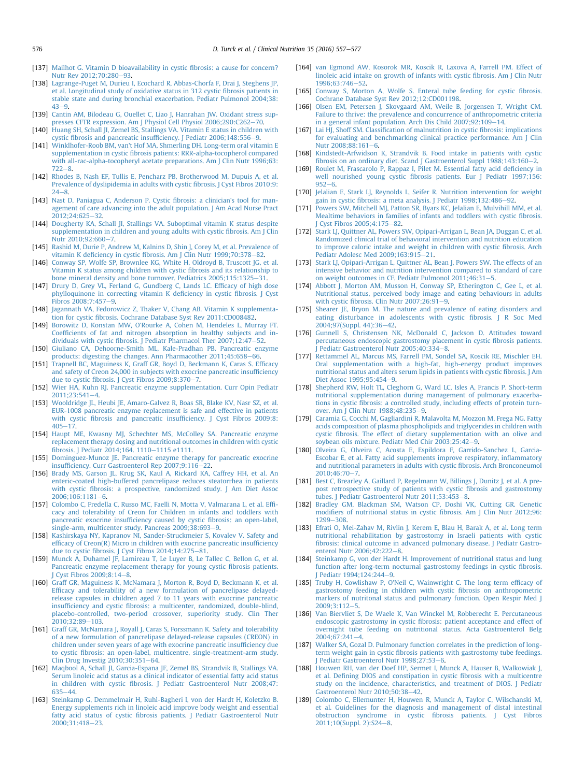- <span id="page-19-0"></span>[137] [Mailhot G. Vitamin D bioavailability in cystic](http://refhub.elsevier.com/S0261-5614(16)00095-9/sref137) fibrosis: a cause for concern? [Nutr Rev 2012;70:280](http://refhub.elsevier.com/S0261-5614(16)00095-9/sref137)-[93.](http://refhub.elsevier.com/S0261-5614(16)00095-9/sref137)
- [138] [Lagrange-Puget M, Durieu I, Ecochard R, Abbas-Chorfa F, Drai J, Steghens JP,](http://refhub.elsevier.com/S0261-5614(16)00095-9/sref138) [et al. Longitudinal study of oxidative status in 312 cystic](http://refhub.elsevier.com/S0261-5614(16)00095-9/sref138) fibrosis patients in [stable state and during bronchial exacerbation. Pediatr Pulmonol 2004;38:](http://refhub.elsevier.com/S0261-5614(16)00095-9/sref138)  $43 - 9$  $43 - 9$  $43 - 9$
- [139] [Cantin AM, Bilodeau G, Ouellet C, Liao J, Hanrahan JW. Oxidant stress sup](http://refhub.elsevier.com/S0261-5614(16)00095-9/sref139)[presses CFTR expression. Am J Physiol Cell Physiol 2006;290:C262](http://refhub.elsevier.com/S0261-5614(16)00095-9/sref139)-[70](http://refhub.elsevier.com/S0261-5614(16)00095-9/sref139).
- [140] [Huang SH, Schall JI, Zemel BS, Stallings VA. Vitamin E status in children with](http://refhub.elsevier.com/S0261-5614(16)00095-9/sref140) cystic fibrosis and pancreatic insuffi[ciency. J Pediatr 2006;148:556](http://refhub.elsevier.com/S0261-5614(16)00095-9/sref140)-[9.](http://refhub.elsevier.com/S0261-5614(16)00095-9/sref140)
- [141] [Winklhofer-Roob BM, van't Hof MA, Shmerling DH. Long-term oral vitamin E](http://refhub.elsevier.com/S0261-5614(16)00095-9/sref141) supplementation in cystic fi[brosis patients: RRR-alpha-tocopherol compared](http://refhub.elsevier.com/S0261-5614(16)00095-9/sref141) [with all-rac-alpha-tocopheryl acetate preparations. Am J Clin Nutr 1996;63:](http://refhub.elsevier.com/S0261-5614(16)00095-9/sref141)  $722 - 8$  $722 - 8$  $722 - 8$
- [142] [Rhodes B, Nash EF, Tullis E, Pencharz PB, Brotherwood M, Dupuis A, et al.](http://refhub.elsevier.com/S0261-5614(16)00095-9/sref142) [Prevalence of dyslipidemia in adults with cystic](http://refhub.elsevier.com/S0261-5614(16)00095-9/sref142) fibrosis. J Cyst Fibros 2010;9:  $24 - 8$  $24 - 8$  $24 - 8$
- [143] [Nast D, Paniagua C, Anderson P. Cystic](http://refhub.elsevier.com/S0261-5614(16)00095-9/sref143) fibrosis: a clinician's tool for man[agement of care advancing into the adult population. J Am Acad Nurse Pract](http://refhub.elsevier.com/S0261-5614(16)00095-9/sref143) 2012:24:625-[32](http://refhub.elsevier.com/S0261-5614(16)00095-9/sref143).
- [144] [Dougherty KA, Schall JI, Stallings VA. Suboptimal vitamin K status despite](http://refhub.elsevier.com/S0261-5614(16)00095-9/sref144) [supplementation in children and young adults with cystic](http://refhub.elsevier.com/S0261-5614(16)00095-9/sref144) fibrosis. Am J Clin Nutr 2010:92:660-[7](http://refhub.elsevier.com/S0261-5614(16)00095-9/sref144).
- [145] [Rashid M, Durie P, Andrew M, Kalnins D, Shin J, Corey M, et al. Prevalence of](http://refhub.elsevier.com/S0261-5614(16)00095-9/sref145) vitamin K deficiency in cystic fi[brosis. Am J Clin Nutr 1999;70:378](http://refhub.elsevier.com/S0261-5614(16)00095-9/sref145)–[82](http://refhub.elsevier.com/S0261-5614(16)00095-9/sref145).<br>[146] [Conway SP, Wolfe SP, Brownlee KG, White H, Oldroyd B, Truscott JG, et al.](http://refhub.elsevier.com/S0261-5614(16)00095-9/sref146)
- [Vitamin K status among children with cystic](http://refhub.elsevier.com/S0261-5614(16)00095-9/sref146) fibrosis and its relationship to bone mineral density and bone turnover. Pediatrics  $2005:115:1325-31$ .
- [147] [Drury D, Grey VL, Ferland G, Gundberg C, Lands LC. Ef](http://refhub.elsevier.com/S0261-5614(16)00095-9/sref147)ficacy of high dose [phylloquinone in correcting vitamin K de](http://refhub.elsevier.com/S0261-5614(16)00095-9/sref147)ficiency in cystic fibrosis. J Cyst  $Fibros 2008:7:457-9.$  $Fibros 2008:7:457-9.$  $Fibros 2008:7:457-9.$
- [148] [Jagannath VA, Fedorowicz Z, Thaker V, Chang AB. Vitamin K supplementa](http://refhub.elsevier.com/S0261-5614(16)00095-9/sref148)tion for cystic fi[brosis. Cochrane Database Syst Rev 2011:CD008482.](http://refhub.elsevier.com/S0261-5614(16)00095-9/sref148)
- [149] [Borowitz D, Konstan MW, O'Rourke A, Cohen M, Hendeles L, Murray FT.](http://refhub.elsevier.com/S0261-5614(16)00095-9/sref149) Coeffi[cients of fat and nitrogen absorption in healthy subjects and in](http://refhub.elsevier.com/S0261-5614(16)00095-9/sref149)dividuals with cystic fi[brosis. J Pediatr Pharmacol Ther 2007;12:47](http://refhub.elsevier.com/S0261-5614(16)00095-9/sref149)-[52.](http://refhub.elsevier.com/S0261-5614(16)00095-9/sref149)
- [150] [Giuliano CA, Dehoorne-Smith ML, Kale-Pradhan PB. Pancreatic enzyme](http://refhub.elsevier.com/S0261-5614(16)00095-9/sref150) [products: digesting the changes. Ann Pharmacother 2011;45:658](http://refhub.elsevier.com/S0261-5614(16)00095-9/sref150)-[66.](http://refhub.elsevier.com/S0261-5614(16)00095-9/sref150)
- [151] [Trapnell BC, Maguiness K, Graff GR, Boyd D, Beckmann K, Caras S. Ef](http://refhub.elsevier.com/S0261-5614(16)00095-9/sref151)ficacy [and safety of Creon 24,000 in subjects with exocrine pancreatic insuf](http://refhub.elsevier.com/S0261-5614(16)00095-9/sref151)ficiency due to cystic fi[brosis. J Cyst Fibros 2009;8:370](http://refhub.elsevier.com/S0261-5614(16)00095-9/sref151)-[7](http://refhub.elsevier.com/S0261-5614(16)00095-9/sref151).
- [152] [Wier HA, Kuhn RJ. Pancreatic enzyme supplementation. Curr Opin Pediatr](http://refhub.elsevier.com/S0261-5614(16)00095-9/sref152)  $2011:23:541-4.$  $2011:23:541-4.$  $2011:23:541-4.$
- [153] [Wooldridge JL, Heubi JE, Amaro-Galvez R, Boas SR, Blake KV, Nasr SZ, et al.](http://refhub.elsevier.com/S0261-5614(16)00095-9/sref153) [EUR-1008 pancreatic enzyme replacement is safe and effective in patients](http://refhub.elsevier.com/S0261-5614(16)00095-9/sref153) with cystic fibrosis and pancreatic insuffi[ciency. J Cyst Fibros 2009;8:](http://refhub.elsevier.com/S0261-5614(16)00095-9/sref153)  $405 - 17$  $405 - 17$
- [154] [Haupt ME, Kwasny MJ, Schechter MS, McColley SA. Pancreatic enzyme](http://refhub.elsevier.com/S0261-5614(16)00095-9/sref154) [replacement therapy dosing and nutritional outcomes in children with cystic](http://refhub.elsevier.com/S0261-5614(16)00095-9/sref154) fi[brosis. J Pediatr 2014;164. 1110](http://refhub.elsevier.com/S0261-5614(16)00095-9/sref154)-[1115 e1111](http://refhub.elsevier.com/S0261-5614(16)00095-9/sref154).
- [155] [Dominguez-Munoz JE. Pancreatic enzyme therapy for pancreatic exocrine](http://refhub.elsevier.com/S0261-5614(16)00095-9/sref155) insuffi[ciency. Curr Gastroenterol Rep 2007;9:116](http://refhub.elsevier.com/S0261-5614(16)00095-9/sref155)-[22](http://refhub.elsevier.com/S0261-5614(16)00095-9/sref155).
- [156] [Brady MS, Garson JL, Krug SK, Kaul A, Rickard KA, Caffrey HH, et al. An](http://refhub.elsevier.com/S0261-5614(16)00095-9/sref156) [enteric-coated high-buffered pancrelipase reduces steatorrhea in patients](http://refhub.elsevier.com/S0261-5614(16)00095-9/sref156) with cystic fi[brosis: a prospective, randomized study. J Am Diet Assoc](http://refhub.elsevier.com/S0261-5614(16)00095-9/sref156) [2006;106:1181](http://refhub.elsevier.com/S0261-5614(16)00095-9/sref156)-[6.](http://refhub.elsevier.com/S0261-5614(16)00095-9/sref156)
- [157] [Colombo C, Fredella C, Russo MC, Faelli N, Motta V, Valmarana L, et al. Ef](http://refhub.elsevier.com/S0261-5614(16)00095-9/sref157)fi[cacy and tolerability of Creon for Children in infants and toddlers with](http://refhub.elsevier.com/S0261-5614(16)00095-9/sref157) [pancreatic exocrine insuf](http://refhub.elsevier.com/S0261-5614(16)00095-9/sref157)ficiency caused by cystic fibrosis: an open-label,  $single-arm$ , multicenter study. Pancreas  $2009;38:693-9$ .
- [158] [Kashirskaya NY, Kapranov NI, Sander-Struckmeier S, Kovalev V. Safety and](http://refhub.elsevier.com/S0261-5614(16)00095-9/sref158) effi[cacy of Creon\(R\) Micro in children with exocrine pancreatic insuf](http://refhub.elsevier.com/S0261-5614(16)00095-9/sref158)ficiency due to cystic fi[brosis. J Cyst Fibros 2014;14:275](http://refhub.elsevier.com/S0261-5614(16)00095-9/sref158)-[81.](http://refhub.elsevier.com/S0261-5614(16)00095-9/sref158)
- [159] [Munck A, Duhamel JF, Lamireau T, Le Luyer B, Le Tallec C, Bellon G, et al.](http://refhub.elsevier.com/S0261-5614(16)00095-9/sref159) [Pancreatic enzyme replacement therapy for young cystic](http://refhub.elsevier.com/S0261-5614(16)00095-9/sref159) fibrosis patients. [J Cyst Fibros 2009;8:14](http://refhub.elsevier.com/S0261-5614(16)00095-9/sref159)-[8.](http://refhub.elsevier.com/S0261-5614(16)00095-9/sref159)
- [160] [Graff GR, Maguiness K, McNamara J, Morton R, Boyd D, Beckmann K, et al.](http://refhub.elsevier.com/S0261-5614(16)00095-9/sref160) Effi[cacy and tolerability of a new formulation of pancrelipase delayed](http://refhub.elsevier.com/S0261-5614(16)00095-9/sref160)[release capsules in children aged 7 to 11 years with exocrine pancreatic](http://refhub.elsevier.com/S0261-5614(16)00095-9/sref160) insufficiency and cystic fi[brosis: a multicenter, randomized, double-blind,](http://refhub.elsevier.com/S0261-5614(16)00095-9/sref160) [placebo-controlled, two-period crossover, superiority study. Clin Ther](http://refhub.elsevier.com/S0261-5614(16)00095-9/sref160)  $2010:32:89-103$  $2010:32:89-103$ .
- [161] [Graff GR, McNamara J, Royall J, Caras S, Forssmann K. Safety and tolerability](http://refhub.elsevier.com/S0261-5614(16)00095-9/sref161) [of a new formulation of pancrelipase delayed-release capsules \(CREON\) in](http://refhub.elsevier.com/S0261-5614(16)00095-9/sref161) [children under seven years of age with exocrine pancreatic insuf](http://refhub.elsevier.com/S0261-5614(16)00095-9/sref161)ficiency due to cystic fi[brosis: an open-label, multicentre, single-treatment-arm study.](http://refhub.elsevier.com/S0261-5614(16)00095-9/sref161) Clin Drug Investig  $2010;30:351-64$  $2010;30:351-64$ .
- [162] [Maqbool A, Schall JI, Garcia-Espana JF, Zemel BS, Strandvik B, Stallings VA.](http://refhub.elsevier.com/S0261-5614(16)00095-9/sref162) [Serum linoleic acid status as a clinical indicator of essential fatty acid status](http://refhub.elsevier.com/S0261-5614(16)00095-9/sref162) in children with cystic fi[brosis. J Pediatr Gastroenterol Nutr 2008;47:](http://refhub.elsevier.com/S0261-5614(16)00095-9/sref162) [635](http://refhub.elsevier.com/S0261-5614(16)00095-9/sref162)-[44.](http://refhub.elsevier.com/S0261-5614(16)00095-9/sref162)
- [163] [Steinkamp G, Demmelmair H, Ruhl-Bagheri I, von der Hardt H, Koletzko B.](http://refhub.elsevier.com/S0261-5614(16)00095-9/sref163) [Energy supplements rich in linoleic acid improve body weight and essential](http://refhub.elsevier.com/S0261-5614(16)00095-9/sref163) fatty acid status of cystic fi[brosis patients. J Pediatr Gastroenterol Nutr](http://refhub.elsevier.com/S0261-5614(16)00095-9/sref163) [2000;31:418](http://refhub.elsevier.com/S0261-5614(16)00095-9/sref163)-[23](http://refhub.elsevier.com/S0261-5614(16)00095-9/sref163).
- [164] [van Egmond AW, Kosorok MR, Koscik R, Laxova A, Farrell PM. Effect of](http://refhub.elsevier.com/S0261-5614(16)00095-9/sref164) [linoleic acid intake on growth of infants with cystic](http://refhub.elsevier.com/S0261-5614(16)00095-9/sref164) fibrosis. Am J Clin Nutr 1996:63:746-[52](http://refhub.elsevier.com/S0261-5614(16)00095-9/sref164).
- [165] [Conway S, Morton A, Wolfe S. Enteral tube feeding for cystic](http://refhub.elsevier.com/S0261-5614(16)00095-9/sref165) fibrosis. [Cochrane Database Syst Rev 2012;12:CD001198.](http://refhub.elsevier.com/S0261-5614(16)00095-9/sref165)
- [166] [Olsen EM, Petersen J, Skovgaard AM, Weile B, Jorgensen T, Wright CM.](http://refhub.elsevier.com/S0261-5614(16)00095-9/sref166) [Failure to thrive: the prevalence and concurrence of anthropometric criteria](http://refhub.elsevier.com/S0261-5614(16)00095-9/sref166) [in a general infant population. Arch Dis Child 2007;92:109](http://refhub.elsevier.com/S0261-5614(16)00095-9/sref166)-[14](http://refhub.elsevier.com/S0261-5614(16)00095-9/sref166).
- [167] Lai HI, Shoff SM. Classifi[cation of malnutrition in cystic](http://refhub.elsevier.com/S0261-5614(16)00095-9/sref167) fibrosis: implications [for evaluating and benchmarking clinical practice performance. Am J Clin](http://refhub.elsevier.com/S0261-5614(16)00095-9/sref167) Nutr 2008:88:1[6](http://refhub.elsevier.com/S0261-5614(16)00095-9/sref167)1-6.
- [168] [Kindstedt-Arfwidson K, Strandvik B. Food intake in patients with cystic](http://refhub.elsevier.com/S0261-5614(16)00095-9/sref168) fi[brosis on an ordinary diet. Scand J Gastroenterol Suppl 1988;143:160](http://refhub.elsevier.com/S0261-5614(16)00095-9/sref168)-[2.](http://refhub.elsevier.com/S0261-5614(16)00095-9/sref168)
- [169] [Roulet M, Frascarolo P, Rappaz I, Pilet M. Essential fatty acid de](http://refhub.elsevier.com/S0261-5614(16)00095-9/sref169)ficiency in well nourished young cystic fi[brosis patients. Eur J Pediatr 1997;156:](http://refhub.elsevier.com/S0261-5614(16)00095-9/sref169)  $952 - 6.$  $952 - 6.$  $952 - 6.$  $952 - 6.$
- [170] [Jelalian E, Stark LJ, Reynolds L, Seifer R. Nutrition intervention for weight](http://refhub.elsevier.com/S0261-5614(16)00095-9/sref170) gain in cystic fi[brosis: a meta analysis. J Pediatr 1998;132:486](http://refhub.elsevier.com/S0261-5614(16)00095-9/sref170)-[92.](http://refhub.elsevier.com/S0261-5614(16)00095-9/sref170)
- [171] [Powers SW, Mitchell MJ, Patton SR, Byars KC, Jelalian E, Mulvihill MM, et al.](http://refhub.elsevier.com/S0261-5614(16)00095-9/sref171) [Mealtime behaviors in families of infants and toddlers with cystic](http://refhub.elsevier.com/S0261-5614(16)00095-9/sref171) fibrosis.  $J$  Cyst Fibros  $2005:4:175-82$  $2005:4:175-82$
- [172] [Stark LJ, Quittner AL, Powers SW, Opipari-Arrigan L, Bean JA, Duggan C, et al.](http://refhub.elsevier.com/S0261-5614(16)00095-9/sref172) [Randomized clinical trial of behavioral intervention and nutrition education](http://refhub.elsevier.com/S0261-5614(16)00095-9/sref172) [to improve caloric intake and weight in children with cystic](http://refhub.elsevier.com/S0261-5614(16)00095-9/sref172) fibrosis. Arch Pediatr Adolesc Med 2009:163:915-[21](http://refhub.elsevier.com/S0261-5614(16)00095-9/sref172).
- [173] [Stark LJ, Opipari-Arrigan L, Quittner AL, Bean J, Powers SW. The effects of an](http://refhub.elsevier.com/S0261-5614(16)00095-9/sref173) [intensive behavior and nutrition intervention compared to standard of care](http://refhub.elsevier.com/S0261-5614(16)00095-9/sref173) on weight outcomes in CF. Pediatr Pulmonol  $2011:46:31-5$  $2011:46:31-5$ .
- [174] [Abbott J, Morton AM, Musson H, Conway SP, Etherington C, Gee L, et al.](http://refhub.elsevier.com/S0261-5614(16)00095-9/sref174) [Nutritional status, perceived body image and eating behaviours in adults](http://refhub.elsevier.com/S0261-5614(16)00095-9/sref174) with cystic fibrosis. Clin Nutr  $2007;26:91-9$ .
- [175] [Shearer JE, Bryon M. The nature and prevalence of eating disorders and](http://refhub.elsevier.com/S0261-5614(16)00095-9/sref175) [eating disturbance in adolescents with cystic](http://refhub.elsevier.com/S0261-5614(16)00095-9/sref175) fibrosis. J R Soc Med [2004;97\(Suppl. 44\):36](http://refhub.elsevier.com/S0261-5614(16)00095-9/sref175)-[42.](http://refhub.elsevier.com/S0261-5614(16)00095-9/sref175)
- [176] [Gunnell S, Christensen NK, McDonald C, Jackson D. Attitudes toward](http://refhub.elsevier.com/S0261-5614(16)00095-9/sref176) [percutaneous endoscopic gastrostomy placement in cystic](http://refhub.elsevier.com/S0261-5614(16)00095-9/sref176) fibrosis patients. Pediatr Gastroenterol Nutr 2005;40:334-[8](http://refhub.elsevier.com/S0261-5614(16)00095-9/sref176).
- [177] [Rettammel AL, Marcus MS, Farrell PM, Sondel SA, Koscik RE, Mischler EH.](http://refhub.elsevier.com/S0261-5614(16)00095-9/sref177) [Oral supplementation with a high-fat, high-energy product improves](http://refhub.elsevier.com/S0261-5614(16)00095-9/sref177) [nutritional status and alters serum lipids in patients with cystic](http://refhub.elsevier.com/S0261-5614(16)00095-9/sref177) fibrosis. J Am [Diet Assoc 1995;95:454](http://refhub.elsevier.com/S0261-5614(16)00095-9/sref177)-[9](http://refhub.elsevier.com/S0261-5614(16)00095-9/sref177).
- [178] [Shepherd RW, Holt TL, Cleghorn G, Ward LC, Isles A, Francis P. Short-term](http://refhub.elsevier.com/S0261-5614(16)00095-9/sref178) [nutritional supplementation during management of pulmonary exacerba](http://refhub.elsevier.com/S0261-5614(16)00095-9/sref178)tions in cystic fi[brosis: a controlled study, including effects of protein turn](http://refhub.elsevier.com/S0261-5614(16)00095-9/sref178)[over. Am J Clin Nutr 1988;48:235](http://refhub.elsevier.com/S0261-5614(16)00095-9/sref178)-[9.](http://refhub.elsevier.com/S0261-5614(16)00095-9/sref178)
- [179] [Caramia G, Cocchi M, Gagliardini R, Malavolta M, Mozzon M, Frega NG. Fatty](http://refhub.elsevier.com/S0261-5614(16)00095-9/sref179) [acids composition of plasma phospholipids and triglycerides in children with](http://refhub.elsevier.com/S0261-5614(16)00095-9/sref179) cystic fi[brosis. The effect of dietary supplementation with an olive and](http://refhub.elsevier.com/S0261-5614(16)00095-9/sref179) [soybean oils mixture. Pediatr Med Chir 2003;25:42](http://refhub.elsevier.com/S0261-5614(16)00095-9/sref179)-[9.](http://refhub.elsevier.com/S0261-5614(16)00095-9/sref179)
- [180] [Olveira G, Olveira C, Acosta E, Espildora F, Garrido-Sanchez L, Garcia-](http://refhub.elsevier.com/S0261-5614(16)00095-9/sref180)[Escobar E, et al. Fatty acid supplements improve respiratory, in](http://refhub.elsevier.com/S0261-5614(16)00095-9/sref180)flammatory [and nutritional parameters in adults with cystic](http://refhub.elsevier.com/S0261-5614(16)00095-9/sref180) fibrosis. Arch Bronconeumol [2010;46:70](http://refhub.elsevier.com/S0261-5614(16)00095-9/sref180)-[7.](http://refhub.elsevier.com/S0261-5614(16)00095-9/sref180)
- [181] [Best C, Brearley A, Gaillard P, Regelmann W, Billings J, Dunitz J, et al. A pre](http://refhub.elsevier.com/S0261-5614(16)00095-9/sref181)[post retrospective study of patients with cystic](http://refhub.elsevier.com/S0261-5614(16)00095-9/sref181) fibrosis and gastrostomy [tubes. J Pediatr Gastroenterol Nutr 2011;53:453](http://refhub.elsevier.com/S0261-5614(16)00095-9/sref181)-[8](http://refhub.elsevier.com/S0261-5614(16)00095-9/sref181).
- [182] [Bradley GM, Blackman SM, Watson CP, Doshi VK, Cutting GR. Genetic](http://refhub.elsevier.com/S0261-5614(16)00095-9/sref182) modifi[ers of nutritional status in cystic](http://refhub.elsevier.com/S0261-5614(16)00095-9/sref182) fibrosis. Am J Clin Nutr 2012;96: [1299](http://refhub.elsevier.com/S0261-5614(16)00095-9/sref182)-[308](http://refhub.elsevier.com/S0261-5614(16)00095-9/sref182).
- [183] [Efrati O, Mei-Zahav M, Rivlin J, Kerem E, Blau H, Barak A, et al. Long term](http://refhub.elsevier.com/S0261-5614(16)00095-9/sref183) [nutritional rehabilitation by gastrostomy in Israeli patients with cystic](http://refhub.elsevier.com/S0261-5614(16)00095-9/sref183) fi[brosis: clinical outcome in advanced pulmonary disease. J Pediatr Gastro](http://refhub.elsevier.com/S0261-5614(16)00095-9/sref183)[enterol Nutr 2006;42:222](http://refhub.elsevier.com/S0261-5614(16)00095-9/sref183)-[8](http://refhub.elsevier.com/S0261-5614(16)00095-9/sref183).
- [184] [Steinkamp G, von der Hardt H. Improvement of nutritional status and lung](http://refhub.elsevier.com/S0261-5614(16)00095-9/sref184) [function after long-term nocturnal gastrostomy feedings in cystic](http://refhub.elsevier.com/S0261-5614(16)00095-9/sref184) fibrosis. Pediatr 1[9](http://refhub.elsevier.com/S0261-5614(16)00095-9/sref184)94;124:244-9.
- [185] [Truby H, Cowlishaw P, O'Neil C, Wainwright C. The long term ef](http://refhub.elsevier.com/S0261-5614(16)00095-9/sref185)ficacy of [gastrostomy feeding in children with cystic](http://refhub.elsevier.com/S0261-5614(16)00095-9/sref185) fibrosis on anthropometric [markers of nutritonal status and pulmonary function. Open Respir Med J](http://refhub.elsevier.com/S0261-5614(16)00095-9/sref185) 2009:3:112-[5.](http://refhub.elsevier.com/S0261-5614(16)00095-9/sref185)
- [186] [Van Biervliet S, De Waele K, Van Winckel M, Robberecht E. Percutaneous](http://refhub.elsevier.com/S0261-5614(16)00095-9/sref186) endoscopic gastrostomy in cystic fi[brosis: patient acceptance and effect of](http://refhub.elsevier.com/S0261-5614(16)00095-9/sref186) [overnight tube feeding on nutritional status. Acta Gastroenterol Belg](http://refhub.elsevier.com/S0261-5614(16)00095-9/sref186) [2004;67:241](http://refhub.elsevier.com/S0261-5614(16)00095-9/sref186)-[4](http://refhub.elsevier.com/S0261-5614(16)00095-9/sref186).
- [187] [Walker SA, Gozal D. Pulmonary function correlates in the prediction of long](http://refhub.elsevier.com/S0261-5614(16)00095-9/sref187)term weight gain in cystic fi[brosis patients with gastrostomy tube feedings.](http://refhub.elsevier.com/S0261-5614(16)00095-9/sref187) [J Pediatr Gastroenterol Nutr 1998;27:53](http://refhub.elsevier.com/S0261-5614(16)00095-9/sref187)-[6](http://refhub.elsevier.com/S0261-5614(16)00095-9/sref187).
- [188] [Houwen RH, van der Doef HP, Sermet I, Munck A, Hauser B, Walkowiak J,](http://refhub.elsevier.com/S0261-5614(16)00095-9/sref188) et al. Defi[ning DIOS and constipation in cystic](http://refhub.elsevier.com/S0261-5614(16)00095-9/sref188) fibrosis with a multicentre [study on the incidence, characteristics, and treatment of DIOS. J Pediatr](http://refhub.elsevier.com/S0261-5614(16)00095-9/sref188) Gastroenterol Nutr  $2010;50:38-42$  $2010;50:38-42$ .
- [189] [Colombo C, Ellemunter H, Houwen R, Munck A, Taylor C, Wilschanski M,](http://refhub.elsevier.com/S0261-5614(16)00095-9/sref189) [et al. Guidelines for the diagnosis and management of distal intestinal](http://refhub.elsevier.com/S0261-5614(16)00095-9/sref189) [obstruction syndrome in cystic](http://refhub.elsevier.com/S0261-5614(16)00095-9/sref189) fibrosis patients. J Cyst Fibros [2011;10\(Suppl. 2\):S24](http://refhub.elsevier.com/S0261-5614(16)00095-9/sref189)-[8.](http://refhub.elsevier.com/S0261-5614(16)00095-9/sref189)